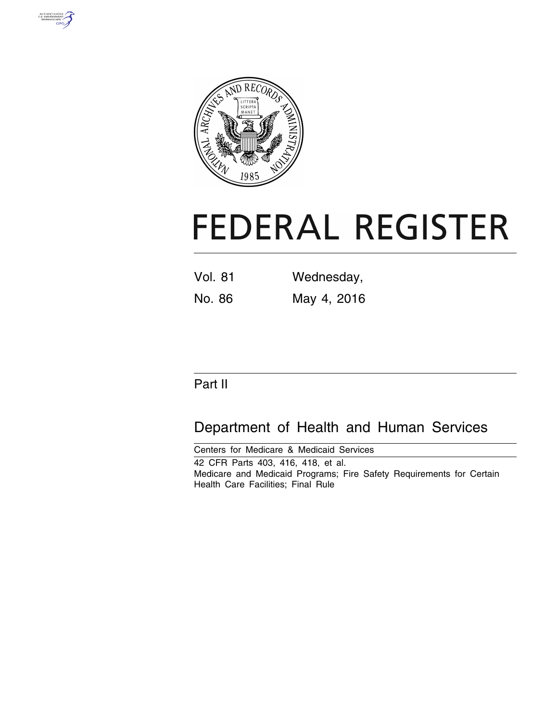



# **FEDERAL REGISTER**

| <b>Vol. 81</b> | Wednesday,  |  |  |
|----------------|-------------|--|--|
| No. 86         | May 4, 2016 |  |  |

# Part II

# Department of Health and Human Services

Centers for Medicare & Medicaid Services 42 CFR Parts 403, 416, 418, et al. Medicare and Medicaid Programs; Fire Safety Requirements for Certain Health Care Facilities; Final Rule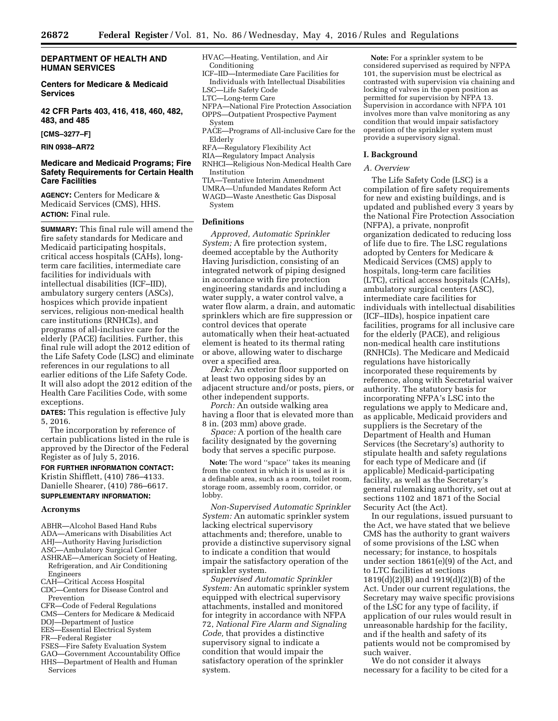#### **DEPARTMENT OF HEALTH AND HUMAN SERVICES**

**Centers for Medicare & Medicaid Services** 

**42 CFR Parts 403, 416, 418, 460, 482, 483, and 485** 

**[CMS–3277–F]** 

#### **RIN 0938–AR72**

#### **Medicare and Medicaid Programs; Fire Safety Requirements for Certain Health Care Facilities**

**AGENCY:** Centers for Medicare & Medicaid Services (CMS), HHS. **ACTION:** Final rule.

**SUMMARY:** This final rule will amend the fire safety standards for Medicare and Medicaid participating hospitals, critical access hospitals (CAHs), longterm care facilities, intermediate care facilities for individuals with intellectual disabilities (ICF–IID), ambulatory surgery centers (ASCs), hospices which provide inpatient services, religious non-medical health care institutions (RNHCIs), and programs of all-inclusive care for the elderly (PACE) facilities. Further, this final rule will adopt the 2012 edition of the Life Safety Code (LSC) and eliminate references in our regulations to all earlier editions of the Life Safety Code. It will also adopt the 2012 edition of the Health Care Facilities Code, with some exceptions.

**DATES:** This regulation is effective July 5, 2016.

The incorporation by reference of certain publications listed in the rule is approved by the Director of the Federal Register as of July 5, 2016.

**FOR FURTHER INFORMATION CONTACT:**  Kristin Shifflett, (410) 786–4133. Danielle Shearer, (410) 786–6617. **SUPPLEMENTARY INFORMATION:** 

#### **Acronyms**

- ABHR—Alcohol Based Hand Rubs
- ADA—Americans with Disabilities Act
- AHJ—Authority Having Jurisdiction
- ASC—Ambulatory Surgical Center
- ASHRAE—American Society of Heating, Refrigeration, and Air Conditioning Engineers
- CAH—Critical Access Hospital
- CDC—Centers for Disease Control and Prevention
- CFR—Code of Federal Regulations
- CMS—Centers for Medicare & Medicaid
- DOJ—Department of Justice
- EES—Essential Electrical System
- FR—Federal Register
- FSES—Fire Safety Evaluation System GAO—Government Accountability Office
- HHS—Department of Health and Human **Services**
- HVAC—Heating, Ventilation, and Air Conditioning
- ICF–IID—Intermediate Care Facilities for Individuals with Intellectual Disabilities
- LSC—Life Safety Code
- LTC—Long-term Care
- NFPA—National Fire Protection Association OPPS—Outpatient Prospective Payment
- System
- PACE—Programs of All-inclusive Care for the Elderly
- RFA—Regulatory Flexibility Act
- RIA—Regulatory Impact Analysis
- RNHCI—Religious Non-Medical Health Care Institution
- TIA—Tentative Interim Amendment
- UMRA—Unfunded Mandates Reform Act
- WAGD—Waste Anesthetic Gas Disposal System
- **Definitions**

*Approved, Automatic Sprinkler System;* A fire protection system, deemed acceptable by the Authority Having Jurisdiction, consisting of an integrated network of piping designed in accordance with fire protection engineering standards and including a water supply, a water control valve, a water flow alarm, a drain, and automatic sprinklers which are fire suppression or control devices that operate automatically when their heat-actuated element is heated to its thermal rating or above, allowing water to discharge over a specified area.

*Deck:* An exterior floor supported on at least two opposing sides by an adjacent structure and/or posts, piers, or other independent supports.

*Porch:* An outside walking area having a floor that is elevated more than 8 in. (203 mm) above grade.

*Space:* A portion of the health care facility designated by the governing body that serves a specific purpose.

**Note:** The word ''space'' takes its meaning from the context in which it is used as it is a definable area, such as a room, toilet room, storage room, assembly room, corridor, or lobby.

*Non-Supervised Automatic Sprinkler System:* An automatic sprinkler system lacking electrical supervisory attachments and; therefore, unable to provide a distinctive supervisory signal to indicate a condition that would impair the satisfactory operation of the sprinkler system.

*Supervised Automatic Sprinkler System:* An automatic sprinkler system equipped with electrical supervisory attachments, installed and monitored for integrity in accordance with NFPA 72, *National Fire Alarm and Signaling Code,* that provides a distinctive supervisory signal to indicate a condition that would impair the satisfactory operation of the sprinkler system.

**Note:** For a sprinkler system to be considered supervised as required by NFPA 101, the supervision must be electrical as contrasted with supervision via chaining and locking of valves in the open position as permitted for supervision by NFPA 13. Supervision in accordance with NFPA 101 involves more than valve monitoring as any condition that would impair satisfactory operation of the sprinkler system must provide a supervisory signal.

#### **I. Background**

#### *A. Overview*

The Life Safety Code (LSC) is a compilation of fire safety requirements for new and existing buildings, and is updated and published every 3 years by the National Fire Protection Association (NFPA), a private, nonprofit organization dedicated to reducing loss of life due to fire. The LSC regulations adopted by Centers for Medicare & Medicaid Services (CMS) apply to hospitals, long-term care facilities (LTC), critical access hospitals (CAHs), ambulatory surgical centers (ASC), intermediate care facilities for individuals with intellectual disabilities (ICF–IIDs), hospice inpatient care facilities, programs for all inclusive care for the elderly (PACE), and religious non-medical health care institutions (RNHCIs). The Medicare and Medicaid regulations have historically incorporated these requirements by reference, along with Secretarial waiver authority. The statutory basis for incorporating NFPA's LSC into the regulations we apply to Medicare and, as applicable, Medicaid providers and suppliers is the Secretary of the Department of Health and Human Services (the Secretary's) authority to stipulate health and safety regulations for each type of Medicare and (if applicable) Medicaid-participating facility, as well as the Secretary's general rulemaking authority, set out at sections 1102 and 1871 of the Social Security Act (the Act).

In our regulations, issued pursuant to the Act, we have stated that we believe CMS has the authority to grant waivers of some provisions of the LSC when necessary; for instance, to hospitals under section 1861(e)(9) of the Act, and to LTC facilities at sections 1819(d)(2)(B) and 1919(d)(2)(B) of the Act. Under our current regulations, the Secretary may waive specific provisions of the LSC for any type of facility, if application of our rules would result in unreasonable hardship for the facility, and if the health and safety of its patients would not be compromised by such waiver.

We do not consider it always necessary for a facility to be cited for a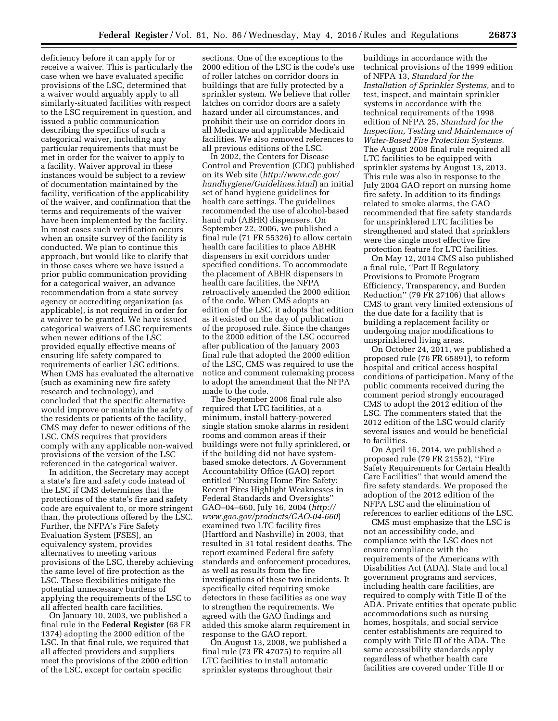deficiency before it can apply for or receive a waiver. This is particularly the case when we have evaluated specific provisions of the LSC, determined that a waiver would arguably apply to all similarly-situated facilities with respect to the LSC requirement in question, and issued a public communication describing the specifics of such a categorical waiver, including any particular requirements that must be met in order for the waiver to apply to a facility. Waiver approval in these instances would be subject to a review of documentation maintained by the facility, verification of the applicability of the waiver, and confirmation that the terms and requirements of the waiver have been implemented by the facility. In most cases such verification occurs when an onsite survey of the facility is conducted. We plan to continue this approach, but would like to clarify that in those cases where we have issued a prior public communication providing for a categorical waiver, an advance recommendation from a state survey agency or accrediting organization (as applicable), is not required in order for a waiver to be granted. We have issued categorical waivers of LSC requirements when newer editions of the LSC provided equally effective means of ensuring life safety compared to requirements of earlier LSC editions. When CMS has evaluated the alternative (such as examining new fire safety research and technology), and concluded that the specific alternative would improve or maintain the safety of the residents or patients of the facility, CMS may defer to newer editions of the LSC. CMS requires that providers comply with any applicable non-waived provisions of the version of the LSC referenced in the categorical waiver.

In addition, the Secretary may accept a state's fire and safety code instead of the LSC if CMS determines that the protections of the state's fire and safety code are equivalent to, or more stringent than, the protections offered by the LSC. Further, the NFPA's Fire Safety Evaluation System (FSES), an equivalency system, provides alternatives to meeting various provisions of the LSC, thereby achieving the same level of fire protection as the LSC. These flexibilities mitigate the potential unnecessary burdens of applying the requirements of the LSC to all affected health care facilities.

On January 10, 2003, we published a final rule in the **Federal Register** (68 FR 1374) adopting the 2000 edition of the LSC. In that final rule, we required that all affected providers and suppliers meet the provisions of the 2000 edition of the LSC, except for certain specific

sections. One of the exceptions to the 2000 edition of the LSC is the code's use of roller latches on corridor doors in buildings that are fully protected by a sprinkler system. We believe that roller latches on corridor doors are a safety hazard under all circumstances, and prohibit their use on corridor doors in all Medicare and applicable Medicaid facilities. We also removed references to all previous editions of the LSC.

In 2002, the Centers for Disease Control and Prevention (CDC) published on its Web site (*[http://www.cdc.gov/](http://www.cdc.gov/handhygiene/Guidelines.html)  [handhygiene/Guidelines.html](http://www.cdc.gov/handhygiene/Guidelines.html)*) an initial set of hand hygiene guidelines for health care settings. The guidelines recommended the use of alcohol-based hand rub (ABHR) dispensers. On September 22, 2006, we published a final rule (71 FR 55326) to allow certain health care facilities to place ABHR dispensers in exit corridors under specified conditions. To accommodate the placement of ABHR dispensers in health care facilities, the NFPA retroactively amended the 2000 edition of the code. When CMS adopts an edition of the LSC, it adopts that edition as it existed on the day of publication of the proposed rule. Since the changes to the 2000 edition of the LSC occurred after publication of the January 2003 final rule that adopted the 2000 edition of the LSC, CMS was required to use the notice and comment rulemaking process to adopt the amendment that the NFPA made to the code.

The September 2006 final rule also required that LTC facilities, at a minimum, install battery-powered single station smoke alarms in resident rooms and common areas if their buildings were not fully sprinklered, or if the building did not have systembased smoke detectors. A Government Accountability Office (GAO) report entitled ''Nursing Home Fire Safety: Recent Fires Highlight Weaknesses in Federal Standards and Oversights'' GAO–04–660, July 16, 2004 (*[http://](http://www.gao.gov/products/GAO-04-660) [www.gao.gov/products/GAO-04-660](http://www.gao.gov/products/GAO-04-660)*) examined two LTC facility fires (Hartford and Nashville) in 2003, that resulted in 31 total resident deaths. The report examined Federal fire safety standards and enforcement procedures, as well as results from the fire investigations of these two incidents. It specifically cited requiring smoke detectors in these facilities as one way to strengthen the requirements. We agreed with the GAO findings and added this smoke alarm requirement in response to the GAO report.

On August 13, 2008, we published a final rule (73 FR 47075) to require all LTC facilities to install automatic sprinkler systems throughout their

buildings in accordance with the technical provisions of the 1999 edition of NFPA 13, *Standard for the Installation of Sprinkler Systems,* and to test, inspect, and maintain sprinkler systems in accordance with the technical requirements of the 1998 edition of NFPA 25, *Standard for the Inspection, Testing and Maintenance of Water-Based Fire Protection Systems.*  The August 2008 final rule required all LTC facilities to be equipped with sprinkler systems by August 13, 2013. This rule was also in response to the July 2004 GAO report on nursing home fire safety. In addition to its findings related to smoke alarms, the GAO recommended that fire safety standards for unsprinklered LTC facilities be strengthened and stated that sprinklers were the single most effective fire protection feature for LTC facilities.

On May 12, 2014 CMS also published a final rule, ''Part II Regulatory Provisions to Promote Program Efficiency, Transparency, and Burden Reduction'' (79 FR 27106) that allows CMS to grant very limited extensions of the due date for a facility that is building a replacement facility or undergoing major modifications to unsprinklered living areas.

On October 24, 2011, we published a proposed rule (76 FR 65891), to reform hospital and critical access hospital conditions of participation. Many of the public comments received during the comment period strongly encouraged CMS to adopt the 2012 edition of the LSC. The commenters stated that the 2012 edition of the LSC would clarify several issues and would be beneficial to facilities.

On April 16, 2014, we published a proposed rule (79 FR 21552), ''Fire Safety Requirements for Certain Health Care Facilities'' that would amend the fire safety standards. We proposed the adoption of the 2012 edition of the NFPA LSC and the elimination of references to earlier editions of the LSC.

CMS must emphasize that the LSC is not an accessibility code, and compliance with the LSC does not ensure compliance with the requirements of the Americans with Disabilities Act (ADA). State and local government programs and services, including health care facilities, are required to comply with Title II of the ADA. Private entities that operate public accommodations such as nursing homes, hospitals, and social service center establishments are required to comply with Title III of the ADA. The same accessibility standards apply regardless of whether health care facilities are covered under Title II or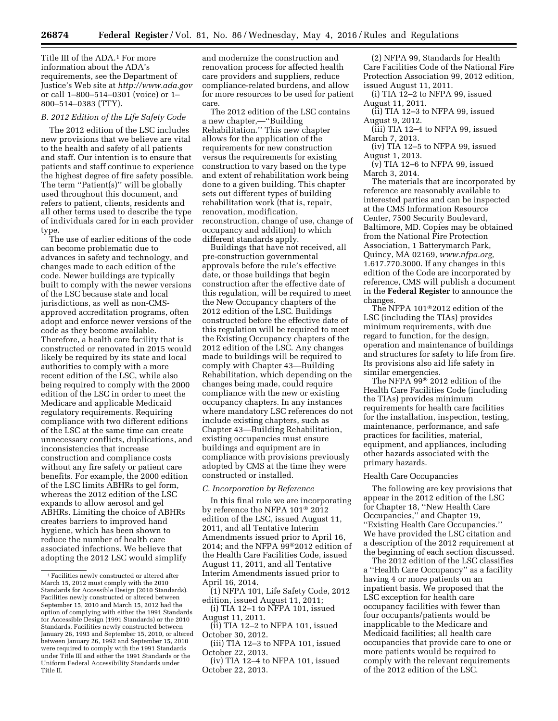Title III of the ADA.1 For more information about the ADA's requirements, see the Department of Justice's Web site at *<http://www.ada.gov>*  or call 1–800–514–0301 (voice) or 1– 800–514–0383 (TTY).

#### *B. 2012 Edition of the Life Safety Code*

The 2012 edition of the LSC includes new provisions that we believe are vital to the health and safety of all patients and staff. Our intention is to ensure that patients and staff continue to experience the highest degree of fire safety possible. The term "Patient(s)" will be globally used throughout this document, and refers to patient, clients, residents and all other terms used to describe the type of individuals cared for in each provider type.

The use of earlier editions of the code can become problematic due to advances in safety and technology, and changes made to each edition of the code. Newer buildings are typically built to comply with the newer versions of the LSC because state and local jurisdictions, as well as non-CMSapproved accreditation programs, often adopt and enforce newer versions of the code as they become available. Therefore, a health care facility that is constructed or renovated in 2015 would likely be required by its state and local authorities to comply with a more recent edition of the LSC, while also being required to comply with the 2000 edition of the LSC in order to meet the Medicare and applicable Medicaid regulatory requirements. Requiring compliance with two different editions of the LSC at the same time can create unnecessary conflicts, duplications, and inconsistencies that increase construction and compliance costs without any fire safety or patient care benefits. For example, the 2000 edition of the LSC limits ABHRs to gel form, whereas the 2012 edition of the LSC expands to allow aerosol and gel ABHRs. Limiting the choice of ABHRs creates barriers to improved hand hygiene, which has been shown to reduce the number of health care associated infections. We believe that adopting the 2012 LSC would simplify

and modernize the construction and renovation process for affected health care providers and suppliers, reduce compliance-related burdens, and allow for more resources to be used for patient care.

The 2012 edition of the LSC contains a new chapter,—''Building Rehabilitation.'' This new chapter allows for the application of the requirements for new construction versus the requirements for existing construction to vary based on the type and extent of rehabilitation work being done to a given building. This chapter sets out different types of building rehabilitation work (that is, repair, renovation, modification, reconstruction, change of use, change of occupancy and addition) to which different standards apply.

Buildings that have not received, all pre-construction governmental approvals before the rule's effective date, or those buildings that begin construction after the effective date of this regulation, will be required to meet the New Occupancy chapters of the 2012 edition of the LSC. Buildings constructed before the effective date of this regulation will be required to meet the Existing Occupancy chapters of the 2012 edition of the LSC. Any changes made to buildings will be required to comply with Chapter 43—Building Rehabilitation, which depending on the changes being made, could require compliance with the new or existing occupancy chapters. In any instances where mandatory LSC references do not include existing chapters, such as Chapter 43—Building Rehabilitation, existing occupancies must ensure buildings and equipment are in compliance with provisions previously adopted by CMS at the time they were constructed or installed.

#### *C. Incorporation by Reference*

In this final rule we are incorporating by reference the NFPA 101® 2012 edition of the LSC, issued August 11, 2011, and all Tentative Interim Amendments issued prior to April 16, 2014; and the NFPA 99®2012 edition of the Health Care Facilities Code, issued August 11, 2011, and all Tentative Interim Amendments issued prior to April 16, 2014.

(1) NFPA 101, Life Safety Code, 2012 edition, issued August 11, 2011;

(i) TIA 12–1 to NFPA 101, issued August 11, 2011.

(ii) TIA 12–2 to NFPA 101, issued October 30, 2012.

(iii) TIA 12–3 to NFPA 101, issued October 22, 2013.

(iv) TIA 12–4 to NFPA 101, issued October 22, 2013.

(2) NFPA 99, Standards for Health Care Facilities Code of the National Fire Protection Association 99, 2012 edition, issued August 11, 2011.

- (i) TIA 12–2 to NFPA 99, issued August 11, 2011.
- (ii) TIA 12–3 to NFPA 99, issued August 9, 2012.
- (iii) TIA 12–4 to NFPA 99, issued March 7, 2013.

(iv) TIA 12–5 to NFPA 99, issued August 1, 2013.

 $(v)$  TIA 12–6 to NFPA 99, issued March 3, 2014.

The materials that are incorporated by reference are reasonably available to interested parties and can be inspected at the CMS Information Resource Center, 7500 Security Boulevard, Baltimore, MD. Copies may be obtained from the National Fire Protection Association, 1 Batterymarch Park, Quincy, MA 02169, *[www.nfpa.org,](http://www.nfpa.org)*  1.617.770.3000. If any changes in this edition of the Code are incorporated by reference, CMS will publish a document in the **Federal Register** to announce the changes.

The NFPA 101®2012 edition of the LSC (including the TIAs) provides minimum requirements, with due regard to function, for the design, operation and maintenance of buildings and structures for safety to life from fire. Its provisions also aid life safety in similar emergencies.

The NFPA 99® 2012 edition of the Health Care Facilities Code (including the TIAs) provides minimum requirements for health care facilities for the installation, inspection, testing, maintenance, performance, and safe practices for facilities, material, equipment, and appliances, including other hazards associated with the primary hazards.

#### Health Care Occupancies

The following are key provisions that appear in the 2012 edition of the LSC for Chapter 18, ''New Health Care Occupancies,'' and Chapter 19, ''Existing Health Care Occupancies.'' We have provided the LSC citation and a description of the 2012 requirement at the beginning of each section discussed.

The 2012 edition of the LSC classifies a ''Health Care Occupancy'' as a facility having 4 or more patients on an inpatient basis. We proposed that the LSC exception for health care occupancy facilities with fewer than four occupants/patients would be inapplicable to the Medicare and Medicaid facilities; all health care occupancies that provide care to one or more patients would be required to comply with the relevant requirements of the 2012 edition of the LSC.

<sup>1</sup>Facilities newly constructed or altered after March 15, 2012 must comply with the 2010 Standards for Accessible Design (2010 Standards). Facilities newly constructed or altered between September 15, 2010 and March 15, 2012 had the option of complying with either the 1991 Standards for Accessible Design (1991 Standards) or the 2010 Standards. Facilities newly constructed between January 26, 1993 and September 15, 2010, or altered between January 26, 1992 and September 15, 2010 were required to comply with the 1991 Standards under Title III and either the 1991 Standards or the Uniform Federal Accessibility Standards under Title II.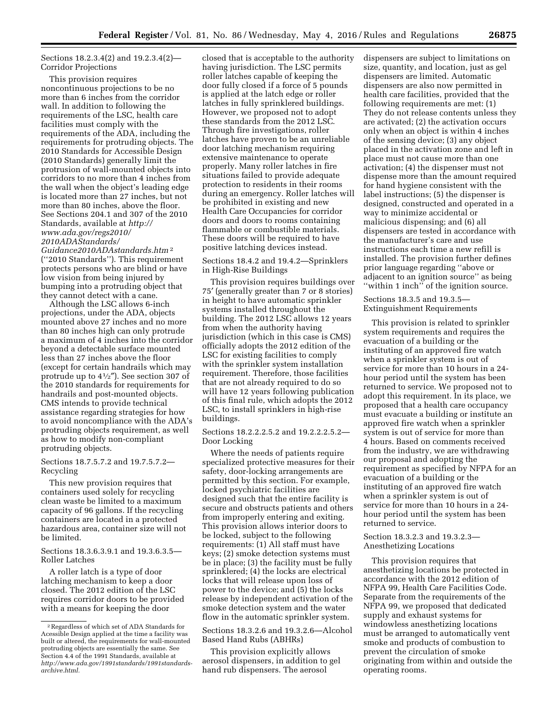Sections 18.2.3.4(2) and 19.2.3.4(2)— Corridor Projections

This provision requires noncontinuous projections to be no more than 6 inches from the corridor wall. In addition to following the requirements of the LSC, health care facilities must comply with the requirements of the ADA, including the requirements for protruding objects. The 2010 Standards for Accessible Design (2010 Standards) generally limit the protrusion of wall-mounted objects into corridors to no more than 4 inches from the wall when the object's leading edge is located more than 27 inches, but not more than 80 inches, above the floor. See Sections 204.1 and 307 of the 2010 Standards, available at *[http://](http://www.ada.gov/regs2010/2010ADAStandards/Guidance2010ADAstandards.htm) [www.ada.gov/regs2010/](http://www.ada.gov/regs2010/2010ADAStandards/Guidance2010ADAstandards.htm)  [2010ADAStandards/](http://www.ada.gov/regs2010/2010ADAStandards/Guidance2010ADAstandards.htm)* 

*[Guidance2010ADAstandards.htm](http://www.ada.gov/regs2010/2010ADAStandards/Guidance2010ADAstandards.htm)* 2 (''2010 Standards''). This requirement protects persons who are blind or have low vision from being injured by bumping into a protruding object that they cannot detect with a cane.

Although the LSC allows 6-inch projections, under the ADA, objects mounted above 27 inches and no more than 80 inches high can only protrude a maximum of 4 inches into the corridor beyond a detectable surface mounted less than 27 inches above the floor (except for certain handrails which may protrude up to 41⁄2″). See section 307 of the 2010 standards for requirements for handrails and post-mounted objects. CMS intends to provide technical assistance regarding strategies for how to avoid noncompliance with the ADA's protruding objects requirement, as well as how to modify non-compliant protruding objects.

Sections 18.7.5.7.2 and 19.7.5.7.2— Recycling

This new provision requires that containers used solely for recycling clean waste be limited to a maximum capacity of 96 gallons. If the recycling containers are located in a protected hazardous area, container size will not be limited.

Sections 18.3.6.3.9.1 and 19.3.6.3.5— Roller Latches

A roller latch is a type of door latching mechanism to keep a door closed. The 2012 edition of the LSC requires corridor doors to be provided with a means for keeping the door

closed that is acceptable to the authority having jurisdiction. The LSC permits roller latches capable of keeping the door fully closed if a force of 5 pounds is applied at the latch edge or roller latches in fully sprinklered buildings. However, we proposed not to adopt these standards from the 2012 LSC. Through fire investigations, roller latches have proven to be an unreliable door latching mechanism requiring extensive maintenance to operate properly. Many roller latches in fire situations failed to provide adequate protection to residents in their rooms during an emergency. Roller latches will be prohibited in existing and new Health Care Occupancies for corridor doors and doors to rooms containing flammable or combustible materials. These doors will be required to have positive latching devices instead.

Sections 18.4.2 and 19.4.2—Sprinklers in High-Rise Buildings

This provision requires buildings over 75′ (generally greater than 7 or 8 stories) in height to have automatic sprinkler systems installed throughout the building. The 2012 LSC allows 12 years from when the authority having jurisdiction (which in this case is CMS) officially adopts the 2012 edition of the LSC for existing facilities to comply with the sprinkler system installation requirement. Therefore, those facilities that are not already required to do so will have 12 years following publication of this final rule, which adopts the 2012 LSC, to install sprinklers in high-rise buildings.

Sections 18.2.2.2.5.2 and 19.2.2.2.5.2— Door Locking

Where the needs of patients require specialized protective measures for their safety, door-locking arrangements are permitted by this section. For example, locked psychiatric facilities are designed such that the entire facility is secure and obstructs patients and others from improperly entering and exiting. This provision allows interior doors to be locked, subject to the following requirements: (1) All staff must have keys; (2) smoke detection systems must be in place; (3) the facility must be fully sprinklered; (4) the locks are electrical locks that will release upon loss of power to the device; and (5) the locks release by independent activation of the smoke detection system and the water flow in the automatic sprinkler system.

Sections 18.3.2.6 and 19.3.2.6—Alcohol Based Hand Rubs (ABHRs)

This provision explicitly allows aerosol dispensers, in addition to gel hand rub dispensers. The aerosol

dispensers are subject to limitations on size, quantity, and location, just as gel dispensers are limited. Automatic dispensers are also now permitted in health care facilities, provided that the following requirements are met: (1) They do not release contents unless they are activated; (2) the activation occurs only when an object is within 4 inches of the sensing device; (3) any object placed in the activation zone and left in place must not cause more than one activation; (4) the dispenser must not dispense more than the amount required for hand hygiene consistent with the label instructions; (5) the dispenser is designed, constructed and operated in a way to minimize accidental or malicious dispensing; and (6) all dispensers are tested in accordance with the manufacturer's care and use instructions each time a new refill is installed. The provision further defines prior language regarding ''above or adjacent to an ignition source'' as being ''within 1 inch'' of the ignition source.

Sections 18.3.5 and 19.3.5— Extinguishment Requirements

This provision is related to sprinkler system requirements and requires the evacuation of a building or the instituting of an approved fire watch when a sprinkler system is out of service for more than 10 hours in a 24 hour period until the system has been returned to service. We proposed not to adopt this requirement. In its place, we proposed that a health care occupancy must evacuate a building or institute an approved fire watch when a sprinkler system is out of service for more than 4 hours. Based on comments received from the industry, we are withdrawing our proposal and adopting the requirement as specified by NFPA for an evacuation of a building or the instituting of an approved fire watch when a sprinkler system is out of service for more than 10 hours in a 24 hour period until the system has been returned to service.

Section 18.3.2.3 and 19.3.2.3— Anesthetizing Locations

This provision requires that anesthetizing locations be protected in accordance with the 2012 edition of NFPA 99, Health Care Facilities Code. Separate from the requirements of the NFPA 99, we proposed that dedicated supply and exhaust systems for windowless anesthetizing locations must be arranged to automatically vent smoke and products of combustion to prevent the circulation of smoke originating from within and outside the operating rooms.

<sup>2</sup>Regardless of which set of ADA Standards for Acessible Design applied at the time a facility was built or altered, the requirements for wall-mounted protruding objects are essentially the same. See Section 4.4 of the 1991 Standards, available at *[http://www.ada.gov/1991standards/1991standards](http://www.ada.gov/1991standards/1991standards-archive.html)[archive.html.](http://www.ada.gov/1991standards/1991standards-archive.html)*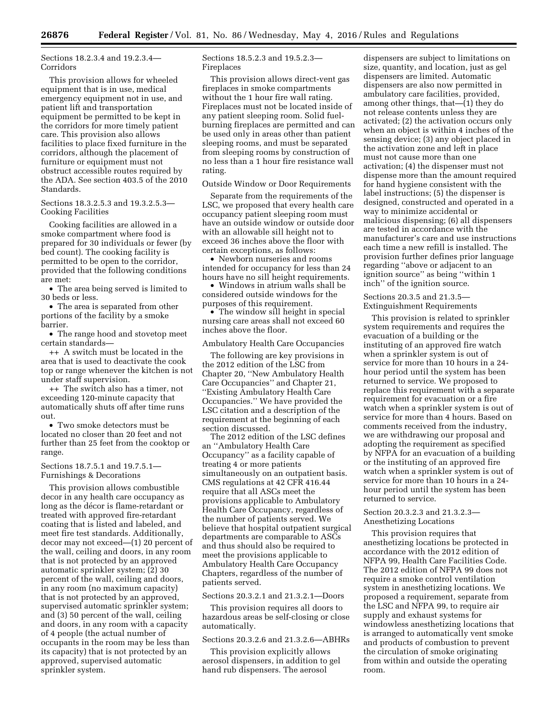Sections 18.2.3.4 and 19.2.3.4— Corridors

This provision allows for wheeled equipment that is in use, medical emergency equipment not in use, and patient lift and transportation equipment be permitted to be kept in the corridors for more timely patient care. This provision also allows facilities to place fixed furniture in the corridors, although the placement of furniture or equipment must not obstruct accessible routes required by the ADA. See section 403.5 of the 2010 Standards.

Sections 18.3.2.5.3 and 19.3.2.5.3— Cooking Facilities

Cooking facilities are allowed in a smoke compartment where food is prepared for 30 individuals or fewer (by bed count). The cooking facility is permitted to be open to the corridor, provided that the following conditions are met:

• The area being served is limited to 30 beds or less.

• The area is separated from other portions of the facility by a smoke barrier.

• The range hood and stovetop meet certain standards—

++ A switch must be located in the area that is used to deactivate the cook top or range whenever the kitchen is not under staff supervision.

++ The switch also has a timer, not exceeding 120-minute capacity that automatically shuts off after time runs out.

• Two smoke detectors must be located no closer than 20 feet and not further than 25 feet from the cooktop or range.

#### Sections 18.7.5.1 and 19.7.5.1— Furnishings & Decorations

This provision allows combustible decor in any health care occupancy as long as the décor is flame-retardant or treated with approved fire-retardant coating that is listed and labeled, and meet fire test standards. Additionally, decor may not exceed—(1) 20 percent of the wall, ceiling and doors, in any room that is not protected by an approved automatic sprinkler system; (2) 30 percent of the wall, ceiling and doors, in any room (no maximum capacity) that is not protected by an approved, supervised automatic sprinkler system; and (3) 50 percent of the wall, ceiling and doors, in any room with a capacity of 4 people (the actual number of occupants in the room may be less than its capacity) that is not protected by an approved, supervised automatic sprinkler system.

Sections 18.5.2.3 and 19.5.2.3— Fireplaces

This provision allows direct-vent gas fireplaces in smoke compartments without the 1 hour fire wall rating. Fireplaces must not be located inside of any patient sleeping room. Solid fuelburning fireplaces are permitted and can be used only in areas other than patient sleeping rooms, and must be separated from sleeping rooms by construction of no less than a 1 hour fire resistance wall rating.

Outside Window or Door Requirements

Separate from the requirements of the LSC, we proposed that every health care occupancy patient sleeping room must have an outside window or outside door with an allowable sill height not to exceed 36 inches above the floor with certain exceptions, as follows:

• Newborn nurseries and rooms intended for occupancy for less than 24 hours have no sill height requirements.

• Windows in atrium walls shall be considered outside windows for the purposes of this requirement.

• The window sill height in special nursing care areas shall not exceed 60 inches above the floor.

Ambulatory Health Care Occupancies

The following are key provisions in the 2012 edition of the LSC from Chapter 20, ''New Ambulatory Health Care Occupancies'' and Chapter 21, ''Existing Ambulatory Health Care Occupancies.'' We have provided the LSC citation and a description of the requirement at the beginning of each section discussed.

The 2012 edition of the LSC defines an ''Ambulatory Health Care Occupancy'' as a facility capable of treating 4 or more patients simultaneously on an outpatient basis. CMS regulations at 42 CFR 416.44 require that all ASCs meet the provisions applicable to Ambulatory Health Care Occupancy, regardless of the number of patients served. We believe that hospital outpatient surgical departments are comparable to ASCs and thus should also be required to meet the provisions applicable to Ambulatory Health Care Occupancy Chapters, regardless of the number of patients served.

#### Sections 20.3.2.1 and 21.3.2.1—Doors

This provision requires all doors to hazardous areas be self-closing or close automatically.

#### Sections 20.3.2.6 and 21.3.2.6—ABHRs

This provision explicitly allows aerosol dispensers, in addition to gel hand rub dispensers. The aerosol

dispensers are subject to limitations on size, quantity, and location, just as gel dispensers are limited. Automatic dispensers are also now permitted in ambulatory care facilities, provided, among other things, that—(1) they do not release contents unless they are activated; (2) the activation occurs only when an object is within 4 inches of the sensing device; (3) any object placed in the activation zone and left in place must not cause more than one activation; (4) the dispenser must not dispense more than the amount required for hand hygiene consistent with the label instructions; (5) the dispenser is designed, constructed and operated in a way to minimize accidental or malicious dispensing; (6) all dispensers are tested in accordance with the manufacturer's care and use instructions each time a new refill is installed. The provision further defines prior language regarding ''above or adjacent to an ignition source'' as being ''within 1 inch'' of the ignition source.

Sections 20.3.5 and 21.3.5— Extinguishment Requirements

This provision is related to sprinkler system requirements and requires the evacuation of a building or the instituting of an approved fire watch when a sprinkler system is out of service for more than 10 hours in a 24 hour period until the system has been returned to service. We proposed to replace this requirement with a separate requirement for evacuation or a fire watch when a sprinkler system is out of service for more than 4 hours. Based on comments received from the industry, we are withdrawing our proposal and adopting the requirement as specified by NFPA for an evacuation of a building or the instituting of an approved fire watch when a sprinkler system is out of service for more than 10 hours in a 24 hour period until the system has been returned to service.

Section 20.3.2.3 and 21.3.2.3— Anesthetizing Locations

This provision requires that anesthetizing locations be protected in accordance with the 2012 edition of NFPA 99, Health Care Facilities Code. The 2012 edition of NFPA 99 does not require a smoke control ventilation system in anesthetizing locations. We proposed a requirement, separate from the LSC and NFPA 99, to require air supply and exhaust systems for windowless anesthetizing locations that is arranged to automatically vent smoke and products of combustion to prevent the circulation of smoke originating from within and outside the operating room.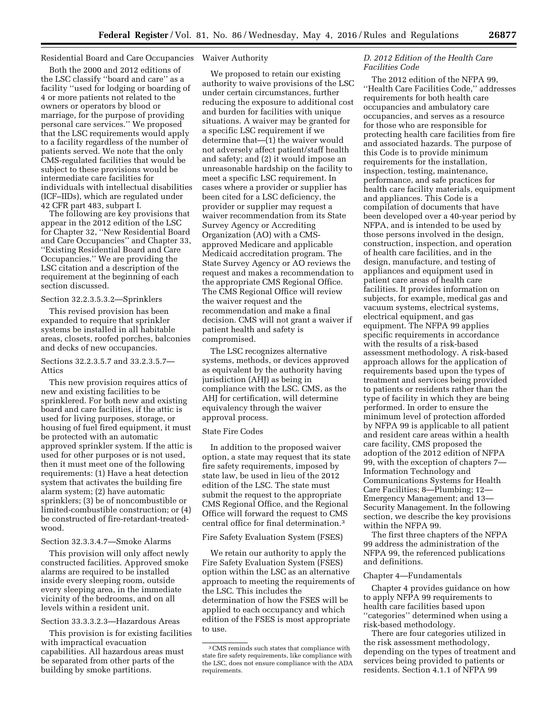#### Residential Board and Care Occupancies Waiver Authority

Both the 2000 and 2012 editions of the LSC classify ''board and care'' as a facility ''used for lodging or boarding of 4 or more patients not related to the owners or operators by blood or marriage, for the purpose of providing personal care services.'' We proposed that the LSC requirements would apply to a facility regardless of the number of patients served. We note that the only CMS-regulated facilities that would be subject to these provisions would be intermediate care facilities for individuals with intellectual disabilities (ICF–IIDs), which are regulated under 42 CFR part 483, subpart I.

The following are key provisions that appear in the 2012 edition of the LSC for Chapter 32, ''New Residential Board and Care Occupancies'' and Chapter 33, ''Existing Residential Board and Care Occupancies.'' We are providing the LSC citation and a description of the requirement at the beginning of each section discussed.

#### Section 32.2.3.5.3.2—Sprinklers

This revised provision has been expanded to require that sprinkler systems be installed in all habitable areas, closets, roofed porches, balconies and decks of new occupancies.

#### Sections 32.2.3.5.7 and 33.2.3.5.7— Attics

This new provision requires attics of new and existing facilities to be sprinklered. For both new and existing board and care facilities, if the attic is used for living purposes, storage, or housing of fuel fired equipment, it must be protected with an automatic approved sprinkler system. If the attic is used for other purposes or is not used, then it must meet one of the following requirements: (1) Have a heat detection system that activates the building fire alarm system; (2) have automatic sprinklers; (3) be of noncombustible or limited-combustible construction; or (4) be constructed of fire-retardant-treatedwood.

#### Section 32.3.3.4.7—Smoke Alarms

This provision will only affect newly constructed facilities. Approved smoke alarms are required to be installed inside every sleeping room, outside every sleeping area, in the immediate vicinity of the bedrooms, and on all levels within a resident unit.

#### Section 33.3.3.2.3—Hazardous Areas

This provision is for existing facilities with impractical evacuation capabilities. All hazardous areas must be separated from other parts of the building by smoke partitions.

We proposed to retain our existing authority to waive provisions of the LSC under certain circumstances, further reducing the exposure to additional cost and burden for facilities with unique situations. A waiver may be granted for a specific LSC requirement if we determine that—(1) the waiver would not adversely affect patient/staff health and safety; and (2) it would impose an unreasonable hardship on the facility to meet a specific LSC requirement. In cases where a provider or supplier has been cited for a LSC deficiency, the provider or supplier may request a waiver recommendation from its State Survey Agency or Accrediting Organization (AO) with a CMSapproved Medicare and applicable Medicaid accreditation program. The State Survey Agency or AO reviews the request and makes a recommendation to the appropriate CMS Regional Office. The CMS Regional Office will review the waiver request and the recommendation and make a final decision. CMS will not grant a waiver if patient health and safety is compromised.

The LSC recognizes alternative systems, methods, or devices approved as equivalent by the authority having jurisdiction (AHJ) as being in compliance with the LSC. CMS, as the AHJ for certification, will determine equivalency through the waiver approval process.

#### State Fire Codes

In addition to the proposed waiver option, a state may request that its state fire safety requirements, imposed by state law, be used in lieu of the 2012 edition of the LSC. The state must submit the request to the appropriate CMS Regional Office, and the Regional Office will forward the request to CMS central office for final determination.3

Fire Safety Evaluation System (FSES)

We retain our authority to apply the Fire Safety Evaluation System (FSES) option within the LSC as an alternative approach to meeting the requirements of the LSC. This includes the determination of how the FSES will be applied to each occupancy and which edition of the FSES is most appropriate to use.

#### *D. 2012 Edition of the Health Care Facilities Code*

The 2012 edition of the NFPA 99, ''Health Care Facilities Code,'' addresses requirements for both health care occupancies and ambulatory care occupancies, and serves as a resource for those who are responsible for protecting health care facilities from fire and associated hazards. The purpose of this Code is to provide minimum requirements for the installation, inspection, testing, maintenance, performance, and safe practices for health care facility materials, equipment and appliances. This Code is a compilation of documents that have been developed over a 40-year period by NFPA, and is intended to be used by those persons involved in the design, construction, inspection, and operation of health care facilities, and in the design, manufacture, and testing of appliances and equipment used in patient care areas of health care facilities. It provides information on subjects, for example, medical gas and vacuum systems, electrical systems, electrical equipment, and gas equipment. The NFPA 99 applies specific requirements in accordance with the results of a risk-based assessment methodology. A risk-based approach allows for the application of requirements based upon the types of treatment and services being provided to patients or residents rather than the type of facility in which they are being performed. In order to ensure the minimum level of protection afforded by NFPA 99 is applicable to all patient and resident care areas within a health care facility, CMS proposed the adoption of the 2012 edition of NFPA 99, with the exception of chapters 7— Information Technology and Communications Systems for Health Care Facilities; 8—Plumbing; 12— Emergency Management; and 13— Security Management. In the following section, we describe the key provisions within the NFPA 99.

The first three chapters of the NFPA 99 address the administration of the NFPA 99, the referenced publications and definitions.

#### Chapter 4—Fundamentals

Chapter 4 provides guidance on how to apply NFPA 99 requirements to health care facilities based upon ''categories'' determined when using a risk-based methodology.

There are four categories utilized in the risk assessment methodology, depending on the types of treatment and services being provided to patients or residents. Section 4.1.1 of NFPA 99

<sup>3</sup>CMS reminds such states that compliance with state fire safety requirements, like compliance with the LSC, does not ensure compliance with the ADA requirements.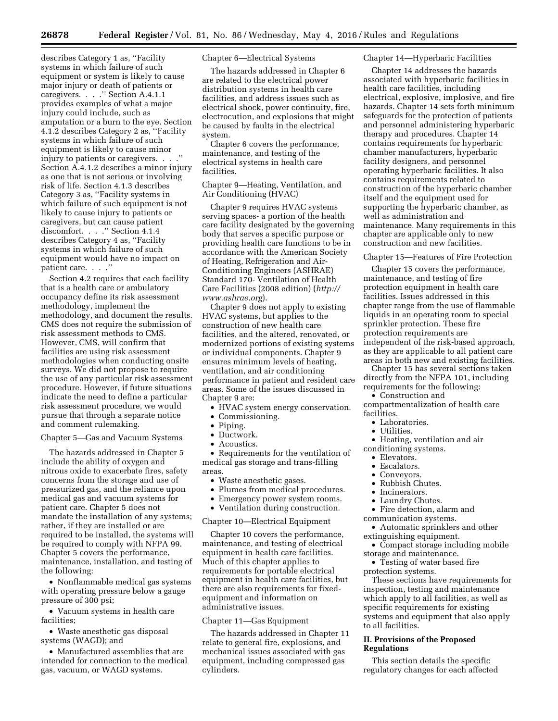describes Category 1 as, ''Facility systems in which failure of such equipment or system is likely to cause major injury or death of patients or caregivers. . . . " Section A.4.1.1 provides examples of what a major injury could include, such as amputation or a burn to the eye. Section 4.1.2 describes Category 2 as, ''Facility systems in which failure of such equipment is likely to cause minor injury to patients or caregivers. . . .'' Section A.4.1.2 describes a minor injury as one that is not serious or involving risk of life. Section 4.1.3 describes Category 3 as, ''Facility systems in which failure of such equipment is not likely to cause injury to patients or caregivers, but can cause patient discomfort. . . .'' Section 4.1.4 describes Category 4 as, ''Facility systems in which failure of such equipment would have no impact on patient care. . . ."

Section 4.2 requires that each facility that is a health care or ambulatory occupancy define its risk assessment methodology, implement the methodology, and document the results. CMS does not require the submission of risk assessment methods to CMS. However, CMS, will confirm that facilities are using risk assessment methodologies when conducting onsite surveys. We did not propose to require the use of any particular risk assessment procedure. However, if future situations indicate the need to define a particular risk assessment procedure, we would pursue that through a separate notice and comment rulemaking.

Chapter 5—Gas and Vacuum Systems

The hazards addressed in Chapter 5 include the ability of oxygen and nitrous oxide to exacerbate fires, safety concerns from the storage and use of pressurized gas, and the reliance upon medical gas and vacuum systems for patient care. Chapter 5 does not mandate the installation of any systems; rather, if they are installed or are required to be installed, the systems will be required to comply with NFPA 99. Chapter 5 covers the performance, maintenance, installation, and testing of the following:

• Nonflammable medical gas systems with operating pressure below a gauge pressure of 300 psi;

• Vacuum systems in health care facilities;

• Waste anesthetic gas disposal systems (WAGD); and

• Manufactured assemblies that are intended for connection to the medical gas, vacuum, or WAGD systems.

#### Chapter 6—Electrical Systems

The hazards addressed in Chapter 6 are related to the electrical power distribution systems in health care facilities, and address issues such as electrical shock, power continuity, fire, electrocution, and explosions that might be caused by faults in the electrical system.

Chapter 6 covers the performance, maintenance, and testing of the electrical systems in health care facilities.

Chapter 9—Heating, Ventilation, and Air Conditioning (HVAC)

Chapter 9 requires HVAC systems serving spaces- a portion of the health care facility designated by the governing body that serves a specific purpose or providing health care functions to be in accordance with the American Society of Heating, Refrigeration and Air-Conditioning Engineers (ASHRAE) Standard 170- Ventilation of Health Care Facilities (2008 edition) (*[http://](http://www.ashrae.org) [www.ashrae.org](http://www.ashrae.org)*).

Chapter 9 does not apply to existing HVAC systems, but applies to the construction of new health care facilities, and the altered, renovated, or modernized portions of existing systems or individual components. Chapter 9 ensures minimum levels of heating, ventilation, and air conditioning performance in patient and resident care areas. Some of the issues discussed in Chapter 9 are:

- HVAC system energy conservation.
- Commissioning.
- Piping.
- Ductwork.
- Acoustics.

• Requirements for the ventilation of medical gas storage and trans-filling areas.

- Waste anesthetic gases.
- Plumes from medical procedures.
- Emergency power system rooms.
- Ventilation during construction.

#### Chapter 10—Electrical Equipment

Chapter 10 covers the performance, maintenance, and testing of electrical equipment in health care facilities. Much of this chapter applies to requirements for portable electrical equipment in health care facilities, but there are also requirements for fixedequipment and information on administrative issues.

#### Chapter 11—Gas Equipment

The hazards addressed in Chapter 11 relate to general fire, explosions, and mechanical issues associated with gas equipment, including compressed gas cylinders.

#### Chapter 14—Hyperbaric Facilities

Chapter 14 addresses the hazards associated with hyperbaric facilities in health care facilities, including electrical, explosive, implosive, and fire hazards. Chapter 14 sets forth minimum safeguards for the protection of patients and personnel administering hyperbaric therapy and procedures. Chapter 14 contains requirements for hyperbaric chamber manufacturers, hyperbaric facility designers, and personnel operating hyperbaric facilities. It also contains requirements related to construction of the hyperbaric chamber itself and the equipment used for supporting the hyperbaric chamber, as well as administration and maintenance. Many requirements in this chapter are applicable only to new construction and new facilities.

Chapter 15—Features of Fire Protection

Chapter 15 covers the performance, maintenance, and testing of fire protection equipment in health care facilities. Issues addressed in this chapter range from the use of flammable liquids in an operating room to special sprinkler protection. These fire protection requirements are independent of the risk-based approach, as they are applicable to all patient care areas in both new and existing facilities.

Chapter 15 has several sections taken directly from the NFPA 101, including requirements for the following:

• Construction and compartmentalization of health care

- facilities.
	- Laboratories.
	- Utilities.
	- Heating, ventilation and air
- conditioning systems.
	- Elevators.
	- Escalators.
	- Conveyors.
	- Rubbish Chutes.
	- Incinerators.
	- Laundry Chutes.

• Fire detection, alarm and communication systems.

• Automatic sprinklers and other extinguishing equipment.

- Compact storage including mobile storage and maintenance.
- Testing of water based fire protection systems.

These sections have requirements for inspection, testing and maintenance which apply to all facilities, as well as specific requirements for existing systems and equipment that also apply to all facilities.

#### **II. Provisions of the Proposed Regulations**

This section details the specific regulatory changes for each affected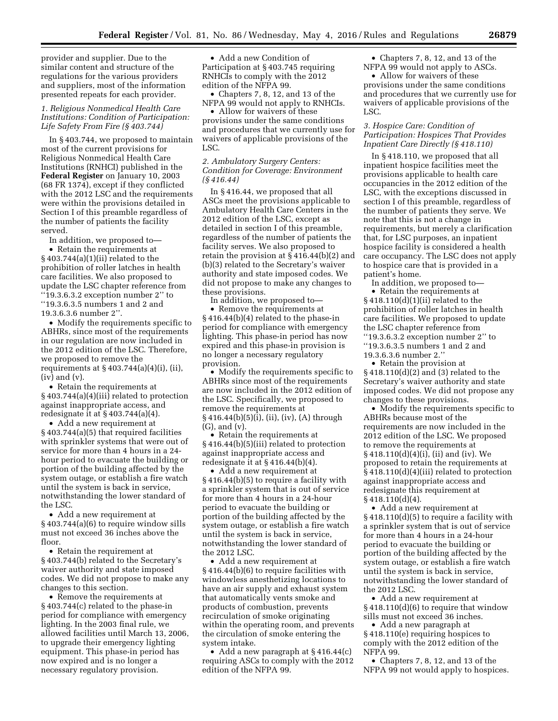provider and supplier. Due to the similar content and structure of the regulations for the various providers and suppliers, most of the information presented repeats for each provider.

#### *1. Religious Nonmedical Health Care Institutions: Condition of Participation: Life Safety From Fire (§ 403.744)*

In § 403.744, we proposed to maintain most of the current provisions for Religious Nonmedical Health Care Institutions (RNHCI) published in the **Federal Register** on January 10, 2003 (68 FR 1374), except if they conflicted with the 2012 LSC and the requirements were within the provisions detailed in Section I of this preamble regardless of the number of patients the facility served.

In addition, we proposed to—

• Retain the requirements at § 403.744(a)(1)(ii) related to the prohibition of roller latches in health care facilities. We also proposed to update the LSC chapter reference from ''19.3.6.3.2 exception number 2'' to ''19.3.6.3.5 numbers 1 and 2 and 19.3.6.3.6 number 2''.

• Modify the requirements specific to ABHRs, since most of the requirements in our regulation are now included in the 2012 edition of the LSC. Therefore, we proposed to remove the requirements at  $\S 403.744(a)(4)(i)$ , (ii),  $(iv)$  and  $(v)$ .

• Retain the requirements at § 403.744(a)(4)(iii) related to protection against inappropriate access, and redesignate it at § 403.744(a)(4).

• Add a new requirement at § 403.744(a)(5) that required facilities with sprinkler systems that were out of service for more than 4 hours in a 24 hour period to evacuate the building or portion of the building affected by the system outage, or establish a fire watch until the system is back in service, notwithstanding the lower standard of the LSC.

• Add a new requirement at § 403.744(a)(6) to require window sills must not exceed 36 inches above the floor.

• Retain the requirement at § 403.744(b) related to the Secretary's waiver authority and state imposed codes. We did not propose to make any changes to this section.

• Remove the requirements at § 403.744(c) related to the phase-in period for compliance with emergency lighting. In the 2003 final rule, we allowed facilities until March 13, 2006, to upgrade their emergency lighting equipment. This phase-in period has now expired and is no longer a necessary regulatory provision.

• Add a new Condition of Participation at § 403.745 requiring RNHCIs to comply with the 2012 edition of the NFPA 99.

• Chapters 7, 8, 12, and 13 of the NFPA 99 would not apply to RNHCIs.

• Allow for waivers of these provisions under the same conditions and procedures that we currently use for waivers of applicable provisions of the LSC.

*2. Ambulatory Surgery Centers: Condition for Coverage: Environment (§ 416.44)* 

In § 416.44, we proposed that all ASCs meet the provisions applicable to Ambulatory Health Care Centers in the 2012 edition of the LSC, except as detailed in section I of this preamble, regardless of the number of patients the facility serves. We also proposed to retain the provision at § 416.44(b)(2) and (b)(3) related to the Secretary's waiver authority and state imposed codes. We did not propose to make any changes to these provisions.

In addition, we proposed to—

• Remove the requirements at § 416.44(b)(4) related to the phase-in period for compliance with emergency lighting. This phase-in period has now expired and this phase-in provision is no longer a necessary regulatory provision.

• Modify the requirements specific to ABHRs since most of the requirements are now included in the 2012 edition of the LSC. Specifically, we proposed to remove the requirements at § 416.44(b)(5)(i), (ii), (iv), (A) through (G), and (v).

• Retain the requirements at § 416.44(b)(5)(iii) related to protection against inappropriate access and redesignate it at  $\S 416.44(b)(4)$ .

• Add a new requirement at § 416.44(b)(5) to require a facility with a sprinkler system that is out of service for more than 4 hours in a 24-hour period to evacuate the building or portion of the building affected by the system outage, or establish a fire watch until the system is back in service, notwithstanding the lower standard of the 2012 LSC.

• Add a new requirement at § 416.44(b)(6) to require facilities with windowless anesthetizing locations to have an air supply and exhaust system that automatically vents smoke and products of combustion, prevents recirculation of smoke originating within the operating room, and prevents the circulation of smoke entering the system intake.

• Add a new paragraph at §416.44(c) requiring ASCs to comply with the 2012 edition of the NFPA 99.

• Chapters 7, 8, 12, and 13 of the NFPA 99 would not apply to ASCs.

• Allow for waivers of these provisions under the same conditions and procedures that we currently use for waivers of applicable provisions of the LSC.

#### *3. Hospice Care: Condition of Participation: Hospices That Provides Inpatient Care Directly (§ 418.110)*

In § 418.110, we proposed that all inpatient hospice facilities meet the provisions applicable to health care occupancies in the 2012 edition of the LSC, with the exceptions discussed in section I of this preamble, regardless of the number of patients they serve. We note that this is not a change in requirements, but merely a clarification that, for LSC purposes, an inpatient hospice facility is considered a health care occupancy. The LSC does not apply to hospice care that is provided in a patient's home.

In addition, we proposed to—

• Retain the requirements at § 418.110(d)(1)(ii) related to the prohibition of roller latches in health care facilities. We proposed to update the LSC chapter reference from ''19.3.6.3.2 exception number 2'' to ''19.3.6.3.5 numbers 1 and 2 and 19.3.6.3.6 number 2.''

• Retain the provision at § 418.110(d)(2) and (3) related to the Secretary's waiver authority and state imposed codes. We did not propose any changes to these provisions.

• Modify the requirements specific to ABHRs because most of the requirements are now included in the 2012 edition of the LSC. We proposed to remove the requirements at § 418.110(d)(4)(i), (ii) and (iv). We proposed to retain the requirements at § 418.110(d)(4)(iii) related to protection against inappropriate access and redesignate this requirement at § 418.110(d)(4).

• Add a new requirement at § 418.110(d)(5) to require a facility with a sprinkler system that is out of service for more than 4 hours in a 24-hour period to evacuate the building or portion of the building affected by the system outage, or establish a fire watch until the system is back in service, notwithstanding the lower standard of the 2012 LSC.

• Add a new requirement at § 418.110(d)(6) to require that window sills must not exceed 36 inches.

• Add a new paragraph at § 418.110(e) requiring hospices to comply with the 2012 edition of the NFPA 99.

• Chapters 7, 8, 12, and 13 of the NFPA 99 not would apply to hospices.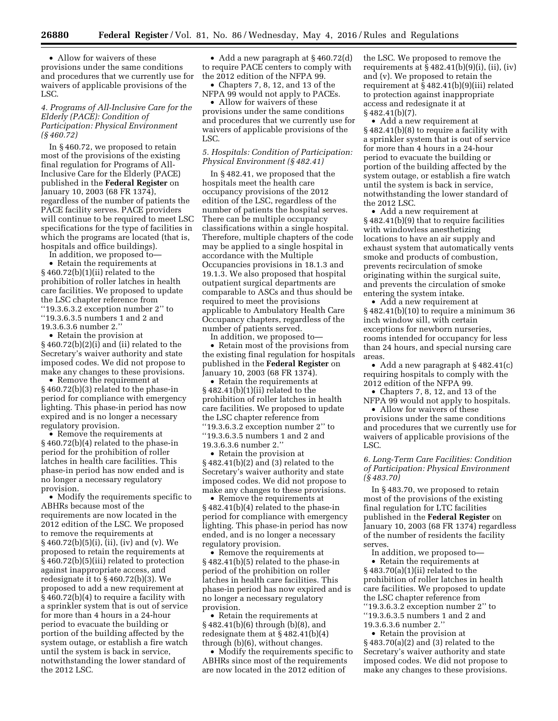• Allow for waivers of these provisions under the same conditions and procedures that we currently use for waivers of applicable provisions of the LSC.

#### *4. Programs of All-Inclusive Care for the Elderly (PACE): Condition of Participation: Physical Environment (§ 460.72)*

In § 460.72, we proposed to retain most of the provisions of the existing final regulation for Programs of All-Inclusive Care for the Elderly (PACE) published in the **Federal Register** on January 10, 2003 (68 FR 1374), regardless of the number of patients the PACE facility serves. PACE providers will continue to be required to meet LSC specifications for the type of facilities in which the programs are located (that is, hospitals and office buildings).

In addition, we proposed to—

• Retain the requirements at § 460.72(b)(1)(ii) related to the prohibition of roller latches in health care facilities. We proposed to update the LSC chapter reference from ''19.3.6.3.2 exception number 2'' to ''19.3.6.3.5 numbers 1 and 2 and 19.3.6.3.6 number 2.''

• Retain the provision at § 460.72(b)(2)(i) and (ii) related to the Secretary's waiver authority and state imposed codes. We did not propose to make any changes to these provisions.

• Remove the requirement at § 460.72(b)(3) related to the phase-in period for compliance with emergency lighting. This phase-in period has now expired and is no longer a necessary regulatory provision.

• Remove the requirements at § 460.72(b)(4) related to the phase-in period for the prohibition of roller latches in health care facilities. This phase-in period has now ended and is no longer a necessary regulatory provision.

• Modify the requirements specific to ABHRs because most of the requirements are now located in the 2012 edition of the LSC. We proposed to remove the requirements at § 460.72(b)(5)(i), (ii), (iv) and (v). We proposed to retain the requirements at § 460.72(b)(5)(iii) related to protection against inappropriate access, and redesignate it to § 460.72(b)(3). We proposed to add a new requirement at § 460.72(b)(4) to require a facility with a sprinkler system that is out of service for more than 4 hours in a 24-hour period to evacuate the building or portion of the building affected by the system outage, or establish a fire watch until the system is back in service, notwithstanding the lower standard of the 2012 LSC.

• Add a new paragraph at §460.72(d) to require PACE centers to comply with the 2012 edition of the NFPA 99.

• Chapters 7, 8, 12, and 13 of the NFPA 99 would not apply to PACEs.

• Allow for waivers of these provisions under the same conditions and procedures that we currently use for waivers of applicable provisions of the LSC.

#### *5. Hospitals: Condition of Participation: Physical Environment (§ 482.41)*

In § 482.41, we proposed that the hospitals meet the health care occupancy provisions of the 2012 edition of the LSC, regardless of the number of patients the hospital serves. There can be multiple occupancy classifications within a single hospital. Therefore, multiple chapters of the code may be applied to a single hospital in accordance with the Multiple Occupancies provisions in 18.1.3 and 19.1.3. We also proposed that hospital outpatient surgical departments are comparable to ASCs and thus should be required to meet the provisions applicable to Ambulatory Health Care Occupancy chapters, regardless of the number of patients served.

In addition, we proposed to— • Retain most of the provisions from the existing final regulation for hospitals published in the **Federal Register** on January 10, 2003 (68 FR 1374).

• Retain the requirements at § 482.41(b)(1)(ii) related to the prohibition of roller latches in health care facilities. We proposed to update the LSC chapter reference from ''19.3.6.3.2 exception number 2'' to ''19.3.6.3.5 numbers 1 and 2 and 19.3.6.3.6 number 2.''

• Retain the provision at § 482.41(b)(2) and (3) related to the Secretary's waiver authority and state imposed codes. We did not propose to make any changes to these provisions.

• Remove the requirements at § 482.41(b)(4) related to the phase-in period for compliance with emergency lighting. This phase-in period has now ended, and is no longer a necessary regulatory provision.

• Remove the requirements at § 482.41(b)(5) related to the phase-in period of the prohibition on roller latches in health care facilities. This phase-in period has now expired and is no longer a necessary regulatory provision.

• Retain the requirements at § 482.41(b)(6) through (b)(8), and redesignate them at § 482.41(b)(4) through (b)(6), without changes.

• Modify the requirements specific to ABHRs since most of the requirements are now located in the 2012 edition of

the LSC. We proposed to remove the requirements at  $§$  482.41(b)(9)(i), (ii), (iv) and (v). We proposed to retain the requirement at § 482.41(b)(9)(iii) related to protection against inappropriate access and redesignate it at § 482.41(b)(7).

• Add a new requirement at § 482.41(b)(8) to require a facility with a sprinkler system that is out of service for more than 4 hours in a 24-hour period to evacuate the building or portion of the building affected by the system outage, or establish a fire watch until the system is back in service, notwithstanding the lower standard of the 2012 LSC.

• Add a new requirement at § 482.41(b)(9) that to require facilities with windowless anesthetizing locations to have an air supply and exhaust system that automatically vents smoke and products of combustion, prevents recirculation of smoke originating within the surgical suite, and prevents the circulation of smoke entering the system intake.

• Add a new requirement at § 482.41(b)(10) to require a minimum 36 inch window sill, with certain exceptions for newborn nurseries, rooms intended for occupancy for less than 24 hours, and special nursing care areas.

• Add a new paragraph at  $\S$  482.41(c) requiring hospitals to comply with the 2012 edition of the NFPA 99.

• Chapters 7, 8, 12, and 13 of the NFPA 99 would not apply to hospitals.

• Allow for waivers of these provisions under the same conditions and procedures that we currently use for waivers of applicable provisions of the LSC.

#### *6. Long-Term Care Facilities: Condition of Participation: Physical Environment (§ 483.70)*

In § 483.70, we proposed to retain most of the provisions of the existing final regulation for LTC facilities published in the **Federal Register** on January 10, 2003 (68 FR 1374) regardless of the number of residents the facility serves.

In addition, we proposed to— • Retain the requirements at § 483.70(a)(1)(ii) related to the prohibition of roller latches in health care facilities. We proposed to update the LSC chapter reference from ''19.3.6.3.2 exception number 2'' to ''19.3.6.3.5 numbers 1 and 2 and 19.3.6.3.6 number 2.''

• Retain the provision at § 483.70(a)(2) and (3) related to the Secretary's waiver authority and state imposed codes. We did not propose to make any changes to these provisions.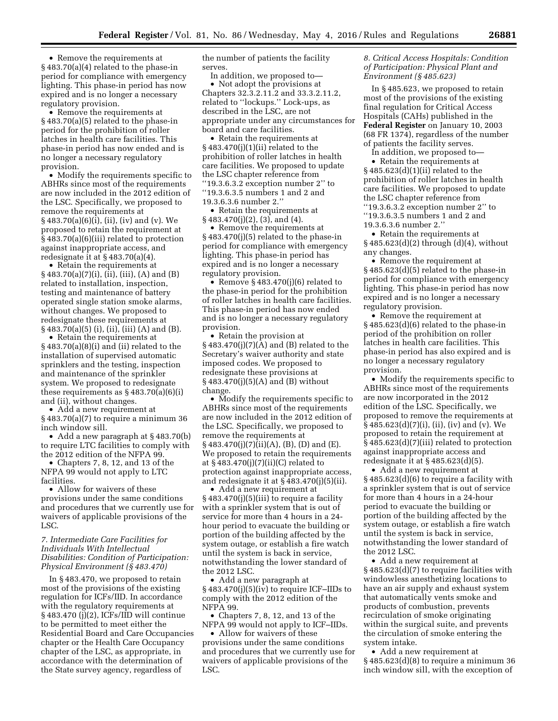• Remove the requirements at § 483.70(a)(4) related to the phase-in period for compliance with emergency lighting. This phase-in period has now expired and is no longer a necessary regulatory provision.

• Remove the requirements at § 483.70(a)(5) related to the phase-in period for the prohibition of roller latches in health care facilities. This phase-in period has now ended and is no longer a necessary regulatory provision.

• Modify the requirements specific to ABHRs since most of the requirements are now included in the 2012 edition of the LSC. Specifically, we proposed to remove the requirements at § 483.70(a)(6)(i), (ii), (iv) and (v). We proposed to retain the requirement at § 483.70(a)(6)(iii) related to protection against inappropriate access, and redesignate it at  $\S 483.70(a)(4)$ .

• Retain the requirements at § 483.70(a)(7)(i), (ii), (iii), (A) and (B) related to installation, inspection, testing and maintenance of battery operated single station smoke alarms, without changes. We proposed to redesignate these requirements at § 483.70(a)(5) (i), (ii), (iii) (A) and (B).

• Retain the requirements at § 483.70(a)(8)(i) and (ii) related to the installation of supervised automatic sprinklers and the testing, inspection and maintenance of the sprinkler system. We proposed to redesignate these requirements as  $§ 483.70(a)(6)(i)$ and (ii), without changes.

• Add a new requirement at  $§ 483.70(a)(7)$  to require a minimum 36 inch window sill.

• Add a new paragraph at § 483.70(b) to require LTC facilities to comply with the 2012 edition of the NFPA 99.

• Chapters 7, 8, 12, and 13 of the NFPA 99 would not apply to LTC facilities.

• Allow for waivers of these provisions under the same conditions and procedures that we currently use for waivers of applicable provisions of the LSC.

#### *7. Intermediate Care Facilities for Individuals With Intellectual Disabilities: Condition of Participation: Physical Environment (§ 483.470)*

In § 483.470, we proposed to retain most of the provisions of the existing regulation for ICFs/IID. In accordance with the regulatory requirements at § 483.470 (j)(2), ICFs/IID will continue to be permitted to meet either the Residential Board and Care Occupancies chapter or the Health Care Occupancy chapter of the LSC, as appropriate, in accordance with the determination of the State survey agency, regardless of

the number of patients the facility serves.

In addition, we proposed to— • Not adopt the provisions at Chapters 32.3.2.11.2 and 33.3.2.11.2, related to ''lockups.'' Lock-ups, as described in the LSC, are not appropriate under any circumstances for board and care facilities.

• Retain the requirements at § 483.470(j)(1)(ii) related to the prohibition of roller latches in health care facilities. We proposed to update the LSC chapter reference from ''19.3.6.3.2 exception number 2'' to ''19.3.6.3.5 numbers 1 and 2 and 19.3.6.3.6 number 2.''

• Retain the requirements at § 483.470(j)(2), (3), and (4).

• Remove the requirements at § 483.470(j)(5) related to the phase-in period for compliance with emergency lighting. This phase-in period has expired and is no longer a necessary regulatory provision.

• Remove  $§$  483.470(j)(6) related to the phase-in period for the prohibition of roller latches in health care facilities. This phase-in period has now ended and is no longer a necessary regulatory provision.

• Retain the provision at  $§$  483.470(j)(7)(A) and (B) related to the Secretary's waiver authority and state imposed codes. We proposed to redesignate these provisions at  $§ 483.470(j)(5)(A)$  and (B) without change.

• Modify the requirements specific to ABHRs since most of the requirements are now included in the 2012 edition of the LSC. Specifically, we proposed to remove the requirements at  $\S 483.470(i)(7)(ii)(A), (B), (D)$  and  $(E).$ We proposed to retain the requirements at § 483.470(j)(7)(ii)(C) related to protection against inappropriate access, and redesignate it at  $§$  483.470(j)(5)(ii).

• Add a new requirement at § 483.470(j)(5)(iii) to require a facility with a sprinkler system that is out of service for more than 4 hours in a 24 hour period to evacuate the building or portion of the building affected by the system outage, or establish a fire watch until the system is back in service, notwithstanding the lower standard of the 2012 LSC.

• Add a new paragraph at § 483.470(j)(5)(iv) to require ICF–IIDs to comply with the 2012 edition of the NFPA 99.

• Chapters 7, 8, 12, and 13 of the NFPA 99 would not apply to ICF–IIDs.

• Allow for waivers of these provisions under the same conditions and procedures that we currently use for waivers of applicable provisions of the LSC.

#### *8. Critical Access Hospitals: Condition of Participation: Physical Plant and Environment (§ 485.623)*

In § 485.623, we proposed to retain most of the provisions of the existing final regulation for Critical Access Hospitals (CAHs) published in the **Federal Register** on January 10, 2003 (68 FR 1374), regardless of the number of patients the facility serves.

In addition, we proposed to—

• Retain the requirements at § 485.623(d)(1)(ii) related to the prohibition of roller latches in health care facilities. We proposed to update the LSC chapter reference from ''19.3.6.3.2 exception number 2'' to ''19.3.6.3.5 numbers 1 and 2 and 19.3.6.3.6 number 2.''

• Retain the requirements at § 485.623(d)(2) through (d)(4), without any changes.

• Remove the requirement at § 485.623(d)(5) related to the phase-in period for compliance with emergency lighting. This phase-in period has now expired and is no longer a necessary regulatory provision.

• Remove the requirement at § 485.623(d)(6) related to the phase-in period of the prohibition on roller latches in health care facilities. This phase-in period has also expired and is no longer a necessary regulatory provision.

• Modify the requirements specific to ABHRs since most of the requirements are now incorporated in the 2012 edition of the LSC. Specifically, we proposed to remove the requirements at § 485.623(d)(7)(i), (ii), (iv) and (v). We proposed to retain the requirement at § 485.623(d)(7)(iii) related to protection against inappropriate access and redesignate it at § 485.623(d)(5).

• Add a new requirement at § 485.623(d)(6) to require a facility with a sprinkler system that is out of service for more than 4 hours in a 24-hour period to evacuate the building or portion of the building affected by the system outage, or establish a fire watch until the system is back in service, notwithstanding the lower standard of the 2012 LSC.

• Add a new requirement at § 485.623(d)(7) to require facilities with windowless anesthetizing locations to have an air supply and exhaust system that automatically vents smoke and products of combustion, prevents recirculation of smoke originating within the surgical suite, and prevents the circulation of smoke entering the system intake.

• Add a new requirement at § 485.623(d)(8) to require a minimum 36 inch window sill, with the exception of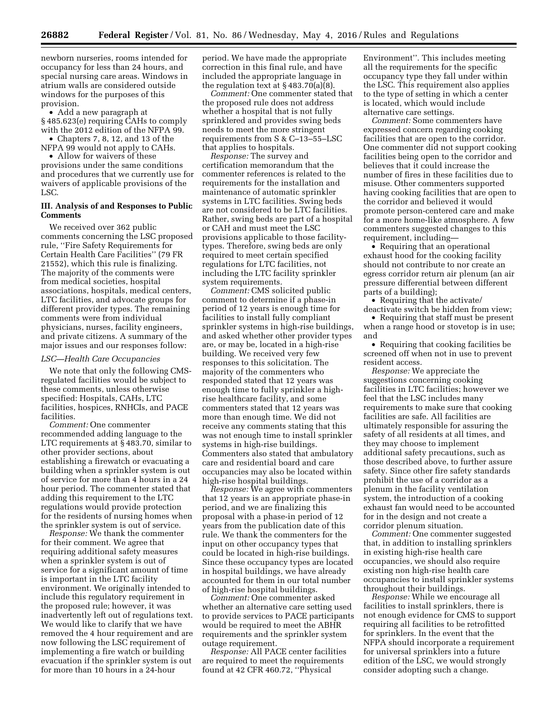newborn nurseries, rooms intended for occupancy for less than 24 hours, and special nursing care areas. Windows in atrium walls are considered outside windows for the purposes of this provision.

• Add a new paragraph at § 485.623(e) requiring CAHs to comply with the 2012 edition of the NFPA 99.

• Chapters 7, 8, 12, and 13 of the NFPA 99 would not apply to CAHs. • Allow for waivers of these

provisions under the same conditions and procedures that we currently use for waivers of applicable provisions of the LSC.

#### **III. Analysis of and Responses to Public Comments**

We received over 362 public comments concerning the LSC proposed rule, ''Fire Safety Requirements for Certain Health Care Facilities'' (79 FR 21552), which this rule is finalizing. The majority of the comments were from medical societies, hospital associations, hospitals, medical centers, LTC facilities, and advocate groups for different provider types. The remaining comments were from individual physicians, nurses, facility engineers, and private citizens. A summary of the major issues and our responses follow:

#### *LSC—Health Care Occupancies*

We note that only the following CMSregulated facilities would be subject to these comments, unless otherwise specified: Hospitals, CAHs, LTC facilities, hospices, RNHCIs, and PACE facilities.

*Comment:* One commenter recommended adding language to the LTC requirements at § 483.70, similar to other provider sections, about establishing a firewatch or evacuating a building when a sprinkler system is out of service for more than 4 hours in a 24 hour period. The commenter stated that adding this requirement to the LTC regulations would provide protection for the residents of nursing homes when the sprinkler system is out of service.

*Response:* We thank the commenter for their comment. We agree that requiring additional safety measures when a sprinkler system is out of service for a significant amount of time is important in the LTC facility environment. We originally intended to include this regulatory requirement in the proposed rule; however, it was inadvertently left out of regulations text. We would like to clarify that we have removed the 4 hour requirement and are now following the LSC requirement of implementing a fire watch or building evacuation if the sprinkler system is out for more than 10 hours in a 24-hour

period. We have made the appropriate correction in this final rule, and have included the appropriate language in the regulation text at  $\S 483.70(a)(8)$ .

*Comment:* One commenter stated that the proposed rule does not address whether a hospital that is not fully sprinklered and provides swing beds needs to meet the more stringent requirements from S & C–13–55–LSC that applies to hospitals.

*Response:* The survey and certification memorandum that the commenter references is related to the requirements for the installation and maintenance of automatic sprinkler systems in LTC facilities. Swing beds are not considered to be LTC facilities. Rather, swing beds are part of a hospital or CAH and must meet the LSC provisions applicable to those facilitytypes. Therefore, swing beds are only required to meet certain specified regulations for LTC facilities, not including the LTC facility sprinkler system requirements.

*Comment:* CMS solicited public comment to determine if a phase-in period of 12 years is enough time for facilities to install fully compliant sprinkler systems in high-rise buildings, and asked whether other provider types are, or may be, located in a high-rise building. We received very few responses to this solicitation. The majority of the commenters who responded stated that 12 years was enough time to fully sprinkler a highrise healthcare facility, and some commenters stated that 12 years was more than enough time. We did not receive any comments stating that this was not enough time to install sprinkler systems in high-rise buildings. Commenters also stated that ambulatory care and residential board and care occupancies may also be located within high-rise hospital buildings.

*Response:* We agree with commenters that 12 years is an appropriate phase-in period, and we are finalizing this proposal with a phase-in period of 12 years from the publication date of this rule. We thank the commenters for the input on other occupancy types that could be located in high-rise buildings. Since these occupancy types are located in hospital buildings, we have already accounted for them in our total number of high-rise hospital buildings.

*Comment:* One commenter asked whether an alternative care setting used to provide services to PACE participants would be required to meet the ABHR requirements and the sprinkler system outage requirement.

*Response:* All PACE center facilities are required to meet the requirements found at 42 CFR 460.72, ''Physical

Environment''. This includes meeting all the requirements for the specific occupancy type they fall under within the LSC. This requirement also applies to the type of setting in which a center is located, which would include alternative care settings.

*Comment:* Some commenters have expressed concern regarding cooking facilities that are open to the corridor. One commenter did not support cooking facilities being open to the corridor and believes that it could increase the number of fires in these facilities due to misuse. Other commenters supported having cooking facilities that are open to the corridor and believed it would promote person-centered care and make for a more home-like atmosphere. A few commenters suggested changes to this requirement, including—

• Requiring that an operational exhaust hood for the cooking facility should not contribute to nor create an egress corridor return air plenum (an air pressure differential between different parts of a building);

• Requiring that the activate/ deactivate switch be hidden from view;

• Requiring that staff must be present when a range hood or stovetop is in use; and

• Requiring that cooking facilities be screened off when not in use to prevent resident access.

*Response:* We appreciate the suggestions concerning cooking facilities in LTC facilities; however we feel that the LSC includes many requirements to make sure that cooking facilities are safe. All facilities are ultimately responsible for assuring the safety of all residents at all times, and they may choose to implement additional safety precautions, such as those described above, to further assure safety. Since other fire safety standards prohibit the use of a corridor as a plenum in the facility ventilation system, the introduction of a cooking exhaust fan would need to be accounted for in the design and not create a corridor plenum situation.

*Comment:* One commenter suggested that, in addition to installing sprinklers in existing high-rise health care occupancies, we should also require existing non high-rise health care occupancies to install sprinkler systems throughout their buildings.

*Response:* While we encourage all facilities to install sprinklers, there is not enough evidence for CMS to support requiring all facilities to be retrofitted for sprinklers. In the event that the NFPA should incorporate a requirement for universal sprinklers into a future edition of the LSC, we would strongly consider adopting such a change.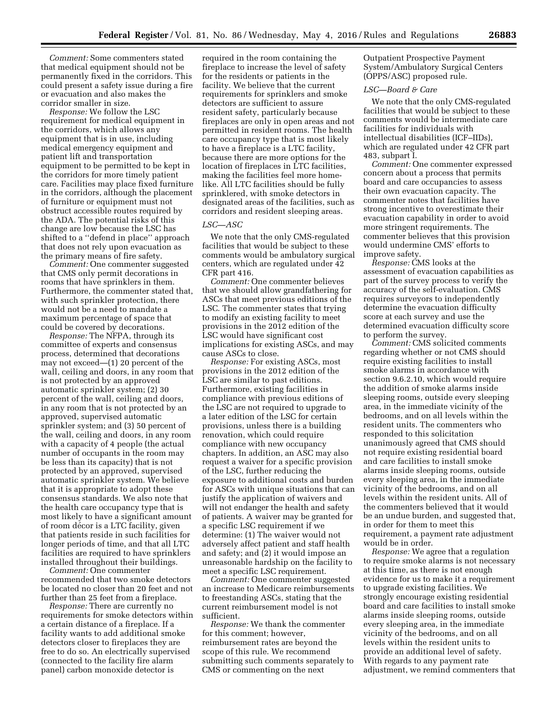*Comment:* Some commenters stated that medical equipment should not be permanently fixed in the corridors. This could present a safety issue during a fire or evacuation and also makes the corridor smaller in size.

*Response:* We follow the LSC requirement for medical equipment in the corridors, which allows any equipment that is in use, including medical emergency equipment and patient lift and transportation equipment to be permitted to be kept in the corridors for more timely patient care. Facilities may place fixed furniture in the corridors, although the placement of furniture or equipment must not obstruct accessible routes required by the ADA. The potential risks of this change are low because the LSC has shifted to a ''defend in place'' approach that does not rely upon evacuation as the primary means of fire safety.

*Comment:* One commenter suggested that CMS only permit decorations in rooms that have sprinklers in them. Furthermore, the commenter stated that, with such sprinkler protection, there would not be a need to mandate a maximum percentage of space that could be covered by decorations.

*Response:* The NFPA, through its committee of experts and consensus process, determined that decorations may not exceed—(1) 20 percent of the wall, ceiling and doors, in any room that is not protected by an approved automatic sprinkler system; (2) 30 percent of the wall, ceiling and doors, in any room that is not protected by an approved, supervised automatic sprinkler system; and (3) 50 percent of the wall, ceiling and doors, in any room with a capacity of 4 people (the actual number of occupants in the room may be less than its capacity) that is not protected by an approved, supervised automatic sprinkler system. We believe that it is appropriate to adopt these consensus standards. We also note that the health care occupancy type that is most likely to have a significant amount of room décor is a LTC facility, given that patients reside in such facilities for longer periods of time, and that all LTC facilities are required to have sprinklers installed throughout their buildings.

*Comment:* One commenter recommended that two smoke detectors be located no closer than 20 feet and not further than 25 feet from a fireplace.

*Response:* There are currently no requirements for smoke detectors within a certain distance of a fireplace. If a facility wants to add additional smoke detectors closer to fireplaces they are free to do so. An electrically supervised (connected to the facility fire alarm panel) carbon monoxide detector is

required in the room containing the fireplace to increase the level of safety for the residents or patients in the facility. We believe that the current requirements for sprinklers and smoke detectors are sufficient to assure resident safety, particularly because fireplaces are only in open areas and not permitted in resident rooms. The health care occupancy type that is most likely to have a fireplace is a LTC facility, because there are more options for the location of fireplaces in LTC facilities, making the facilities feel more homelike. All LTC facilities should be fully sprinklered, with smoke detectors in designated areas of the facilities, such as corridors and resident sleeping areas.

#### *LSC—ASC*

We note that the only CMS-regulated facilities that would be subject to these comments would be ambulatory surgical centers, which are regulated under 42 CFR part 416.

*Comment:* One commenter believes that we should allow grandfathering for ASCs that meet previous editions of the LSC. The commenter states that trying to modify an existing facility to meet provisions in the 2012 edition of the LSC would have significant cost implications for existing ASCs, and may cause ASCs to close.

*Response:* For existing ASCs, most provisions in the 2012 edition of the LSC are similar to past editions. Furthermore, existing facilities in compliance with previous editions of the LSC are not required to upgrade to a later edition of the LSC for certain provisions, unless there is a building renovation, which could require compliance with new occupancy chapters. In addition, an ASC may also request a waiver for a specific provision of the LSC, further reducing the exposure to additional costs and burden for ASCs with unique situations that can justify the application of waivers and will not endanger the health and safety of patients. A waiver may be granted for a specific LSC requirement if we determine: (1) The waiver would not adversely affect patient and staff health and safety; and (2) it would impose an unreasonable hardship on the facility to meet a specific LSC requirement.

*Comment:* One commenter suggested an increase to Medicare reimbursements to freestanding ASCs, stating that the current reimbursement model is not sufficient.

*Response:* We thank the commenter for this comment; however, reimbursement rates are beyond the scope of this rule. We recommend submitting such comments separately to CMS or commenting on the next

Outpatient Prospective Payment System/Ambulatory Surgical Centers (OPPS/ASC) proposed rule.

#### *LSC—Board & Care*

We note that the only CMS-regulated facilities that would be subject to these comments would be intermediate care facilities for individuals with intellectual disabilities (ICF–IIDs), which are regulated under 42 CFR part 483, subpart I.

*Comment:* One commenter expressed concern about a process that permits board and care occupancies to assess their own evacuation capacity. The commenter notes that facilities have strong incentive to overestimate their evacuation capability in order to avoid more stringent requirements. The commenter believes that this provision would undermine CMS' efforts to improve safety.

*Response:* CMS looks at the assessment of evacuation capabilities as part of the survey process to verify the accuracy of the self-evaluation. CMS requires surveyors to independently determine the evacuation difficulty score at each survey and use the determined evacuation difficulty score to perform the survey.

*Comment:* CMS solicited comments regarding whether or not CMS should require existing facilities to install smoke alarms in accordance with section 9.6.2.10, which would require the addition of smoke alarms inside sleeping rooms, outside every sleeping area, in the immediate vicinity of the bedrooms, and on all levels within the resident units. The commenters who responded to this solicitation unanimously agreed that CMS should not require existing residential board and care facilities to install smoke alarms inside sleeping rooms, outside every sleeping area, in the immediate vicinity of the bedrooms, and on all levels within the resident units. All of the commenters believed that it would be an undue burden, and suggested that, in order for them to meet this requirement, a payment rate adjustment would be in order.

*Response:* We agree that a regulation to require smoke alarms is not necessary at this time, as there is not enough evidence for us to make it a requirement to upgrade existing facilities. We strongly encourage existing residential board and care facilities to install smoke alarms inside sleeping rooms, outside every sleeping area, in the immediate vicinity of the bedrooms, and on all levels within the resident units to provide an additional level of safety. With regards to any payment rate adjustment, we remind commenters that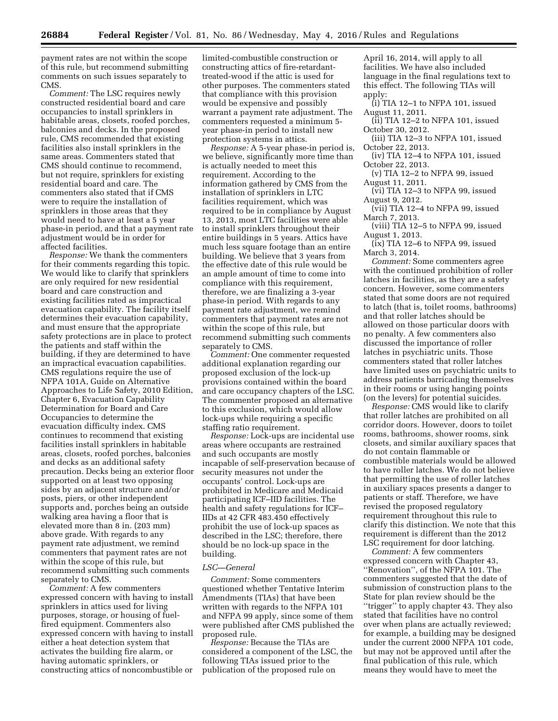payment rates are not within the scope of this rule, but recommend submitting comments on such issues separately to CMS.

*Comment:* The LSC requires newly constructed residential board and care occupancies to install sprinklers in habitable areas, closets, roofed porches, balconies and decks. In the proposed rule, CMS recommended that existing facilities also install sprinklers in the same areas. Commenters stated that CMS should continue to recommend, but not require, sprinklers for existing residential board and care. The commenters also stated that if CMS were to require the installation of sprinklers in those areas that they would need to have at least a 5 year phase-in period, and that a payment rate adjustment would be in order for affected facilities.

*Response:* We thank the commenters for their comments regarding this topic. We would like to clarify that sprinklers are only required for new residential board and care construction and existing facilities rated as impractical evacuation capability. The facility itself determines their evacuation capability, and must ensure that the appropriate safety protections are in place to protect the patients and staff within the building, if they are determined to have an impractical evacuation capabilities. CMS regulations require the use of NFPA 101A, Guide on Alternative Approaches to Life Safety, 2010 Edition, Chapter 6, Evacuation Capability Determination for Board and Care Occupancies to determine the evacuation difficulty index. CMS continues to recommend that existing facilities install sprinklers in habitable areas, closets, roofed porches, balconies and decks as an additional safety precaution. Decks being an exterior floor supported on at least two opposing sides by an adjacent structure and/or posts, piers, or other independent supports and, porches being an outside walking area having a floor that is elevated more than 8 in. (203 mm) above grade. With regards to any payment rate adjustment, we remind commenters that payment rates are not within the scope of this rule, but recommend submitting such comments separately to CMS.

*Comment:* A few commenters expressed concern with having to install sprinklers in attics used for living purposes, storage, or housing of fuelfired equipment. Commenters also expressed concern with having to install either a heat detection system that activates the building fire alarm, or having automatic sprinklers, or constructing attics of noncombustible or

limited-combustible construction or constructing attics of fire-retardanttreated-wood if the attic is used for other purposes. The commenters stated that compliance with this provision would be expensive and possibly warrant a payment rate adjustment. The commenters requested a minimum 5 year phase-in period to install new protection systems in attics.

*Response:* A 5-year phase-in period is, we believe, significantly more time than is actually needed to meet this requirement. According to the information gathered by CMS from the installation of sprinklers in LTC facilities requirement, which was required to be in compliance by August 13, 2013, most LTC facilities were able to install sprinklers throughout their entire buildings in 5 years. Attics have much less square footage than an entire building. We believe that 3 years from the effective date of this rule would be an ample amount of time to come into compliance with this requirement, therefore, we are finalizing a 3-year phase-in period. With regards to any payment rate adjustment, we remind commenters that payment rates are not within the scope of this rule, but recommend submitting such comments separately to CMS.

*Comment:* One commenter requested additional explanation regarding our proposed exclusion of the lock-up provisions contained within the board and care occupancy chapters of the LSC. The commenter proposed an alternative to this exclusion, which would allow lock-ups while requiring a specific staffing ratio requirement.

*Response:* Lock-ups are incidental use areas where occupants are restrained and such occupants are mostly incapable of self-preservation because of security measures not under the occupants' control. Lock-ups are prohibited in Medicare and Medicaid participating ICF–IID facilities. The health and safety regulations for ICF– IIDs at 42 CFR 483.450 effectively prohibit the use of lock-up spaces as described in the LSC; therefore, there should be no lock-up space in the building.

#### *LSC—General*

*Comment:* Some commenters questioned whether Tentative Interim Amendments (TIAs) that have been written with regards to the NFPA 101 and NFPA 99 apply, since some of them were published after CMS published the proposed rule.

*Response:* Because the TIAs are considered a component of the LSC, the following TIAs issued prior to the publication of the proposed rule on

April 16, 2014, will apply to all facilities. We have also included language in the final regulations text to this effect. The following TIAs will apply:

- (i) TIA 12–1 to NFPA 101, issued August 11, 2011.
- (ii) TIA 12–2 to NFPA 101, issued October 30, 2012.
- (iii) TIA 12–3 to NFPA 101, issued October 22, 2013.

(iv) TIA 12–4 to NFPA 101, issued October 22, 2013.

(v) TIA 12–2 to NFPA 99, issued August 11, 2011.

(vi) TIA 12–3 to NFPA 99, issued August 9, 2012.

(vii) TIA 12–4 to NFPA 99, issued March 7, 2013.

(viii) TIA 12–5 to NFPA 99, issued August 1, 2013.

(ix) TIA 12–6 to NFPA 99, issued March 3, 2014.

*Comment:* Some commenters agree with the continued prohibition of roller latches in facilities, as they are a safety concern. However, some commenters stated that some doors are not required to latch (that is, toilet rooms, bathrooms) and that roller latches should be allowed on those particular doors with no penalty. A few commenters also discussed the importance of roller latches in psychiatric units. Those commenters stated that roller latches have limited uses on psychiatric units to address patients barricading themselves in their rooms or using hanging points (on the levers) for potential suicides.

*Response:* CMS would like to clarify that roller latches are prohibited on all corridor doors. However, doors to toilet rooms, bathrooms, shower rooms, sink closets, and similar auxiliary spaces that do not contain flammable or combustible materials would be allowed to have roller latches. We do not believe that permitting the use of roller latches in auxiliary spaces presents a danger to patients or staff. Therefore, we have revised the proposed regulatory requirement throughout this rule to clarify this distinction. We note that this requirement is different than the 2012 LSC requirement for door latching.

*Comment:* A few commenters expressed concern with Chapter 43, ''Renovation'', of the NFPA 101. The commenters suggested that the date of submission of construction plans to the State for plan review should be the ''trigger'' to apply chapter 43. They also stated that facilities have no control over when plans are actually reviewed; for example, a building may be designed under the current 2000 NFPA 101 code, but may not be approved until after the final publication of this rule, which means they would have to meet the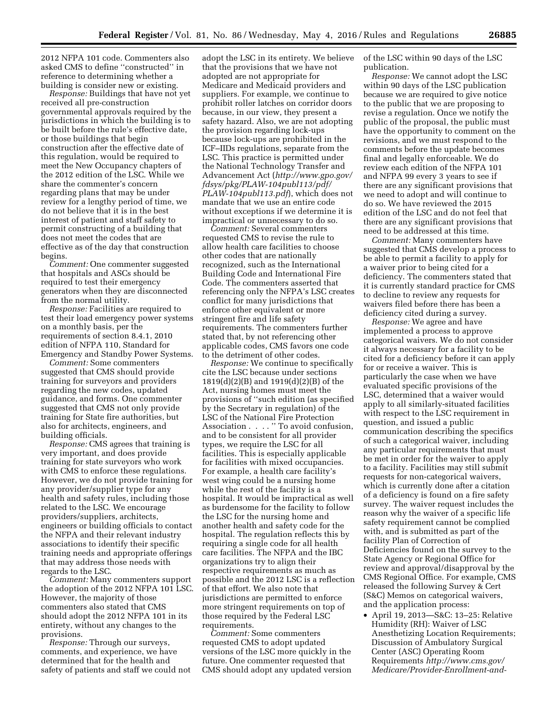2012 NFPA 101 code. Commenters also asked CMS to define ''constructed'' in reference to determining whether a building is consider new or existing.

*Response:* Buildings that have not yet received all pre-construction governmental approvals required by the jurisdictions in which the building is to be built before the rule's effective date, or those buildings that begin construction after the effective date of this regulation, would be required to meet the New Occupancy chapters of the 2012 edition of the LSC. While we share the commenter's concern regarding plans that may be under review for a lengthy period of time, we do not believe that it is in the best interest of patient and staff safety to permit constructing of a building that does not meet the codes that are effective as of the day that construction begins.

*Comment:* One commenter suggested that hospitals and ASCs should be required to test their emergency generators when they are disconnected from the normal utility.

*Response:* Facilities are required to test their load emergency power systems on a monthly basis, per the requirements of section 8.4.1, 2010 edition of NFPA 110, Standard for Emergency and Standby Power Systems.

*Comment:* Some commenters suggested that CMS should provide training for surveyors and providers regarding the new codes, updated guidance, and forms. One commenter suggested that CMS not only provide training for State fire authorities, but also for architects, engineers, and building officials.

*Response:* CMS agrees that training is very important, and does provide training for state surveyors who work with CMS to enforce these regulations. However, we do not provide training for any provider/supplier type for any health and safety rules, including those related to the LSC. We encourage providers/suppliers, architects, engineers or building officials to contact the NFPA and their relevant industry associations to identify their specific training needs and appropriate offerings that may address those needs with regards to the LSC.

*Comment:* Many commenters support the adoption of the 2012 NFPA 101 LSC. However, the majority of those commenters also stated that CMS should adopt the 2012 NFPA 101 in its entirety, without any changes to the provisions.

*Response:* Through our surveys, comments, and experience, we have determined that for the health and safety of patients and staff we could not

adopt the LSC in its entirety. We believe that the provisions that we have not adopted are not appropriate for Medicare and Medicaid providers and suppliers. For example, we continue to prohibit roller latches on corridor doors because, in our view, they present a safety hazard. Also, we are not adopting the provision regarding lock-ups because lock-ups are prohibited in the ICF–IIDs regulations, separate from the LSC. This practice is permitted under the National Technology Transfer and Advancement Act (*[http://www.gpo.gov/](http://www.gpo.gov/fdsys/pkg/PLAW-104publ113/pdf/PLAW-104publ113.pdf)  [fdsys/pkg/PLAW-104publ113/pdf/](http://www.gpo.gov/fdsys/pkg/PLAW-104publ113/pdf/PLAW-104publ113.pdf) [PLAW-104publ113.pdf](http://www.gpo.gov/fdsys/pkg/PLAW-104publ113/pdf/PLAW-104publ113.pdf)*), which does not mandate that we use an entire code without exceptions if we determine it is impractical or unnecessary to do so.

*Comment:* Several commenters requested CMS to revise the rule to allow health care facilities to choose other codes that are nationally recognized, such as the International Building Code and International Fire Code. The commenters asserted that referencing only the NFPA's LSC creates conflict for many jurisdictions that enforce other equivalent or more stringent fire and life safety requirements. The commenters further stated that, by not referencing other applicable codes, CMS favors one code to the detriment of other codes.

*Response:* We continue to specifically cite the LSC because under sections 1819(d)(2)(B) and 1919(d)(2)(B) of the Act, nursing homes must meet the provisions of ''such edition (as specified by the Secretary in regulation) of the LSC of the National Fire Protection Association . . . . '' To avoid confusion, and to be consistent for all provider types, we require the LSC for all facilities. This is especially applicable for facilities with mixed occupancies. For example, a health care facility's west wing could be a nursing home while the rest of the facility is a hospital. It would be impractical as well as burdensome for the facility to follow the LSC for the nursing home and another health and safety code for the hospital. The regulation reflects this by requiring a single code for all health care facilities. The NFPA and the IBC organizations try to align their respective requirements as much as possible and the 2012 LSC is a reflection of that effort. We also note that jurisdictions are permitted to enforce more stringent requirements on top of those required by the Federal LSC requirements.

*Comment:* Some commenters requested CMS to adopt updated versions of the LSC more quickly in the future. One commenter requested that CMS should adopt any updated version of the LSC within 90 days of the LSC publication.

*Response:* We cannot adopt the LSC within 90 days of the LSC publication because we are required to give notice to the public that we are proposing to revise a regulation. Once we notify the public of the proposal, the public must have the opportunity to comment on the revisions, and we must respond to the comments before the update becomes final and legally enforceable. We do review each edition of the NFPA 101 and NFPA 99 every 3 years to see if there are any significant provisions that we need to adopt and will continue to do so. We have reviewed the 2015 edition of the LSC and do not feel that there are any significant provisions that need to be addressed at this time.

*Comment:* Many commenters have suggested that CMS develop a process to be able to permit a facility to apply for a waiver prior to being cited for a deficiency. The commenters stated that it is currently standard practice for CMS to decline to review any requests for waivers filed before there has been a deficiency cited during a survey.

*Response:* We agree and have implemented a process to approve categorical waivers. We do not consider it always necessary for a facility to be cited for a deficiency before it can apply for or receive a waiver. This is particularly the case when we have evaluated specific provisions of the LSC, determined that a waiver would apply to all similarly-situated facilities with respect to the LSC requirement in question, and issued a public communication describing the specifics of such a categorical waiver, including any particular requirements that must be met in order for the waiver to apply to a facility. Facilities may still submit requests for non-categorical waivers, which is currently done after a citation of a deficiency is found on a fire safety survey. The waiver request includes the reason why the waiver of a specific life safety requirement cannot be complied with, and is submitted as part of the facility Plan of Correction of Deficiencies found on the survey to the State Agency or Regional Office for review and approval/disapproval by the CMS Regional Office. For example, CMS released the following Survey & Cert (S&C) Memos on categorical waivers, and the application process:

• April 19, 2013—S&C: 13–25: Relative Humidity (RH): Waiver of LSC Anesthetizing Location Requirements; Discussion of Ambulatory Surgical Center (ASC) Operating Room Requirements *[http://www.cms.gov/](http://www.cms.gov/Medicare/Provider-Enrollment-and-Certification/SurveyCertificationGenInfo/Downloads/Survey-and-Cert-Letter-13-25.pdf) [Medicare/Provider-Enrollment-and-](http://www.cms.gov/Medicare/Provider-Enrollment-and-Certification/SurveyCertificationGenInfo/Downloads/Survey-and-Cert-Letter-13-25.pdf)*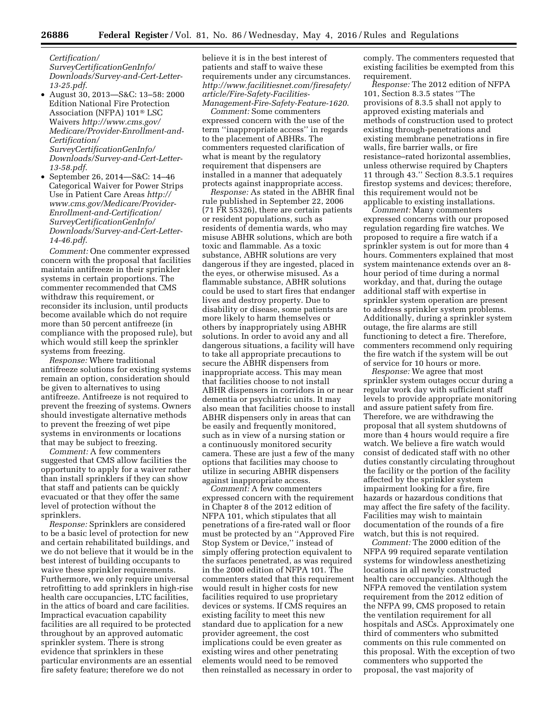*Certification/ SurveyCertificationGenInfo/ [Downloads/Survey-and-Cert-Letter-](http://www.cms.gov/Medicare/Provider-Enrollment-and-Certification/SurveyCertificationGenInfo/Downloads/Survey-and-Cert-Letter-13-25.pdf)13-25.pdf*.

- August 30, 2013—S&C: 13–58: 2000 Edition National Fire Protection Association (NFPA) 101® LSC Waivers *[http://www.cms.gov/](http://www.cms.gov/Medicare/Provider-Enrollment-and-Certification/SurveyCertificationGenInfo/Downloads/Survey-and-Cert-Letter-13-58.pdf) [Medicare/Provider-Enrollment-and-](http://www.cms.gov/Medicare/Provider-Enrollment-and-Certification/SurveyCertificationGenInfo/Downloads/Survey-and-Cert-Letter-13-58.pdf)[Certification/](http://www.cms.gov/Medicare/Provider-Enrollment-and-Certification/SurveyCertificationGenInfo/Downloads/Survey-and-Cert-Letter-13-58.pdf) [SurveyCertificationGenInfo/](http://www.cms.gov/Medicare/Provider-Enrollment-and-Certification/SurveyCertificationGenInfo/Downloads/Survey-and-Cert-Letter-13-58.pdf) [Downloads/Survey-and-Cert-Letter-](http://www.cms.gov/Medicare/Provider-Enrollment-and-Certification/SurveyCertificationGenInfo/Downloads/Survey-and-Cert-Letter-13-58.pdf)[13-58.pdf](http://www.cms.gov/Medicare/Provider-Enrollment-and-Certification/SurveyCertificationGenInfo/Downloads/Survey-and-Cert-Letter-13-58.pdf)*.
- September 26, 2014—S&C: 14–46 Categorical Waiver for Power Strips Use in Patient Care Areas *[http://](http://www.cms.gov/Medicare/Provider-Enrollment-and-Certification/SurveyCertificationGenInfo/Downloads/Survey-and-Cert-Letter-14-46.pdf) [www.cms.gov/Medicare/Provider-](http://www.cms.gov/Medicare/Provider-Enrollment-and-Certification/SurveyCertificationGenInfo/Downloads/Survey-and-Cert-Letter-14-46.pdf)[Enrollment-and-Certification/](http://www.cms.gov/Medicare/Provider-Enrollment-and-Certification/SurveyCertificationGenInfo/Downloads/Survey-and-Cert-Letter-14-46.pdf) [SurveyCertificationGenInfo/](http://www.cms.gov/Medicare/Provider-Enrollment-and-Certification/SurveyCertificationGenInfo/Downloads/Survey-and-Cert-Letter-14-46.pdf) [Downloads/Survey-and-Cert-Letter-](http://www.cms.gov/Medicare/Provider-Enrollment-and-Certification/SurveyCertificationGenInfo/Downloads/Survey-and-Cert-Letter-14-46.pdf)[14-46.pdf](http://www.cms.gov/Medicare/Provider-Enrollment-and-Certification/SurveyCertificationGenInfo/Downloads/Survey-and-Cert-Letter-14-46.pdf)*.

*Comment:* One commenter expressed concern with the proposal that facilities maintain antifreeze in their sprinkler systems in certain proportions. The commenter recommended that CMS withdraw this requirement, or reconsider its inclusion, until products become available which do not require more than 50 percent antifreeze (in compliance with the proposed rule), but which would still keep the sprinkler systems from freezing.

*Response:* Where traditional antifreeze solutions for existing systems remain an option, consideration should be given to alternatives to using antifreeze. Antifreeze is not required to prevent the freezing of systems. Owners should investigate alternative methods to prevent the freezing of wet pipe systems in environments or locations that may be subject to freezing.

*Comment:* A few commenters suggested that CMS allow facilities the opportunity to apply for a waiver rather than install sprinklers if they can show that staff and patients can be quickly evacuated or that they offer the same level of protection without the sprinklers.

*Response:* Sprinklers are considered to be a basic level of protection for new and certain rehabilitated buildings, and we do not believe that it would be in the best interest of building occupants to waive these sprinkler requirements. Furthermore, we only require universal retrofitting to add sprinklers in high-rise health care occupancies, LTC facilities, in the attics of board and care facilities. Impractical evacuation capability facilities are all required to be protected throughout by an approved automatic sprinkler system. There is strong evidence that sprinklers in these particular environments are an essential fire safety feature; therefore we do not

believe it is in the best interest of patients and staff to waive these requirements under any circumstances. *[http://www.facilitiesnet.com/firesafety/](http://www.facilitiesnet.com/firesafety/article/Fire-Safety-Facilities-Management-Fire-Safety-Feature-1620) [article/Fire-Safety-Facilities-](http://www.facilitiesnet.com/firesafety/article/Fire-Safety-Facilities-Management-Fire-Safety-Feature-1620)[Management-Fire-Safety-Feature-1620](http://www.facilitiesnet.com/firesafety/article/Fire-Safety-Facilities-Management-Fire-Safety-Feature-1620)*.

*Comment:* Some commenters expressed concern with the use of the term ''inappropriate access'' in regards to the placement of ABHRs. The commenters requested clarification of what is meant by the regulatory requirement that dispensers are installed in a manner that adequately protects against inappropriate access.

*Response:* As stated in the ABHR final rule published in September 22, 2006 (71 FR 55326), there are certain patients or resident populations, such as residents of dementia wards, who may misuse ABHR solutions, which are both toxic and flammable. As a toxic substance, ABHR solutions are very dangerous if they are ingested, placed in the eyes, or otherwise misused. As a flammable substance, ABHR solutions could be used to start fires that endanger lives and destroy property. Due to disability or disease, some patients are more likely to harm themselves or others by inappropriately using ABHR solutions. In order to avoid any and all dangerous situations, a facility will have to take all appropriate precautions to secure the ABHR dispensers from inappropriate access. This may mean that facilities choose to not install ABHR dispensers in corridors in or near dementia or psychiatric units. It may also mean that facilities choose to install ABHR dispensers only in areas that can be easily and frequently monitored, such as in view of a nursing station or a continuously monitored security camera. These are just a few of the many options that facilities may choose to utilize in securing ABHR dispensers against inappropriate access.

*Comment:* A few commenters expressed concern with the requirement in Chapter 8 of the 2012 edition of NFPA 101, which stipulates that all penetrations of a fire-rated wall or floor must be protected by an ''Approved Fire Stop System or Device,'' instead of simply offering protection equivalent to the surfaces penetrated, as was required in the 2000 edition of NFPA 101. The commenters stated that this requirement would result in higher costs for new facilities required to use proprietary devices or systems. If CMS requires an existing facility to meet this new standard due to application for a new provider agreement, the cost implications could be even greater as existing wires and other penetrating elements would need to be removed then reinstalled as necessary in order to

comply. The commenters requested that existing facilities be exempted from this requirement.

*Response:* The 2012 edition of NFPA 101, Section 8.3.5 states ''The provisions of 8.3.5 shall not apply to approved existing materials and methods of construction used to protect existing through-penetrations and existing membrane penetrations in fire walls, fire barrier walls, or fire resistance–rated horizontal assemblies, unless otherwise required by Chapters 11 through 43.'' Section 8.3.5.1 requires firestop systems and devices; therefore, this requirement would not be applicable to existing installations.

*Comment:* Many commenters expressed concerns with our proposed regulation regarding fire watches. We proposed to require a fire watch if a sprinkler system is out for more than 4 hours. Commenters explained that most system maintenance extends over an 8 hour period of time during a normal workday, and that, during the outage additional staff with expertise in sprinkler system operation are present to address sprinkler system problems. Additionally, during a sprinkler system outage, the fire alarms are still functioning to detect a fire. Therefore, commenters recommend only requiring the fire watch if the system will be out of service for 10 hours or more.

*Response:* We agree that most sprinkler system outages occur during a regular work day with sufficient staff levels to provide appropriate monitoring and assure patient safety from fire. Therefore, we are withdrawing the proposal that all system shutdowns of more than 4 hours would require a fire watch. We believe a fire watch would consist of dedicated staff with no other duties constantly circulating throughout the facility or the portion of the facility affected by the sprinkler system impairment looking for a fire, fire hazards or hazardous conditions that may affect the fire safety of the facility. Facilities may wish to maintain documentation of the rounds of a fire watch, but this is not required.

*Comment:* The 2000 edition of the NFPA 99 required separate ventilation systems for windowless anesthetizing locations in all newly constructed health care occupancies. Although the NFPA removed the ventilation system requirement from the 2012 edition of the NFPA 99, CMS proposed to retain the ventilation requirement for all hospitals and ASCs. Approximately one third of commenters who submitted comments on this rule commented on this proposal. With the exception of two commenters who supported the proposal, the vast majority of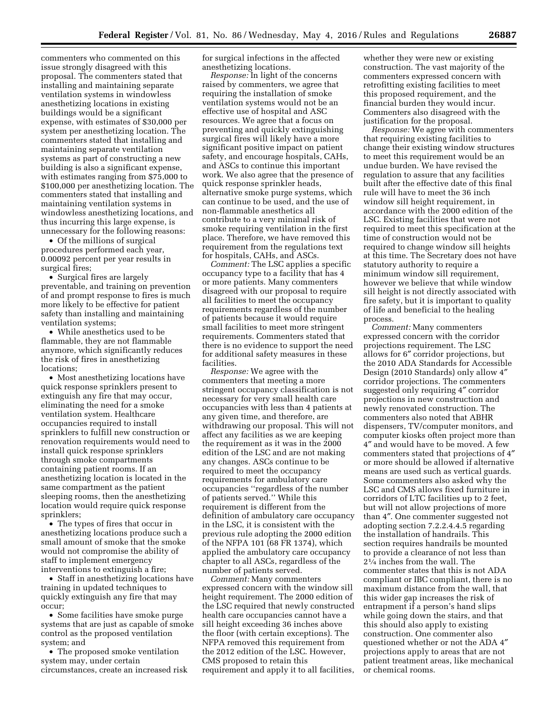commenters who commented on this issue strongly disagreed with this proposal. The commenters stated that installing and maintaining separate ventilation systems in windowless anesthetizing locations in existing buildings would be a significant expense, with estimates of \$30,000 per system per anesthetizing location. The commenters stated that installing and maintaining separate ventilation systems as part of constructing a new building is also a significant expense, with estimates ranging from \$75,000 to \$100,000 per anesthetizing location. The commenters stated that installing and maintaining ventilation systems in windowless anesthetizing locations, and thus incurring this large expense, is unnecessary for the following reasons:

• Of the millions of surgical procedures performed each year, 0.00092 percent per year results in surgical fires;

• Surgical fires are largely preventable, and training on prevention of and prompt response to fires is much more likely to be effective for patient safety than installing and maintaining ventilation systems;

• While anesthetics used to be flammable, they are not flammable anymore, which significantly reduces the risk of fires in anesthetizing locations;

• Most anesthetizing locations have quick response sprinklers present to extinguish any fire that may occur, eliminating the need for a smoke ventilation system. Healthcare occupancies required to install sprinklers to fulfill new construction or renovation requirements would need to install quick response sprinklers through smoke compartments containing patient rooms. If an anesthetizing location is located in the same compartment as the patient sleeping rooms, then the anesthetizing location would require quick response sprinklers;

• The types of fires that occur in anesthetizing locations produce such a small amount of smoke that the smoke would not compromise the ability of staff to implement emergency interventions to extinguish a fire;

• Staff in anesthetizing locations have training in updated techniques to quickly extinguish any fire that may occur;

• Some facilities have smoke purge systems that are just as capable of smoke control as the proposed ventilation system; and

• The proposed smoke ventilation system may, under certain circumstances, create an increased risk for surgical infections in the affected anesthetizing locations.

*Response:* In light of the concerns raised by commenters, we agree that requiring the installation of smoke ventilation systems would not be an effective use of hospital and ASC resources. We agree that a focus on preventing and quickly extinguishing surgical fires will likely have a more significant positive impact on patient safety, and encourage hospitals, CAHs, and ASCs to continue this important work. We also agree that the presence of quick response sprinkler heads, alternative smoke purge systems, which can continue to be used, and the use of non-flammable anesthetics all contribute to a very minimal risk of smoke requiring ventilation in the first place. Therefore, we have removed this requirement from the regulations text for hospitals, CAHs, and ASCs.

*Comment:* The LSC applies a specific occupancy type to a facility that has 4 or more patients. Many commenters disagreed with our proposal to require all facilities to meet the occupancy requirements regardless of the number of patients because it would require small facilities to meet more stringent requirements. Commenters stated that there is no evidence to support the need for additional safety measures in these facilities.

*Response:* We agree with the commenters that meeting a more stringent occupancy classification is not necessary for very small health care occupancies with less than 4 patients at any given time, and therefore, are withdrawing our proposal. This will not affect any facilities as we are keeping the requirement as it was in the 2000 edition of the LSC and are not making any changes. ASCs continue to be required to meet the occupancy requirements for ambulatory care occupancies ''regardless of the number of patients served.'' While this requirement is different from the definition of ambulatory care occupancy in the LSC, it is consistent with the previous rule adopting the 2000 edition of the NFPA 101 (68 FR 1374), which applied the ambulatory care occupancy chapter to all ASCs, regardless of the number of patients served.

*Comment:* Many commenters expressed concern with the window sill height requirement. The 2000 edition of the LSC required that newly constructed health care occupancies cannot have a sill height exceeding 36 inches above the floor (with certain exceptions). The NFPA removed this requirement from the 2012 edition of the LSC. However, CMS proposed to retain this requirement and apply it to all facilities,

whether they were new or existing construction. The vast majority of the commenters expressed concern with retrofitting existing facilities to meet this proposed requirement, and the financial burden they would incur. Commenters also disagreed with the justification for the proposal.

*Response:* We agree with commenters that requiring existing facilities to change their existing window structures to meet this requirement would be an undue burden. We have revised the regulation to assure that any facilities built after the effective date of this final rule will have to meet the 36 inch window sill height requirement, in accordance with the 2000 edition of the LSC. Existing facilities that were not required to meet this specification at the time of construction would not be required to change window sill heights at this time. The Secretary does not have statutory authority to require a minimum window sill requirement, however we believe that while window sill height is not directly associated with fire safety, but it is important to quality of life and beneficial to the healing process.

*Comment:* Many commenters expressed concern with the corridor projections requirement. The LSC allows for 6″ corridor projections, but the 2010 ADA Standards for Accessible Design (2010 Standards) only allow 4″ corridor projections. The commenters suggested only requiring 4″ corridor projections in new construction and newly renovated construction. The commenters also noted that ABHR dispensers, TV/computer monitors, and computer kiosks often project more than 4″ and would have to be moved. A few commenters stated that projections of 4″ or more should be allowed if alternative means are used such as vertical guards. Some commenters also asked why the LSC and CMS allows fixed furniture in corridors of LTC facilities up to 2 feet, but will not allow projections of more than 4″. One commenter suggested not adopting section 7.2.2.4.4.5 regarding the installation of handrails. This section requires handrails be mounted to provide a clearance of not less than 21⁄4 inches from the wall. The commenter states that this is not ADA compliant or IBC compliant, there is no maximum distance from the wall, that this wider gap increases the risk of entrapment if a person's hand slips while going down the stairs, and that this should also apply to existing construction. One commenter also questioned whether or not the ADA 4″ projections apply to areas that are not patient treatment areas, like mechanical or chemical rooms.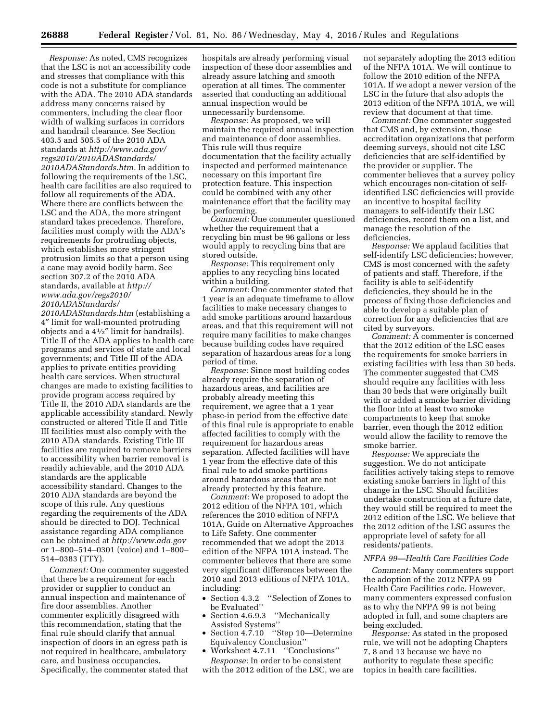*Response:* As noted, CMS recognizes that the LSC is not an accessibility code and stresses that compliance with this code is not a substitute for compliance with the ADA. The 2010 ADA standards address many concerns raised by commenters, including the clear floor width of walking surfaces in corridors and handrail clearance. See Section 403.5 and 505.5 of the 2010 ADA standards at *[http://www.ada.gov/](http://www.ada.gov/regs2010/2010ADAStandards/2010ADAStandards.htm) [regs2010/2010ADAStandards/](http://www.ada.gov/regs2010/2010ADAStandards/2010ADAStandards.htm) [2010ADAStandards.htm.](http://www.ada.gov/regs2010/2010ADAStandards/2010ADAStandards.htm)* In addition to following the requirements of the LSC, health care facilities are also required to follow all requirements of the ADA. Where there are conflicts between the LSC and the ADA, the more stringent standard takes precedence. Therefore, facilities must comply with the ADA's requirements for protruding objects, which establishes more stringent protrusion limits so that a person using a cane may avoid bodily harm. See section 307.2 of the 2010 ADA standards, available at *[http://](http://www.ada.gov/regs2010/2010ADAStandards/2010ADAStandards.htm) [www.ada.gov/regs2010/](http://www.ada.gov/regs2010/2010ADAStandards/2010ADAStandards.htm) [2010ADAStandards/](http://www.ada.gov/regs2010/2010ADAStandards/2010ADAStandards.htm)*

*[2010ADAStandards.htm](http://www.ada.gov/regs2010/2010ADAStandards/2010ADAStandards.htm)* (establishing a 4″ limit for wall-mounted protruding objects and a  $4\frac{1}{2}$ " limit for handrails). Title II of the ADA applies to health care programs and services of state and local governments; and Title III of the ADA applies to private entities providing health care services. When structural changes are made to existing facilities to provide program access required by Title II, the 2010 ADA standards are the applicable accessibility standard. Newly constructed or altered Title II and Title III facilities must also comply with the 2010 ADA standards. Existing Title III facilities are required to remove barriers to accessibility when barrier removal is readily achievable, and the 2010 ADA standards are the applicable accessibility standard. Changes to the 2010 ADA standards are beyond the scope of this rule. Any questions regarding the requirements of the ADA should be directed to DOJ. Technical assistance regarding ADA compliance can be obtained at *<http://www.ada.gov>*  or 1–800–514–0301 (voice) and 1–800– 514–0383 (TTY).

*Comment:* One commenter suggested that there be a requirement for each provider or supplier to conduct an annual inspection and maintenance of fire door assemblies. Another commenter explicitly disagreed with this recommendation, stating that the final rule should clarify that annual inspection of doors in an egress path is not required in healthcare, ambulatory care, and business occupancies. Specifically, the commenter stated that

hospitals are already performing visual inspection of these door assemblies and already assure latching and smooth operation at all times. The commenter asserted that conducting an additional annual inspection would be unnecessarily burdensome.

*Response:* As proposed, we will maintain the required annual inspection and maintenance of door assemblies. This rule will thus require documentation that the facility actually inspected and performed maintenance necessary on this important fire protection feature. This inspection could be combined with any other maintenance effort that the facility may be performing.

*Comment:* One commenter questioned whether the requirement that a recycling bin must be 96 gallons or less would apply to recycling bins that are stored outside.

*Response:* This requirement only applies to any recycling bins located within a building.

*Comment:* One commenter stated that 1 year is an adequate timeframe to allow facilities to make necessary changes to add smoke partitions around hazardous areas, and that this requirement will not require many facilities to make changes because building codes have required separation of hazardous areas for a long period of time.

*Response:* Since most building codes already require the separation of hazardous areas, and facilities are probably already meeting this requirement, we agree that a 1 year phase-in period from the effective date of this final rule is appropriate to enable affected facilities to comply with the requirement for hazardous areas separation. Affected facilities will have 1 year from the effective date of this final rule to add smoke partitions around hazardous areas that are not already protected by this feature.

*Comment:* We proposed to adopt the 2012 edition of the NFPA 101, which references the 2010 edition of NFPA 101A, Guide on Alternative Approaches to Life Safety. One commenter recommended that we adopt the 2013 edition of the NFPA 101A instead. The commenter believes that there are some very significant differences between the 2010 and 2013 editions of NFPA 101A, including:

- Section 4.3.2 ''Selection of Zones to be Evaluated''
- Section 4.6.9.3 ''Mechanically Assisted Systems''
- Section 4.7.10 "Step 10—Determine Equivalency Conclusion''
- Worksheet 4.7.11 ''Conclusions'' *Response:* In order to be consistent

with the 2012 edition of the LSC, we are

not separately adopting the 2013 edition of the NFPA 101A. We will continue to follow the 2010 edition of the NFPA 101A. If we adopt a newer version of the LSC in the future that also adopts the 2013 edition of the NFPA 101A, we will review that document at that time.

*Comment:* One commenter suggested that CMS and, by extension, those accreditation organizations that perform deeming surveys, should not cite LSC deficiencies that are self-identified by the provider or supplier. The commenter believes that a survey policy which encourages non-citation of selfidentified LSC deficiencies will provide an incentive to hospital facility managers to self-identify their LSC deficiencies, record them on a list, and manage the resolution of the deficiencies.

*Response:* We applaud facilities that self-identify LSC deficiencies; however, CMS is most concerned with the safety of patients and staff. Therefore, if the facility is able to self-identify deficiencies, they should be in the process of fixing those deficiencies and able to develop a suitable plan of correction for any deficiencies that are cited by surveyors.

*Comment:* A commenter is concerned that the 2012 edition of the LSC eases the requirements for smoke barriers in existing facilities with less than 30 beds. The commenter suggested that CMS should require any facilities with less than 30 beds that were originally built with or added a smoke barrier dividing the floor into at least two smoke compartments to keep that smoke barrier, even though the 2012 edition would allow the facility to remove the smoke barrier.

*Response:* We appreciate the suggestion. We do not anticipate facilities actively taking steps to remove existing smoke barriers in light of this change in the LSC. Should facilities undertake construction at a future date, they would still be required to meet the 2012 edition of the LSC. We believe that the 2012 edition of the LSC assures the appropriate level of safety for all residents/patients.

#### *NFPA 99—Health Care Facilities Code*

*Comment:* Many commenters support the adoption of the 2012 NFPA 99 Health Care Facilities code. However, many commenters expressed confusion as to why the NFPA 99 is not being adopted in full, and some chapters are being excluded.

*Response:* As stated in the proposed rule, we will not be adopting Chapters 7, 8 and 13 because we have no authority to regulate these specific topics in health care facilities.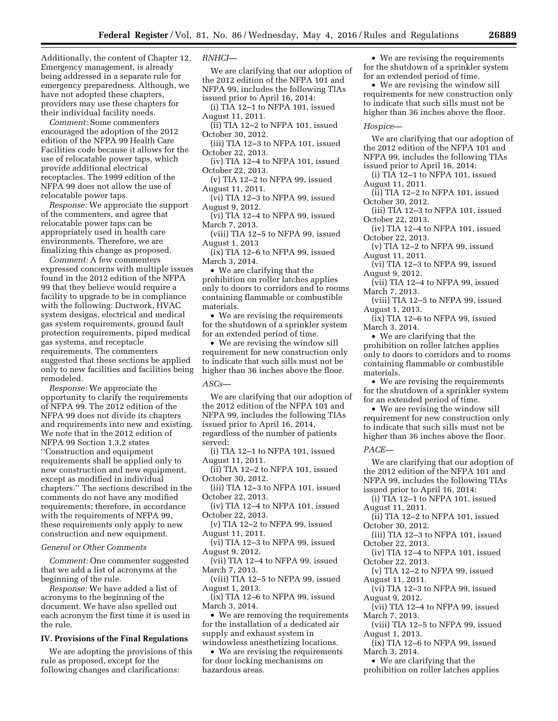Additionally, the content of Chapter 12, Emergency management, is already being addressed in a separate rule for emergency preparedness. Although, we have not adopted these chapters, providers may use these chapters for their individual facility needs.

*Comment:* Some commenters encouraged the adoption of the 2012 edition of the NFPA 99 Health Care Facilities code because it allows for the use of relocatable power taps, which provide additional electrical receptacles. The 1999 edition of the NFPA 99 does not allow the use of relocatable power taps.

*Response:* We appreciate the support of the commenters, and agree that relocatable power taps can be appropriately used in health care environments. Therefore, we are finalizing this change as proposed.

*Comment:* A few commenters expressed concerns with multiple issues found in the 2012 edition of the NFPA 99 that they believe would require a facility to upgrade to be in compliance with the following: Ductwork, HVAC system designs, electrical and medical gas system requirements, ground fault protection requirements, piped medical gas systems, and receptacle requirements. The commenters suggested that these sections be applied only to new facilities and facilities being remodeled.

*Response:* We appreciate the opportunity to clarify the requirements of NFPA 99. The 2012 edition of the NFPA 99 does not divide its chapters and requirements into new and existing. We note that in the 2012 edition of NFPA 99 Section 1.3.2 states ''Construction and equipment requirements shall be applied only to new construction and new equipment, except as modified in individual chapters.'' The sections described in the comments do not have any modified requirements; therefore, in accordance with the requirements of NFPA 99, these requirements only apply to new construction and new equipment.

#### *General or Other Comments*

*Comment:* One commenter suggested that we add a list of acronyms at the beginning of the rule.

*Response:* We have added a list of acronyms to the beginning of the document. We have also spelled out each acronym the first time it is used in the rule.

#### **IV. Provisions of the Final Regulations**

We are adopting the provisions of this rule as proposed, except for the following changes and clarifications:

*RNHCI—* 

We are clarifying that our adoption of the 2012 edition of the NFPA 101 and NFPA 99, includes the following TIAs issued prior to April 16, 2014:

(i) TIA 12–1 to NFPA 101, issued August 11, 2011.

(ii) TIA 12–2 to NFPA 101, issued October 30, 2012.

(iii) TIA 12–3 to NFPA 101, issued October 22, 2013.

(iv) TIA 12–4 to NFPA 101, issued October 22, 2013.

(v) TIA 12–2 to NFPA 99, issued August 11, 2011.

(vi) TIA 12–3 to NFPA 99, issued August 9, 2012.

(vi) TIA 12–4 to NFPA 99, issued March 7, 2013.

(viii) TIA 12–5 to NFPA 99, issued August 1, 2013

(ix) TIA 12–6 to NFPA 99, issued March 3, 2014.

• We are clarifying that the prohibition on roller latches applies only to doors to corridors and to rooms containing flammable or combustible materials.

• We are revising the requirements for the shutdown of a sprinkler system for an extended period of time.

• We are revising the window sill requirement for new construction only to indicate that such sills must not be higher than 36 inches above the floor.

#### *ASCs—*

We are clarifying that our adoption of the 2012 edition of the NFPA 101 and NFPA 99, includes the following TIAs issued prior to April 16, 2014, regardless of the number of patients served:

(i) TIA 12–1 to NFPA 101, issued August 11, 2011.

(ii) TIA 12–2 to NFPA 101, issued October 30, 2012.

(iii) TIA 12–3 to NFPA 101, issued October 22, 2013.

(iv) TIA 12–4 to NFPA 101, issued October 22, 2013.

(v) TIA 12–2 to NFPA 99, issued August 11, 2011.

(vi) TIA 12–3 to NFPA 99, issued August 9, 2012.

(vii) TIA 12–4 to NFPA 99, issued March 7, 2013.

(viii) TIA 12–5 to NFPA 99, issued August 1, 2013.

(ix) TIA 12–6 to NFPA 99, issued March 3, 2014.

• We are removing the requirements for the installation of a dedicated air supply and exhaust system in windowless anesthetizing locations.

• We are revising the requirements for door locking mechanisms on hazardous areas.

• We are revising the requirements for the shutdown of a sprinkler system for an extended period of time.

• We are revising the window sill requirements for new construction only to indicate that such sills must not be higher than 36 inches above the floor.

#### *Hospice—*

We are clarifying that our adoption of the 2012 edition of the NFPA 101 and NFPA 99, includes the following TIAs issued prior to April 16, 2014:

(i) TIA 12–1 to NFPA 101, issued August 11, 2011.

(ii) TIA 12–2 to NFPA 101, issued October 30, 2012.

(iii) TIA 12–3 to NFPA 101, issued October 22, 2013.

(iv) TIA 12–4 to NFPA 101, issued October 22, 2013.

(v) TIA 12–2 to NFPA 99, issued August 11, 2011.

(vi) TIA 12–3 to NFPA 99, issued August 9, 2012.

(vii) TIA 12–4 to NFPA 99, issued March 7, 2013.

(viii) TIA 12–5 to NFPA 99, issued August 1, 2013.

(ix) TIA 12–6 to NFPA 99, issued March 3, 2014.

• We are clarifying that the prohibition on roller latches applies only to doors to corridors and to rooms containing flammable or combustible materials.

• We are revising the requirements for the shutdown of a sprinkler system for an extended period of time.

• We are revising the window sill requirement for new construction only to indicate that such sills must not be higher than 36 inches above the floor.

#### *PACE—*

We are clarifying that our adoption of the 2012 edition of the NFPA 101 and NFPA 99, includes the following TIAs issued prior to April 16, 2014:

(i) TIA 12–1 to NFPA 101, issued August 11, 2011.

(ii) TIA 12–2 to NFPA 101, issued October 30, 2012.

(iii) TIA 12–3 to NFPA 101, issued October 22, 2013.

(iv) TIA 12–4 to NFPA 101, issued October 22, 2013.

(v) TIA 12–2 to NFPA 99, issued August 11, 2011.

(vi) TIA 12–3 to NFPA 99, issued August 9, 2012.

(vii) TIA 12–4 to NFPA 99, issued March 7, 2013.

(viii) TIA 12–5 to NFPA 99, issued August 1, 2013.

(ix) TIA 12–6 to NFPA 99, issued March 3, 2014.

• We are clarifying that the

prohibition on roller latches applies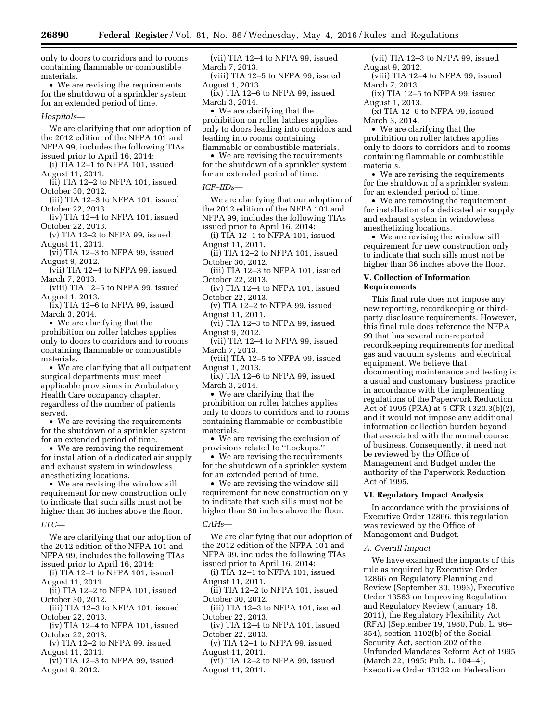only to doors to corridors and to rooms containing flammable or combustible materials.

• We are revising the requirements for the shutdown of a sprinkler system for an extended period of time.

#### *Hospitals—*

We are clarifying that our adoption of the 2012 edition of the NFPA 101 and NFPA 99, includes the following TIAs issued prior to April 16, 2014:

(i) TIA 12–1 to NFPA 101, issued August 11, 2011.

(ii) TIA 12–2 to NFPA 101, issued October 30, 2012.

(iii) TIA 12–3 to NFPA 101, issued October 22, 2013.

(iv) TIA 12–4 to NFPA 101, issued October 22, 2013.

(v) TIA 12–2 to NFPA 99, issued August 11, 2011.

(vi) TIA 12–3 to NFPA 99, issued August 9, 2012.

(vii) TIA 12–4 to NFPA 99, issued March 7, 2013.

(viii) TIA 12–5 to NFPA 99, issued August 1, 2013.

(ix) TIA 12–6 to NFPA 99, issued March 3, 2014.

• We are clarifying that the prohibition on roller latches applies only to doors to corridors and to rooms containing flammable or combustible materials.

• We are clarifying that all outpatient surgical departments must meet applicable provisions in Ambulatory Health Care occupancy chapter, regardless of the number of patients served.

• We are revising the requirements for the shutdown of a sprinkler system for an extended period of time.

• We are removing the requirement for installation of a dedicated air supply and exhaust system in windowless anesthetizing locations.

• We are revising the window sill requirement for new construction only to indicate that such sills must not be higher than 36 inches above the floor.

*LTC—* 

We are clarifying that our adoption of the 2012 edition of the NFPA 101 and NFPA 99, includes the following TIAs issued prior to April 16, 2014:

(i) TIA 12–1 to NFPA 101, issued August 11, 2011.

(ii) TIA 12–2 to NFPA 101, issued October 30, 2012.

(iii) TIA 12–3 to NFPA 101, issued October 22, 2013.

(iv) TIA 12–4 to NFPA 101, issued October 22, 2013.

(v) TIA 12–2 to NFPA 99, issued August 11, 2011.

(vi) TIA 12–3 to NFPA 99, issued August 9, 2012.

(vii) TIA 12–4 to NFPA 99, issued March 7, 2013.

(viii) TIA 12–5 to NFPA 99, issued August 1, 2013.

(ix) TIA 12–6 to NFPA 99, issued March 3, 2014.

• We are clarifying that the prohibition on roller latches applies only to doors leading into corridors and leading into rooms containing flammable or combustible materials.

• We are revising the requirements for the shutdown of a sprinkler system for an extended period of time.

#### *ICF–IIDs—*

We are clarifying that our adoption of the 2012 edition of the NFPA 101 and NFPA 99, includes the following TIAs issued prior to April 16, 2014:

(i) TIA 12–1 to NFPA 101, issued August 11, 2011.

(ii) TIA 12–2 to NFPA 101, issued October 30, 2012.

(iii) TIA 12–3 to NFPA 101, issued October 22, 2013.

(iv) TIA 12–4 to NFPA 101, issued October 22, 2013.

(v) TIA 12–2 to NFPA 99, issued August 11, 2011.

(vi) TIA 12–3 to NFPA 99, issued August 9, 2012.

(vii) TIA 12–4 to NFPA 99, issued March 7, 2013.

(viii) TIA 12–5 to NFPA 99, issued August 1, 2013.

(ix) TIA 12–6 to NFPA 99, issued March 3, 2014.

• We are clarifying that the prohibition on roller latches applies only to doors to corridors and to rooms containing flammable or combustible materials.

• We are revising the exclusion of provisions related to ''Lockups.''

• We are revising the requirements for the shutdown of a sprinkler system for an extended period of time.

• We are revising the window sill requirement for new construction only to indicate that such sills must not be higher than 36 inches above the floor.

#### *CAHs—*

We are clarifying that our adoption of the 2012 edition of the NFPA 101 and NFPA 99, includes the following TIAs issued prior to April 16, 2014:

(i)  $TIA$  12–1 to NFPA 101, issued August 11, 2011.

 $(iii)$  TIA 12–2 to NFPA 101, issued October 30, 2012.

(iii) TIA 12–3 to NFPA 101, issued October 22, 2013.

(iv) TIA 12–4 to NFPA 101, issued October 22, 2013.

(v) TIA 12–1 to NFPA 99, issued August 11, 2011.

(vi) TIA 12–2 to NFPA 99, issued August 11, 2011.

(vii) TIA 12–3 to NFPA 99, issued August 9, 2012.

(viii) TIA 12–4 to NFPA 99, issued March 7, 2013.

(ix) TIA 12–5 to NFPA 99, issued August 1, 2013.

 $(x)$  TIA 12–6 to NFPA 99, issued March 3, 2014.

• We are clarifying that the prohibition on roller latches applies only to doors to corridors and to rooms containing flammable or combustible materials.

• We are revising the requirements for the shutdown of a sprinkler system for an extended period of time.

• We are removing the requirement for installation of a dedicated air supply and exhaust system in windowless anesthetizing locations.

• We are revising the window sill requirement for new construction only to indicate that such sills must not be higher than 36 inches above the floor.

#### **V. Collection of Information Requirements**

This final rule does not impose any new reporting, recordkeeping or thirdparty disclosure requirements. However, this final rule does reference the NFPA 99 that has several non-reported recordkeeping requirements for medical gas and vacuum systems, and electrical equipment. We believe that documenting maintenance and testing is a usual and customary business practice in accordance with the implementing regulations of the Paperwork Reduction Act of 1995 (PRA) at 5 CFR 1320.3(b)(2), and it would not impose any additional information collection burden beyond that associated with the normal course of business. Consequently, it need not be reviewed by the Office of Management and Budget under the authority of the Paperwork Reduction Act of 1995.

#### **VI. Regulatory Impact Analysis**

In accordance with the provisions of Executive Order 12866, this regulation was reviewed by the Office of Management and Budget.

#### *A. Overall Impact*

We have examined the impacts of this rule as required by Executive Order 12866 on Regulatory Planning and Review (September 30, 1993), Executive Order 13563 on Improving Regulation and Regulatory Review (January 18, 2011), the Regulatory Flexibility Act (RFA) (September 19, 1980, Pub. L. 96– 354), section 1102(b) of the Social Security Act, section 202 of the Unfunded Mandates Reform Act of 1995 (March 22, 1995; Pub. L. 104–4), Executive Order 13132 on Federalism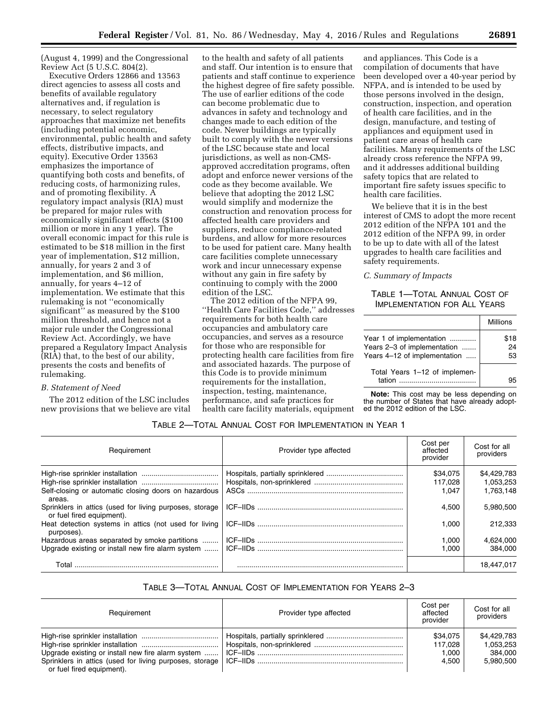(August 4, 1999) and the Congressional Review Act (5 U.S.C. 804(2).

Executive Orders 12866 and 13563 direct agencies to assess all costs and benefits of available regulatory alternatives and, if regulation is necessary, to select regulatory approaches that maximize net benefits (including potential economic, environmental, public health and safety effects, distributive impacts, and equity). Executive Order 13563 emphasizes the importance of quantifying both costs and benefits, of reducing costs, of harmonizing rules, and of promoting flexibility. A regulatory impact analysis (RIA) must be prepared for major rules with economically significant effects (\$100 million or more in any 1 year). The overall economic impact for this rule is estimated to be \$18 million in the first year of implementation, \$12 million, annually, for years 2 and 3 of implementation, and \$6 million, annually, for years 4–12 of implementation. We estimate that this rulemaking is not ''economically significant'' as measured by the \$100 million threshold, and hence not a major rule under the Congressional Review Act. Accordingly, we have prepared a Regulatory Impact Analysis (RIA) that, to the best of our ability, presents the costs and benefits of rulemaking.

### *B. Statement of Need*

The 2012 edition of the LSC includes new provisions that we believe are vital

to the health and safety of all patients and staff. Our intention is to ensure that patients and staff continue to experience the highest degree of fire safety possible. The use of earlier editions of the code can become problematic due to advances in safety and technology and changes made to each edition of the code. Newer buildings are typically built to comply with the newer versions of the LSC because state and local jurisdictions, as well as non-CMSapproved accreditation programs, often adopt and enforce newer versions of the code as they become available. We believe that adopting the 2012 LSC would simplify and modernize the construction and renovation process for affected health care providers and suppliers, reduce compliance-related burdens, and allow for more resources to be used for patient care. Many health care facilities complete unnecessary work and incur unnecessary expense without any gain in fire safety by continuing to comply with the 2000 edition of the LSC.

The 2012 edition of the NFPA 99, ''Health Care Facilities Code,'' addresses requirements for both health care occupancies and ambulatory care occupancies, and serves as a resource for those who are responsible for protecting health care facilities from fire and associated hazards. The purpose of this Code is to provide minimum requirements for the installation, inspection, testing, maintenance, performance, and safe practices for health care facility materials, equipment

and appliances. This Code is a compilation of documents that have been developed over a 40-year period by NFPA, and is intended to be used by those persons involved in the design, construction, inspection, and operation of health care facilities, and in the design, manufacture, and testing of appliances and equipment used in patient care areas of health care facilities. Many requirements of the LSC already cross reference the NFPA 99, and it addresses additional building safety topics that are related to important fire safety issues specific to health care facilities.

We believe that it is in the best interest of CMS to adopt the more recent 2012 edition of the NFPA 101 and the 2012 edition of the NFPA 99, in order to be up to date with all of the latest upgrades to health care facilities and safety requirements.

#### *C. Summary of Impacts*

#### TABLE 1—TOTAL ANNUAL COST OF IMPLEMENTATION FOR ALL YEARS

|                               | <b>Millions</b> |
|-------------------------------|-----------------|
| Year 1 of implementation      | \$18            |
| Years 2-3 of implementation   | 24              |
| Years 4-12 of implementation  | 53              |
| Total Years 1-12 of implemen- |                 |
| tation                        |                 |

**Note:** This cost may be less depending on the number of States that have already adopted the 2012 edition of the LSC.

#### TABLE 2—TOTAL ANNUAL COST FOR IMPLEMENTATION IN YEAR 1

| Requirement                                                                          | Provider type affected | Cost per<br>affected<br>provider | Cost for all<br>providers |
|--------------------------------------------------------------------------------------|------------------------|----------------------------------|---------------------------|
|                                                                                      |                        | \$34,075                         | \$4,429,783               |
|                                                                                      |                        | 117.028                          | 1,053,253                 |
| Self-closing or automatic closing doors on hazardous<br>areas.                       |                        | 1.047                            | 1.763.148                 |
| Sprinklers in attics (used for living purposes, storage<br>or fuel fired equipment). |                        | 4.500                            | 5.980.500                 |
| purposes).                                                                           |                        | 1.000                            | 212.333                   |
| Hazardous areas separated by smoke partitions                                        |                        | 1,000                            | 4,624,000                 |
|                                                                                      |                        | 1.000                            | 384.000                   |
| Total                                                                                |                        |                                  | 18.447.017                |

#### TABLE 3—TOTAL ANNUAL COST OF IMPLEMENTATION FOR YEARS 2–3

| Requirement                                       | Provider type affected | Cost per<br>affected<br>provider | Cost for all<br>providers |
|---------------------------------------------------|------------------------|----------------------------------|---------------------------|
|                                                   |                        | \$34.075                         | \$4.429.783               |
|                                                   |                        | 117.028                          | 1.053.253                 |
| Upgrade existing or install new fire alarm system |                        | 1.000                            | 384.000                   |
| or fuel fired equipment).                         |                        | 4.500                            | 5.980.500                 |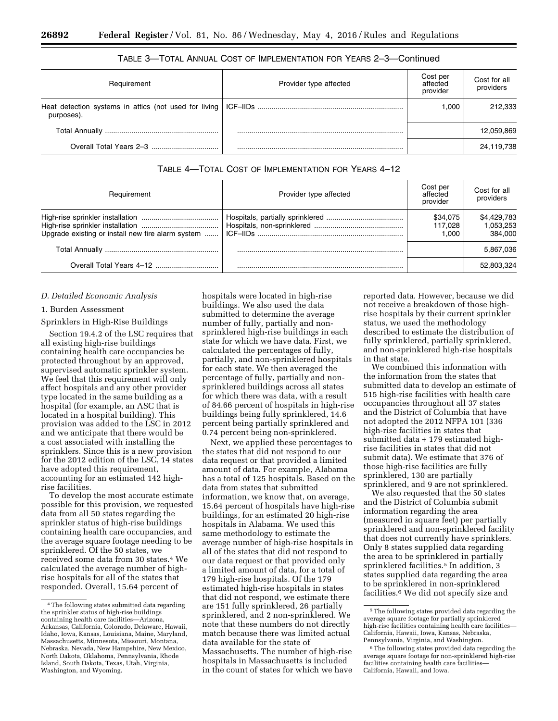#### TABLE 3—TOTAL ANNUAL COST OF IMPLEMENTATION FOR YEARS 2–3—Continued

| Requirement | Provider type affected | Cost per<br>affected<br>provider | Cost for all<br>providers |
|-------------|------------------------|----------------------------------|---------------------------|
| purposes).  |                        | 1.000                            | 212,333                   |
|             |                        |                                  | 12,059,869                |
|             |                        |                                  | 24,119,738                |

#### TABLE 4—TOTAL COST OF IMPLEMENTATION FOR YEARS 4–12

| Requirement | Provider type affected | Cost per<br>affected<br>provider | Cost for all<br>providers           |
|-------------|------------------------|----------------------------------|-------------------------------------|
|             |                        | \$34,075<br>117.028<br>1.000     | \$4,429,783<br>1.053.253<br>384.000 |
|             |                        |                                  | 5.867.036                           |
|             |                        |                                  | 52,803,324                          |

#### *D. Detailed Economic Analysis*

#### 1. Burden Assessment

Sprinklers in High-Rise Buildings

Section 19.4.2 of the LSC requires that all existing high-rise buildings containing health care occupancies be protected throughout by an approved, supervised automatic sprinkler system. We feel that this requirement will only affect hospitals and any other provider type located in the same building as a hospital (for example, an ASC that is located in a hospital building). This provision was added to the LSC in 2012 and we anticipate that there would be a cost associated with installing the sprinklers. Since this is a new provision for the 2012 edition of the LSC, 14 states have adopted this requirement, accounting for an estimated 142 highrise facilities.

To develop the most accurate estimate possible for this provision, we requested data from all 50 states regarding the sprinkler status of high-rise buildings containing health care occupancies, and the average square footage needing to be sprinklered. Of the 50 states, we received some data from 30 states.4 We calculated the average number of highrise hospitals for all of the states that responded. Overall, 15.64 percent of

hospitals were located in high-rise buildings. We also used the data submitted to determine the average number of fully, partially and nonsprinklered high-rise buildings in each state for which we have data. First, we calculated the percentages of fully, partially, and non-sprinklered hospitals for each state. We then averaged the percentage of fully, partially and nonsprinklered buildings across all states for which there was data, with a result of 84.66 percent of hospitals in high-rise buildings being fully sprinklered, 14.6 percent being partially sprinklered and 0.74 percent being non-sprinklered.

Next, we applied these percentages to the states that did not respond to our data request or that provided a limited amount of data. For example, Alabama has a total of 125 hospitals. Based on the data from states that submitted information, we know that, on average, 15.64 percent of hospitals have high-rise buildings, for an estimated 20 high-rise hospitals in Alabama. We used this same methodology to estimate the average number of high-rise hospitals in all of the states that did not respond to our data request or that provided only a limited amount of data, for a total of 179 high-rise hospitals. Of the 179 estimated high-rise hospitals in states that did not respond, we estimate there are 151 fully sprinklered, 26 partially sprinklered, and 2 non-sprinklered. We note that these numbers do not directly match because there was limited actual data available for the state of Massachusetts. The number of high-rise hospitals in Massachusetts is included in the count of states for which we have

reported data. However, because we did not receive a breakdown of those highrise hospitals by their current sprinkler status, we used the methodology described to estimate the distribution of fully sprinklered, partially sprinklered, and non-sprinklered high-rise hospitals in that state.

We combined this information with the information from the states that submitted data to develop an estimate of 515 high-rise facilities with health care occupancies throughout all 37 states and the District of Columbia that have not adopted the 2012 NFPA 101 (336 high-rise facilities in states that submitted data + 179 estimated highrise facilities in states that did not submit data). We estimate that 376 of those high-rise facilities are fully sprinklered, 130 are partially sprinklered, and 9 are not sprinklered.

We also requested that the 50 states and the District of Columbia submit information regarding the area (measured in square feet) per partially sprinklered and non-sprinklered facility that does not currently have sprinklers. Only 8 states supplied data regarding the area to be sprinklered in partially sprinklered facilities.<sup>5</sup> In addition, 3 states supplied data regarding the area to be sprinklered in non-sprinklered facilities.6 We did not specify size and

<sup>4</sup>The following states submitted data regarding the sprinkler status of high-rise buildings containing health care facilities—Arizona, Arkansas, California, Colorado, Delaware, Hawaii, Idaho, Iowa, Kansas, Louisiana, Maine, Maryland, Massachusetts, Minnesota, Missouri, Montana, Nebraska, Nevada, New Hampshire, New Mexico, North Dakota, Oklahoma, Pennsylvania, Rhode Island, South Dakota, Texas, Utah, Virginia, Washington, and Wyoming.

<sup>5</sup>The following states provided data regarding the average square footage for partially sprinklered high-rise facilities containing health care facilities— California, Hawaii, Iowa, Kansas, Nebraska, Pennsylvania, Virginia, and Washington.

<sup>6</sup>The following states provided data regarding the average square footage for non-sprinklered high-rise facilities containing health care facilities— California, Hawaii, and Iowa.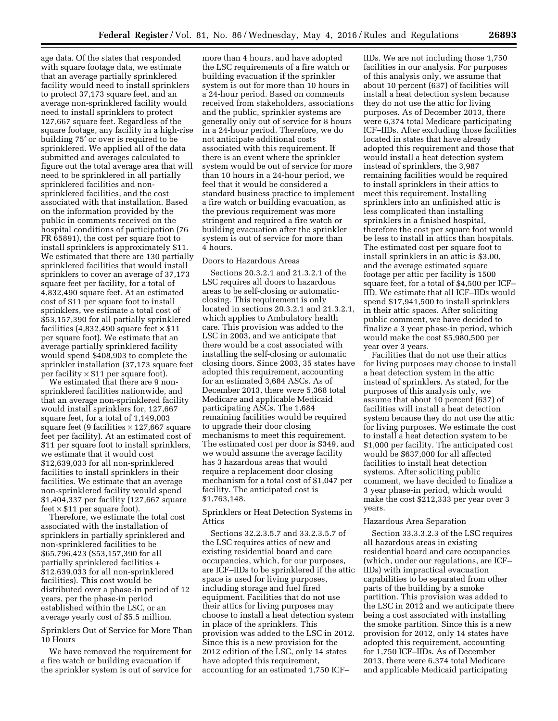age data. Of the states that responded with square footage data, we estimate that an average partially sprinklered facility would need to install sprinklers to protect 37,173 square feet, and an average non-sprinklered facility would need to install sprinklers to protect 127,667 square feet. Regardless of the square footage, any facility in a high-rise building 75′ or over is required to be sprinklered. We applied all of the data submitted and averages calculated to figure out the total average area that will need to be sprinklered in all partially sprinklered facilities and nonsprinklered facilities, and the cost associated with that installation. Based on the information provided by the public in comments received on the hospital conditions of participation (76 FR 65891), the cost per square foot to install sprinklers is approximately \$11. We estimated that there are 130 partially sprinklered facilities that would install sprinklers to cover an average of 37,173 square feet per facility, for a total of 4,832,490 square feet. At an estimated cost of \$11 per square foot to install sprinklers, we estimate a total cost of \$53,157,390 for all partially sprinklered facilities (4,832,490 square feet  $\times$  \$11 per square foot). We estimate that an average partially sprinklered facility would spend \$408,903 to complete the sprinkler installation (37,173 square feet per facility  $\times$  \$11 per square foot).

We estimated that there are 9 nonsprinklered facilities nationwide, and that an average non-sprinklered facility would install sprinklers for, 127,667 square feet, for a total of 1,149,003 square feet (9 facilities  $\times$  127,667 square feet per facility). At an estimated cost of \$11 per square foot to install sprinklers, we estimate that it would cost \$12,639,033 for all non-sprinklered facilities to install sprinklers in their facilities. We estimate that an average non-sprinklered facility would spend \$1,404,337 per facility (127,667 square feet  $\times$  \$11 per square foot).

Therefore, we estimate the total cost associated with the installation of sprinklers in partially sprinklered and non-sprinklered facilities to be \$65,796,423 (\$53,157,390 for all partially sprinklered facilities + \$12,639,033 for all non-sprinklered facilities). This cost would be distributed over a phase-in period of 12 years, per the phase-in period established within the LSC, or an average yearly cost of \$5.5 million.

Sprinklers Out of Service for More Than 10 Hours

We have removed the requirement for a fire watch or building evacuation if the sprinkler system is out of service for

more than 4 hours, and have adopted the LSC requirements of a fire watch or building evacuation if the sprinkler system is out for more than 10 hours in a 24-hour period. Based on comments received from stakeholders, associations and the public, sprinkler systems are generally only out of service for 8 hours in a 24-hour period. Therefore, we do not anticipate additional costs associated with this requirement. If there is an event where the sprinkler system would be out of service for more than 10 hours in a 24-hour period, we feel that it would be considered a standard business practice to implement a fire watch or building evacuation, as the previous requirement was more stringent and required a fire watch or building evacuation after the sprinkler system is out of service for more than 4 hours.

#### Doors to Hazardous Areas

Sections 20.3.2.1 and 21.3.2.1 of the LSC requires all doors to hazardous areas to be self-closing or automaticclosing. This requirement is only located in sections 20.3.2.1 and 21.3.2.1, which applies to Ambulatory health care. This provision was added to the LSC in 2003, and we anticipate that there would be a cost associated with installing the self-closing or automatic closing doors. Since 2003, 35 states have adopted this requirement, accounting for an estimated 3,684 ASCs. As of December 2013, there were 5,368 total Medicare and applicable Medicaid participating ASCs. The 1,684 remaining facilities would be required to upgrade their door closing mechanisms to meet this requirement. The estimated cost per door is \$349, and we would assume the average facility has 3 hazardous areas that would require a replacement door closing mechanism for a total cost of \$1,047 per facility. The anticipated cost is \$1,763,148.

Sprinklers or Heat Detection Systems in Attics

Sections 32.2.3.5.7 and 33.2.3.5.7 of the LSC requires attics of new and existing residential board and care occupancies, which, for our purposes, are ICF–IIDs to be sprinklered if the attic space is used for living purposes, including storage and fuel fired equipment. Facilities that do not use their attics for living purposes may choose to install a heat detection system in place of the sprinklers. This provision was added to the LSC in 2012. Since this is a new provision for the 2012 edition of the LSC, only 14 states have adopted this requirement, accounting for an estimated 1,750 ICF–

IIDs. We are not including those 1,750 facilities in our analysis. For purposes of this analysis only, we assume that about 10 percent (637) of facilities will install a heat detection system because they do not use the attic for living purposes. As of December 2013, there were 6,374 total Medicare participating ICF–IIDs. After excluding those facilities located in states that have already adopted this requirement and those that would install a heat detection system instead of sprinklers, the 3,987 remaining facilities would be required to install sprinklers in their attics to meet this requirement. Installing sprinklers into an unfinished attic is less complicated than installing sprinklers in a finished hospital, therefore the cost per square foot would be less to install in attics than hospitals. The estimated cost per square foot to install sprinklers in an attic is \$3.00, and the average estimated square footage per attic per facility is 1500 square feet, for a total of \$4,500 per ICF– IID. We estimate that all ICF–IIDs would spend \$17,941,500 to install sprinklers in their attic spaces. After soliciting public comment, we have decided to finalize a 3 year phase-in period, which would make the cost \$5,980,500 per year over 3 years.

Facilities that do not use their attics for living purposes may choose to install a heat detection system in the attic instead of sprinklers. As stated, for the purposes of this analysis only, we assume that about 10 percent (637) of facilities will install a heat detection system because they do not use the attic for living purposes. We estimate the cost to install a heat detection system to be \$1,000 per facility. The anticipated cost would be \$637,000 for all affected facilities to install heat detection systems. After soliciting public comment, we have decided to finalize a 3 year phase-in period, which would make the cost \$212,333 per year over 3 years.

#### Hazardous Area Separation

Section 33.3.3.2.3 of the LSC requires all hazardous areas in existing residential board and care occupancies (which, under our regulations, are ICF– IIDs) with impractical evacuation capabilities to be separated from other parts of the building by a smoke partition. This provision was added to the LSC in 2012 and we anticipate there being a cost associated with installing the smoke partition. Since this is a new provision for 2012, only 14 states have adopted this requirement, accounting for 1,750 ICF–IIDs. As of December 2013, there were 6,374 total Medicare and applicable Medicaid participating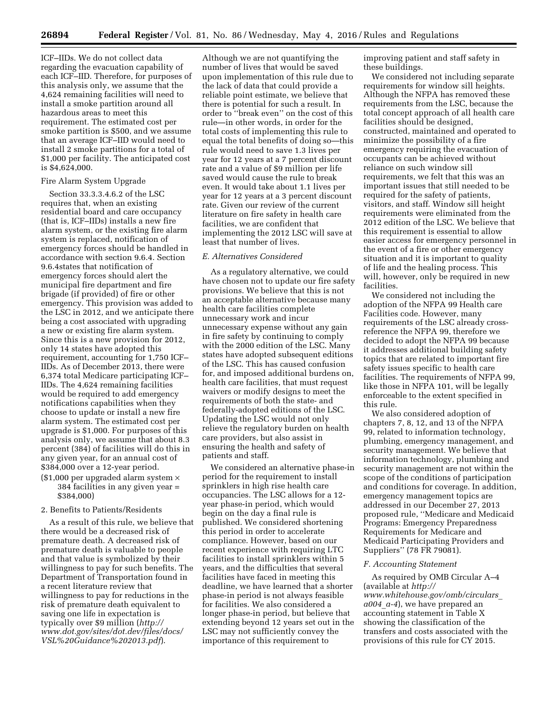ICF–IIDs. We do not collect data regarding the evacuation capability of each ICF–IID. Therefore, for purposes of this analysis only, we assume that the 4,624 remaining facilities will need to install a smoke partition around all hazardous areas to meet this requirement. The estimated cost per smoke partition is \$500, and we assume that an average ICF–IID would need to install 2 smoke partitions for a total of \$1,000 per facility. The anticipated cost is \$4,624,000.

#### Fire Alarm System Upgrade

Section 33.3.3.4.6.2 of the LSC requires that, when an existing residential board and care occupancy (that is, ICF–IIDs) installs a new fire alarm system, or the existing fire alarm system is replaced, notification of emergency forces should be handled in accordance with section 9.6.4. Section 9.6.4states that notification of emergency forces should alert the municipal fire department and fire brigade (if provided) of fire or other emergency. This provision was added to the LSC in 2012, and we anticipate there being a cost associated with upgrading a new or existing fire alarm system. Since this is a new provision for 2012, only 14 states have adopted this requirement, accounting for 1,750 ICF– IIDs. As of December 2013, there were 6,374 total Medicare participating ICF– IIDs. The 4,624 remaining facilities would be required to add emergency notifications capabilities when they choose to update or install a new fire alarm system. The estimated cost per upgrade is \$1,000. For purposes of this analysis only, we assume that about 8.3 percent (384) of facilities will do this in any given year, for an annual cost of \$384,000 over a 12-year period.

 $($1,000$  per upgraded alarm system  $\times$ 384 facilities in any given year = \$384,000)

#### 2. Benefits to Patients/Residents

As a result of this rule, we believe that there would be a decreased risk of premature death. A decreased risk of premature death is valuable to people and that value is symbolized by their willingness to pay for such benefits. The Department of Transportation found in a recent literature review that willingness to pay for reductions in the risk of premature death equivalent to saving one life in expectation is typically over \$9 million (*[http://](http://www.dot.gov/sites/dot.dev/files/docs/VSL%20Guidance%202013.pdf) [www.dot.gov/sites/dot.dev/files/docs/](http://www.dot.gov/sites/dot.dev/files/docs/VSL%20Guidance%202013.pdf) [VSL%20Guidance%202013.pdf](http://www.dot.gov/sites/dot.dev/files/docs/VSL%20Guidance%202013.pdf)*).

Although we are not quantifying the number of lives that would be saved upon implementation of this rule due to the lack of data that could provide a reliable point estimate, we believe that there is potential for such a result. In order to ''break even'' on the cost of this rule—in other words, in order for the total costs of implementing this rule to equal the total benefits of doing so—this rule would need to save 1.3 lives per year for 12 years at a 7 percent discount rate and a value of \$9 million per life saved would cause the rule to break even. It would take about 1.1 lives per year for 12 years at a 3 percent discount rate. Given our review of the current literature on fire safety in health care facilities, we are confident that implementing the 2012 LSC will save at least that number of lives.

#### *E. Alternatives Considered*

As a regulatory alternative, we could have chosen not to update our fire safety provisions. We believe that this is not an acceptable alternative because many health care facilities complete unnecessary work and incur unnecessary expense without any gain in fire safety by continuing to comply with the 2000 edition of the LSC. Many states have adopted subsequent editions of the LSC. This has caused confusion for, and imposed additional burdens on, health care facilities, that must request waivers or modify designs to meet the requirements of both the state- and federally-adopted editions of the LSC. Updating the LSC would not only relieve the regulatory burden on health care providers, but also assist in ensuring the health and safety of patients and staff.

We considered an alternative phase-in period for the requirement to install sprinklers in high rise health care occupancies. The LSC allows for a 12 year phase-in period, which would begin on the day a final rule is published. We considered shortening this period in order to accelerate compliance. However, based on our recent experience with requiring LTC facilities to install sprinklers within 5 years, and the difficulties that several facilities have faced in meeting this deadline, we have learned that a shorter phase-in period is not always feasible for facilities. We also considered a longer phase-in period, but believe that extending beyond 12 years set out in the LSC may not sufficiently convey the importance of this requirement to

improving patient and staff safety in these buildings.

We considered not including separate requirements for window sill heights. Although the NFPA has removed these requirements from the LSC, because the total concept approach of all health care facilities should be designed, constructed, maintained and operated to minimize the possibility of a fire emergency requiring the evacuation of occupants can be achieved without reliance on such window sill requirements, we felt that this was an important issues that still needed to be required for the safety of patients, visitors, and staff. Window sill height requirements were eliminated from the 2012 edition of the LSC. We believe that this requirement is essential to allow easier access for emergency personnel in the event of a fire or other emergency situation and it is important to quality of life and the healing process. This will, however, only be required in new facilities.

We considered not including the adoption of the NFPA 99 Health care Facilities code. However, many requirements of the LSC already crossreference the NFPA 99, therefore we decided to adopt the NFPA 99 because it addresses additional building safety topics that are related to important fire safety issues specific to health care facilities. The requirements of NFPA 99, like those in NFPA 101, will be legally enforceable to the extent specified in this rule.

We also considered adoption of chapters 7, 8, 12, and 13 of the NFPA 99, related to information technology, plumbing, emergency management, and security management. We believe that information technology, plumbing and security management are not within the scope of the conditions of participation and conditions for coverage. In addition, emergency management topics are addressed in our December 27, 2013 proposed rule, ''Medicare and Medicaid Programs: Emergency Preparedness Requirements for Medicare and Medicaid Participating Providers and Suppliers'' (78 FR 79081).

#### *F. Accounting Statement*

As required by OMB Circular A–4 (available at *[http://](http://www.whitehouse.gov/omb/circulars_a004_a-4) [www.whitehouse.gov/omb/circulars](http://www.whitehouse.gov/omb/circulars_a004_a-4)*\_ *[a004](http://www.whitehouse.gov/omb/circulars_a004_a-4)*\_*a-4*), we have prepared an accounting statement in Table X showing the classification of the transfers and costs associated with the provisions of this rule for CY 2015.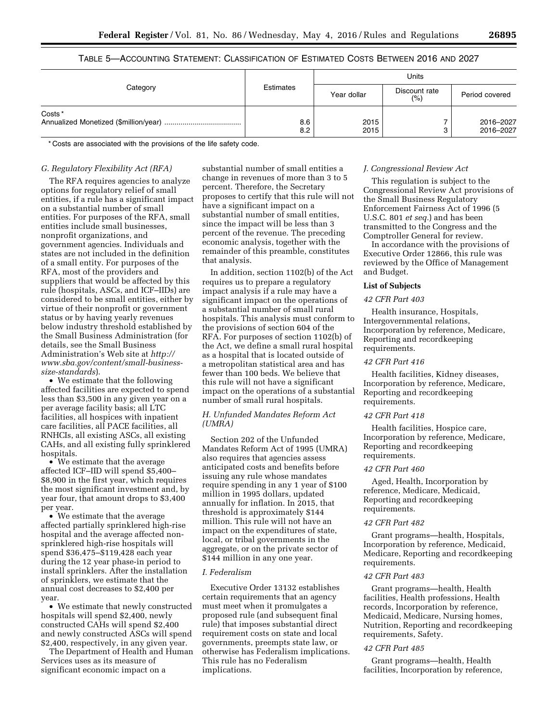#### TABLE 5—ACCOUNTING STATEMENT: CLASSIFICATION OF ESTIMATED COSTS BETWEEN 2016 AND 2027

| Category           | Estimates  | Units        |                       |                        |
|--------------------|------------|--------------|-----------------------|------------------------|
|                    |            | Year dollar  | Discount rate<br>(% ) | Period covered         |
| Costs <sup>*</sup> | 8.6<br>8.2 | 2015<br>2015 |                       | 2016-2027<br>2016-2027 |

\* Costs are associated with the provisions of the life safety code.

#### *G. Regulatory Flexibility Act (RFA)*

The RFA requires agencies to analyze options for regulatory relief of small entities, if a rule has a significant impact on a substantial number of small entities. For purposes of the RFA, small entities include small businesses, nonprofit organizations, and government agencies. Individuals and states are not included in the definition of a small entity. For purposes of the RFA, most of the providers and suppliers that would be affected by this rule (hospitals, ASCs, and ICF–IIDs) are considered to be small entities, either by virtue of their nonprofit or government status or by having yearly revenues below industry threshold established by the Small Business Administration (for details, see the Small Business Administration's Web site at *[http://](http://www.sba.gov/content/small-business-size-standards) [www.sba.gov/content/small-business](http://www.sba.gov/content/small-business-size-standards)[size-standards](http://www.sba.gov/content/small-business-size-standards)*).

• We estimate that the following affected facilities are expected to spend less than \$3,500 in any given year on a per average facility basis; all LTC facilities, all hospices with inpatient care facilities, all PACE facilities, all RNHCIs, all existing ASCs, all existing CAHs, and all existing fully sprinklered hospitals.

• We estimate that the average affected ICF–IID will spend \$5,400– \$8,900 in the first year, which requires the most significant investment and, by year four, that amount drops to \$3,400 per year.

• We estimate that the average affected partially sprinklered high-rise hospital and the average affected nonsprinklered high-rise hospitals will spend \$36,475–\$119,428 each year during the 12 year phase-in period to install sprinklers. After the installation of sprinklers, we estimate that the annual cost decreases to \$2,400 per year.

• We estimate that newly constructed hospitals will spend \$2,400, newly constructed CAHs will spend \$2,400 and newly constructed ASCs will spend \$2,400, respectively, in any given year.

The Department of Health and Human Services uses as its measure of significant economic impact on a

substantial number of small entities a change in revenues of more than 3 to 5 percent. Therefore, the Secretary proposes to certify that this rule will not have a significant impact on a substantial number of small entities, since the impact will be less than 3 percent of the revenue. The preceding economic analysis, together with the remainder of this preamble, constitutes that analysis.

In addition, section 1102(b) of the Act requires us to prepare a regulatory impact analysis if a rule may have a significant impact on the operations of a substantial number of small rural hospitals. This analysis must conform to the provisions of section 604 of the RFA. For purposes of section 1102(b) of the Act, we define a small rural hospital as a hospital that is located outside of a metropolitan statistical area and has fewer than 100 beds. We believe that this rule will not have a significant impact on the operations of a substantial number of small rural hospitals.

#### *H. Unfunded Mandates Reform Act (UMRA)*

Section 202 of the Unfunded Mandates Reform Act of 1995 (UMRA) also requires that agencies assess anticipated costs and benefits before issuing any rule whose mandates require spending in any 1 year of \$100 million in 1995 dollars, updated annually for inflation. In 2015, that threshold is approximately \$144 million. This rule will not have an impact on the expenditures of state, local, or tribal governments in the aggregate, or on the private sector of \$144 million in any one year.

#### *I. Federalism*

Executive Order 13132 establishes certain requirements that an agency must meet when it promulgates a proposed rule (and subsequent final rule) that imposes substantial direct requirement costs on state and local governments, preempts state law, or otherwise has Federalism implications. This rule has no Federalism implications.

#### *J. Congressional Review Act*

This regulation is subject to the Congressional Review Act provisions of the Small Business Regulatory Enforcement Fairness Act of 1996 (5 U.S.C. 801 *et seq.*) and has been transmitted to the Congress and the Comptroller General for review.

In accordance with the provisions of Executive Order 12866, this rule was reviewed by the Office of Management and Budget.

#### **List of Subjects**

#### *42 CFR Part 403*

Health insurance, Hospitals, Intergovernmental relations, Incorporation by reference, Medicare, Reporting and recordkeeping requirements.

#### *42 CFR Part 416*

Health facilities, Kidney diseases, Incorporation by reference, Medicare, Reporting and recordkeeping requirements.

#### *42 CFR Part 418*

Health facilities, Hospice care, Incorporation by reference, Medicare, Reporting and recordkeeping requirements.

#### *42 CFR Part 460*

Aged, Health, Incorporation by reference, Medicare, Medicaid, Reporting and recordkeeping requirements.

#### *42 CFR Part 482*

Grant programs—health, Hospitals, Incorporation by reference, Medicaid, Medicare, Reporting and recordkeeping requirements.

#### *42 CFR Part 483*

Grant programs—health, Health facilities, Health professions, Health records, Incorporation by reference, Medicaid, Medicare, Nursing homes, Nutrition, Reporting and recordkeeping requirements, Safety.

#### *42 CFR Part 485*

Grant programs—health, Health facilities, Incorporation by reference,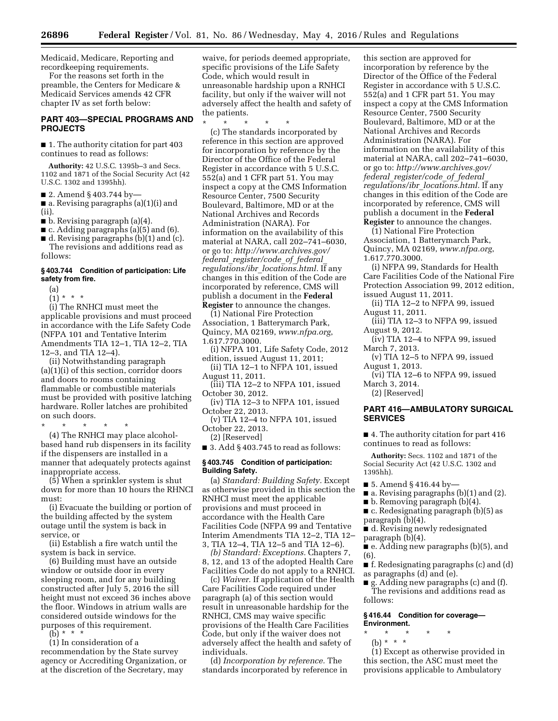Medicaid, Medicare, Reporting and recordkeeping requirements.

For the reasons set forth in the preamble, the Centers for Medicare & Medicaid Services amends 42 CFR chapter IV as set forth below:

#### **PART 403—SPECIAL PROGRAMS AND PROJECTS**

■ 1. The authority citation for part 403 continues to read as follows:

**Authority:** 42 U.S.C. 1395b–3 and Secs. 1102 and 1871 of the Social Security Act (42 U.S.C. 1302 and 1395hh).

■ 2. Amend § 403.744 by-

■ a. Revising paragraphs (a)(1)(i) and (ii).

 $\blacksquare$  b. Revising paragraph (a)(4).

■ c. Adding paragraphs (a)(5) and (6).

■ d. Revising paragraphs (b)(1) and (c). The revisions and additions read as

## follows:

#### **§ 403.744 Condition of participation: Life safety from fire.**

(a)

 $(1) * * * *$ 

(i) The RNHCI must meet the applicable provisions and must proceed in accordance with the Life Safety Code (NFPA 101 and Tentative Interim Amendments TIA 12–1, TIA 12–2, TIA 12–3, and TIA 12–4).

(ii) Notwithstanding paragraph (a)(1)(i) of this section, corridor doors and doors to rooms containing flammable or combustible materials must be provided with positive latching hardware. Roller latches are prohibited on such doors.

\* \* \* \* \* (4) The RNHCI may place alcoholbased hand rub dispensers in its facility if the dispensers are installed in a manner that adequately protects against

inappropriate access. (5) When a sprinkler system is shut down for more than 10 hours the RHNCI must:

(i) Evacuate the building or portion of the building affected by the system outage until the system is back in service, or

(ii) Establish a fire watch until the system is back in service.

(6) Building must have an outside window or outside door in every sleeping room, and for any building constructed after July 5, 2016 the sill height must not exceed 36 inches above the floor. Windows in atrium walls are considered outside windows for the purposes of this requirement.

(b) \* \* \*

(1) In consideration of a recommendation by the State survey agency or Accrediting Organization, or at the discretion of the Secretary, may

waive, for periods deemed appropriate, specific provisions of the Life Safety Code, which would result in unreasonable hardship upon a RNHCI facility, but only if the waiver will not adversely affect the health and safety of the patients.

\* \* \* \* \* (c) The standards incorporated by reference in this section are approved for incorporation by reference by the Director of the Office of the Federal Register in accordance with 5 U.S.C. 552(a) and 1 CFR part 51. You may inspect a copy at the CMS Information Resource Center, 7500 Security Boulevard, Baltimore, MD or at the National Archives and Records Administration (NARA). For information on the availability of this material at NARA, call 202–741–6030, or go to: *[http://www.archives.gov/](http://www.archives.gov/federal_register/code_of_federal_regulations/ibr_locations.html) federal*\_*[register/code](http://www.archives.gov/federal_register/code_of_federal_regulations/ibr_locations.html)*\_*of*\_*federal*\_ *regulations/ibr*\_*[locations.html.](http://www.archives.gov/federal_register/code_of_federal_regulations/ibr_locations.html)* If any changes in this edition of the Code are incorporated by reference, CMS will publish a document in the **Federal Register** to announce the changes.

(1) National Fire Protection Association, 1 Batterymarch Park, Quincy, MA 02169, *[www.nfpa.org](http://www.nfpa.org)*, 1.617.770.3000.

(i) NFPA 101, Life Safety Code, 2012 edition, issued August 11, 2011;

(ii) TIA 12–1 to NFPA 101, issued August 11, 2011.

(iii) TIA 12–2 to NFPA 101, issued October 30, 2012.

(iv) TIA 12–3 to NFPA 101, issued October 22, 2013.

(v) TIA 12–4 to NFPA 101, issued October 22, 2013.

(2) [Reserved]

■ 3. Add § 403.745 to read as follows:

#### **§ 403.745 Condition of participation: Building Safety.**

(a) *Standard: Building Safety.* Except as otherwise provided in this section the RNHCI must meet the applicable provisions and must proceed in accordance with the Health Care Facilities Code (NFPA 99 and Tentative Interim Amendments TIA 12–2, TIA 12– 3, TIA 12–4, TIA 12–5 and TIA 12–6).

*(b) Standard: Exceptions.* Chapters 7, 8, 12, and 13 of the adopted Health Care Facilities Code do not apply to a RNHCI.

(c) *Waiver.* If application of the Health Care Facilities Code required under paragraph (a) of this section would result in unreasonable hardship for the RNHCI, CMS may waive specific provisions of the Health Care Facilities Code, but only if the waiver does not adversely affect the health and safety of individuals.

(d) *Incorporation by reference.* The standards incorporated by reference in

this section are approved for incorporation by reference by the Director of the Office of the Federal Register in accordance with 5 U.S.C. 552(a) and 1 CFR part 51. You may inspect a copy at the CMS Information Resource Center, 7500 Security Boulevard, Baltimore, MD or at the National Archives and Records Administration (NARA). For information on the availability of this material at NARA, call 202–741–6030, or go to: *[http://www.archives.gov/](http://www.archives.gov/federal_register/code_of_federal_regulations/ibr_locations.html) federal*\_*[register/code](http://www.archives.gov/federal_register/code_of_federal_regulations/ibr_locations.html)*\_*of*\_*federal*\_ *regulations/ibr*\_*[locations.html.](http://www.archives.gov/federal_register/code_of_federal_regulations/ibr_locations.html)* If any changes in this edition of the Code are incorporated by reference, CMS will publish a document in the **Federal Register** to announce the changes.

(1) National Fire Protection Association, 1 Batterymarch Park, Quincy, MA 02169, *[www.nfpa.org](http://www.nfpa.org)*, 1.617.770.3000.

(i) NFPA 99, Standards for Health Care Facilities Code of the National Fire Protection Association 99, 2012 edition, issued August 11, 2011.

(ii) TIA 12–2 to NFPA 99, issued August 11, 2011.

(iii) TIA 12–3 to NFPA 99, issued August 9, 2012.

(iv) TIA 12–4 to NFPA 99, issued March 7, 2013.

- (v) TIA 12–5 to NFPA 99, issued August 1, 2013.
- (vi) TIA 12–6 to NFPA 99, issued March 3, 2014.

(2) [Reserved]

#### **PART 416—AMBULATORY SURGICAL SERVICES**

■ 4. The authority citation for part 416 continues to read as follows:

**Authority:** Secs. 1102 and 1871 of the Social Security Act (42 U.S.C. 1302 and 1395hh).

- 5. Amend § 416.44 by-
- a. Revising paragraphs (b)(1) and (2).
- $\blacksquare$  b. Removing paragraph (b)(4).

■ c. Redesignating paragraph (b)(5) as paragraph (b)(4).

- d. Revising newly redesignated paragraph (b)(4).
- 

■ e. Adding new paragraphs (b)(5), and (6).

■ f. Redesignating paragraphs (c) and (d) as paragraphs (d) and (e).

■ g. Adding new paragraphs (c) and (f). The revisions and additions read as follows:

#### **§ 416.44 Condition for coverage— Environment.**

- \* \* \* \* \*
- (b) \* \* \*

(1) Except as otherwise provided in this section, the ASC must meet the provisions applicable to Ambulatory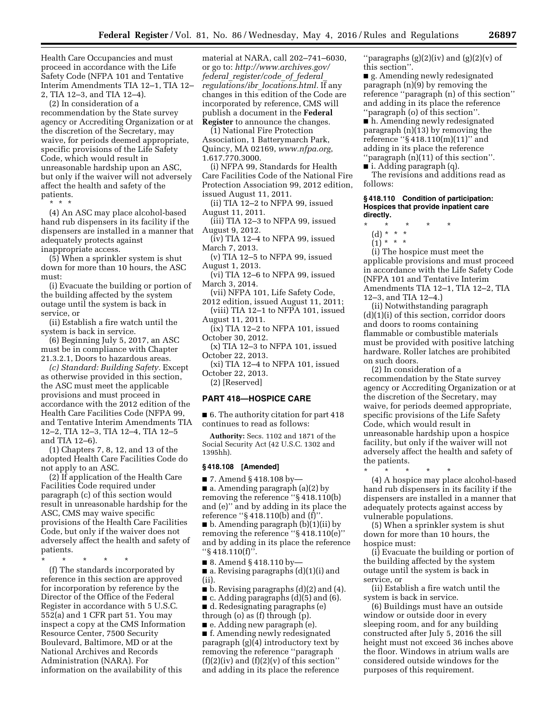Health Care Occupancies and must proceed in accordance with the Life Safety Code (NFPA 101 and Tentative Interim Amendments TIA 12–1, TIA 12– 2, TIA 12–3, and TIA 12–4).

(2) In consideration of a

recommendation by the State survey agency or Accrediting Organization or at the discretion of the Secretary, may waive, for periods deemed appropriate, specific provisions of the Life Safety Code, which would result in unreasonable hardship upon an ASC, but only if the waiver will not adversely affect the health and safety of the patients.

\* \* \*

(4) An ASC may place alcohol-based hand rub dispensers in its facility if the dispensers are installed in a manner that adequately protects against inappropriate access.

(5) When a sprinkler system is shut down for more than 10 hours, the ASC must:

(i) Evacuate the building or portion of the building affected by the system outage until the system is back in service, or

(ii) Establish a fire watch until the system is back in service.

(6) Beginning July 5, 2017, an ASC must be in compliance with Chapter 21.3.2.1, Doors to hazardous areas.

*(c) Standard: Building Safety.* Except as otherwise provided in this section, the ASC must meet the applicable provisions and must proceed in accordance with the 2012 edition of the Health Care Facilities Code (NFPA 99, and Tentative Interim Amendments TIA 12–2, TIA 12–3, TIA 12–4, TIA 12–5 and TIA 12–6).

(1) Chapters 7, 8, 12, and 13 of the adopted Health Care Facilities Code do not apply to an ASC.

(2) If application of the Health Care Facilities Code required under paragraph (c) of this section would result in unreasonable hardship for the ASC, CMS may waive specific provisions of the Health Care Facilities Code, but only if the waiver does not adversely affect the health and safety of patients.

\* \* \* \* \*

(f) The standards incorporated by reference in this section are approved for incorporation by reference by the Director of the Office of the Federal Register in accordance with 5 U.S.C. 552(a) and 1 CFR part 51. You may inspect a copy at the CMS Information Resource Center, 7500 Security Boulevard, Baltimore, MD or at the National Archives and Records Administration (NARA). For information on the availability of this

material at NARA, call 202–741–6030, or go to: *[http://www.archives.gov/](http://www.archives.gov/federal_register/code_of_federal_regulations/ibr_locations.html) federal*\_*[register/code](http://www.archives.gov/federal_register/code_of_federal_regulations/ibr_locations.html)*\_*of*\_*federal*\_ *regulations/ibr*\_*[locations.html.](http://www.archives.gov/federal_register/code_of_federal_regulations/ibr_locations.html)* If any changes in this edition of the Code are incorporated by reference, CMS will publish a document in the **Federal Register** to announce the changes.

(1) National Fire Protection Association, 1 Batterymarch Park, Quincy, MA 02169, *[www.nfpa.org](http://www.nfpa.org)*, 1.617.770.3000.

(i) NFPA 99, Standards for Health Care Facilities Code of the National Fire Protection Association 99, 2012 edition, issued August 11, 2011.

(ii) TIA 12–2 to NFPA 99, issued August 11, 2011.

(iii) TIA 12–3 to NFPA 99, issued August 9, 2012.

(iv) TIA 12–4 to NFPA 99, issued March 7, 2013.

(v) TIA 12–5 to NFPA 99, issued August 1, 2013.

 $\overline{v}$ i) TIA 12-6 to NFPA 99, issued March 3, 2014.

(vii) NFPA 101, Life Safety Code, 2012 edition, issued August 11, 2011;

(viii) TIA 12–1 to NFPA 101, issued August 11, 2011.

(ix) TIA 12–2 to NFPA 101, issued October 30, 2012.

(x) TIA 12–3 to NFPA 101, issued October 22, 2013.

(xi) TIA 12–4 to NFPA 101, issued October 22, 2013.

(2) [Reserved]

#### **PART 418—HOSPICE CARE**

■ 6. The authority citation for part 418 continues to read as follows:

**Authority:** Secs. 1102 and 1871 of the Social Security Act (42 U.S.C. 1302 and 1395hh).

#### **§ 418.108 [Amended]**

■ 7. Amend § 418.108 by-■ a. Amending paragraph (a)(2) by removing the reference ''§ 418.110(b) and (e)'' and by adding in its place the reference ''§ 418.110(b) and (f)''. ■ b. Amending paragraph (b)(1)(ii) by removing the reference ''§ 418.110(e)'' and by adding in its place the reference ''§ 418.110(f)''.

■ 8. Amend § 418.110 by-

■ a. Revising paragraphs (d)(1)(i) and (ii).

■ b. Revising paragraphs (d)(2) and (4).

 $\blacksquare$  c. Adding paragraphs (d)(5) and (6).

■ d. Redesignating paragraphs (e) through (o) as (f) through (p).

■ e. Adding new paragraph (e).

■ f. Amending newly redesignated paragraph (g)(4) introductory text by removing the reference ''paragraph  $(f)(2)(iv)$  and  $(f)(2)(v)$  of this section" and adding in its place the reference ''paragraphs (g)(2)(iv) and (g)(2)(v) of this section''.

■ g. Amending newly redesignated paragraph (n)(9) by removing the reference ''paragraph (n) of this section'' and adding in its place the reference ''paragraph (o) of this section''.

■ h. Amending newly redesignated paragraph (n)(13) by removing the reference ''§ 418.110(m)(11)'' and adding in its place the reference ''paragraph (n)(11) of this section''.

■ i. Adding paragraph (q).

The revisions and additions read as follows:

#### **§ 418.110 Condition of participation: Hospices that provide inpatient care directly.**

- \* \* \* \* \*
	- (d) \* \* \*
	- $(1) * * * *$

(i) The hospice must meet the applicable provisions and must proceed in accordance with the Life Safety Code (NFPA 101 and Tentative Interim Amendments TIA 12–1, TIA 12–2, TIA 12–3, and TIA 12–4.)

(ii) Notwithstanding paragraph (d)(1)(i) of this section, corridor doors and doors to rooms containing flammable or combustible materials must be provided with positive latching hardware. Roller latches are prohibited on such doors.

(2) In consideration of a recommendation by the State survey agency or Accrediting Organization or at the discretion of the Secretary, may waive, for periods deemed appropriate, specific provisions of the Life Safety Code, which would result in unreasonable hardship upon a hospice facility, but only if the waiver will not adversely affect the health and safety of the patients.

\* \* \* \* \*

(4) A hospice may place alcohol-based hand rub dispensers in its facility if the dispensers are installed in a manner that adequately protects against access by vulnerable populations.

(5) When a sprinkler system is shut down for more than 10 hours, the hospice must:

(i) Evacuate the building or portion of the building affected by the system outage until the system is back in service, or

(ii) Establish a fire watch until the system is back in service.

(6) Buildings must have an outside window or outside door in every sleeping room, and for any building constructed after July 5, 2016 the sill height must not exceed 36 inches above the floor. Windows in atrium walls are considered outside windows for the purposes of this requirement.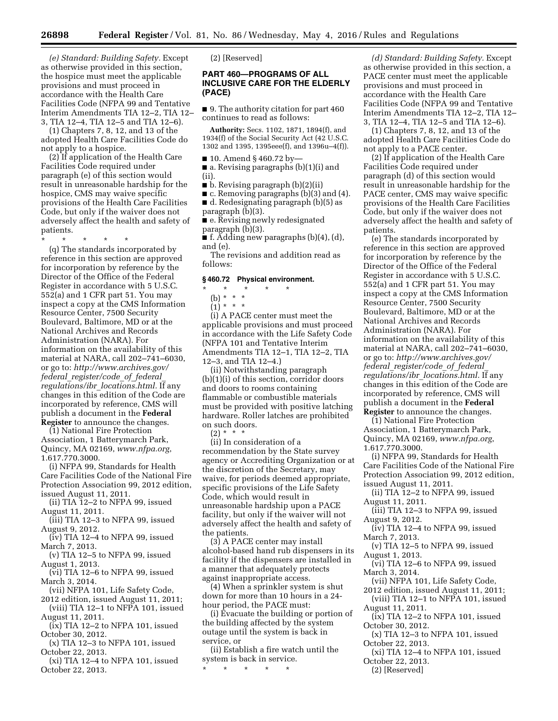*(e) Standard: Building Safety.* Except as otherwise provided in this section, the hospice must meet the applicable provisions and must proceed in accordance with the Health Care Facilities Code (NFPA 99 and Tentative Interim Amendments TIA 12–2, TIA 12– 3, TIA 12–4, TIA 12–5 and TIA 12–6).

(1) Chapters 7, 8, 12, and 13 of the adopted Health Care Facilities Code do not apply to a hospice.

(2) If application of the Health Care Facilities Code required under paragraph (e) of this section would result in unreasonable hardship for the hospice, CMS may waive specific provisions of the Health Care Facilities Code, but only if the waiver does not adversely affect the health and safety of patients.

\* \* \* \* \*

(q) The standards incorporated by reference in this section are approved for incorporation by reference by the Director of the Office of the Federal Register in accordance with 5 U.S.C. 552(a) and 1 CFR part 51. You may inspect a copy at the CMS Information Resource Center, 7500 Security Boulevard, Baltimore, MD or at the National Archives and Records Administration (NARA). For information on the availability of this material at NARA, call 202–741–6030, or go to: *[http://www.archives.gov/](http://www.archives.gov/federal_register/code_of_federal_regulations/ibr_locations.html) federal*\_*[register/code](http://www.archives.gov/federal_register/code_of_federal_regulations/ibr_locations.html)*\_*of*\_*federal*\_ *regulations/ibr*\_*[locations.html.](http://www.archives.gov/federal_register/code_of_federal_regulations/ibr_locations.html)* If any changes in this edition of the Code are incorporated by reference, CMS will publish a document in the **Federal Register** to announce the changes.

(1) National Fire Protection Association, 1 Batterymarch Park, Quincy, MA 02169, *[www.nfpa.org](http://www.nfpa.org)*, 1.617.770.3000.

(i) NFPA 99, Standards for Health Care Facilities Code of the National Fire Protection Association 99, 2012 edition, issued August 11, 2011.

(ii) TIA 12–2 to NFPA 99, issued August 11, 2011.

- (iii) TIA 12–3 to NFPA 99, issued August 9, 2012.
- (iv) TIA 12–4 to NFPA 99, issued March 7, 2013.
- (v) TIA 12–5 to NFPA 99, issued August 1, 2013.

(vi) TIA 12–6 to NFPA 99, issued March 3, 2014.

- (vii) NFPA 101, Life Safety Code,
- 2012 edition, issued August 11, 2011; (viii) TIA 12–1 to NFPA 101, issued August 11, 2011.

(ix) TIA 12–2 to NFPA 101, issued October 30, 2012.

(x) TIA 12–3 to NFPA 101, issued October 22, 2013.

(xi) TIA 12–4 to NFPA 101, issued October 22, 2013.

(2) [Reserved]

#### **PART 460—PROGRAMS OF ALL INCLUSIVE CARE FOR THE ELDERLY (PACE)**

■ 9. The authority citation for part 460 continues to read as follows:

**Authority:** Secs. 1102, 1871, 1894(f), and 1934(f) of the Social Security Act (42 U.S.C. 1302 and 1395, 1395eee(f), and 1396u–4(f)).

 $\blacksquare$  10. Amend § 460.72 by—

■ a. Revising paragraphs (b)(1)(i) and (ii).

■ b. Revising paragraph (b)(2)(ii)

■ c. Removing paragraphs (b)(3) and (4). ■ d. Redesignating paragraph (b)(5) as

paragraph (b)(3).

■ e. Revising newly redesignated paragraph (b)(3).

 $\blacksquare$  f. Adding new paragraphs (b)(4), (d), and (e).

The revisions and addition read as follows:

#### **§ 460.72 Physical environment.**

#### \* \* \* \* \*

(b) \* \* \*

 $(1) * * * *$ 

(i) A PACE center must meet the applicable provisions and must proceed in accordance with the Life Safety Code (NFPA 101 and Tentative Interim Amendments TIA 12–1, TIA 12–2, TIA 12–3, and TIA 12–4.)

(ii) Notwithstanding paragraph (b)(1)(i) of this section, corridor doors and doors to rooms containing flammable or combustible materials must be provided with positive latching hardware. Roller latches are prohibited on such doors.

 $(2) * * * *$ (ii) In consideration of a recommendation by the State survey agency or Accrediting Organization or at the discretion of the Secretary, may waive, for periods deemed appropriate, specific provisions of the Life Safety Code, which would result in unreasonable hardship upon a PACE facility, but only if the waiver will not adversely affect the health and safety of the patients.

(3) A PACE center may install alcohol-based hand rub dispensers in its facility if the dispensers are installed in a manner that adequately protects against inappropriate access.

(4) When a sprinkler system is shut down for more than 10 hours in a 24 hour period, the PACE must:

(i) Evacuate the building or portion of the building affected by the system outage until the system is back in service, or

(ii) Establish a fire watch until the system is back in service.

\* \* \* \* \*

*(d) Standard: Building Safety.* Except as otherwise provided in this section, a PACE center must meet the applicable provisions and must proceed in accordance with the Health Care Facilities Code (NFPA 99 and Tentative Interim Amendments TIA 12–2, TIA 12– 3, TIA 12–4, TIA 12–5 and TIA 12–6).

(1) Chapters 7, 8, 12, and 13 of the adopted Health Care Facilities Code do not apply to a PACE center.

(2) If application of the Health Care Facilities Code required under paragraph (d) of this section would result in unreasonable hardship for the PACE center, CMS may waive specific provisions of the Health Care Facilities Code, but only if the waiver does not adversely affect the health and safety of patients.

(e) The standards incorporated by reference in this section are approved for incorporation by reference by the Director of the Office of the Federal Register in accordance with 5 U.S.C. 552(a) and 1 CFR part 51. You may inspect a copy at the CMS Information Resource Center, 7500 Security Boulevard, Baltimore, MD or at the National Archives and Records Administration (NARA). For information on the availability of this material at NARA, call 202–741–6030, or go to: *[http://www.archives.gov/](http://www.archives.gov/federal_register/code_of_federal_regulations/ibr_locations.html) federal*\_*[register/code](http://www.archives.gov/federal_register/code_of_federal_regulations/ibr_locations.html)*\_*of*\_*federal*\_ *regulations/ibr*\_*[locations.html.](http://www.archives.gov/federal_register/code_of_federal_regulations/ibr_locations.html)* If any changes in this edition of the Code are incorporated by reference, CMS will publish a document in the **Federal Register** to announce the changes.

(1) National Fire Protection Association, 1 Batterymarch Park, Quincy, MA 02169, *[www.nfpa.org](http://www.nfpa.org)*, 1.617.770.3000.

(i) NFPA 99, Standards for Health Care Facilities Code of the National Fire Protection Association 99, 2012 edition, issued August 11, 2011.

(ii) TIA 12–2 to NFPA 99, issued August 11, 2011.

- (iii) TIA 12–3 to NFPA 99, issued August 9, 2012.
- (iv) TIA 12–4 to NFPA 99, issued March 7, 2013.
- (v) TIA 12–5 to NFPA 99, issued August 1, 2013.

(vi) TIA 12–6 to NFPA 99, issued March 3, 2014.

- (vii) NFPA 101, Life Safety Code,
- 2012 edition, issued August 11, 2011; (viii) TIA 12–1 to NFPA 101, issued
- August 11, 2011.
- (ix) TIA 12–2 to NFPA 101, issued October 30, 2012.
- (x) TIA 12–3 to NFPA 101, issued October 22, 2013.
- (xi) TIA 12–4 to NFPA 101, issued October 22, 2013.

(2) [Reserved]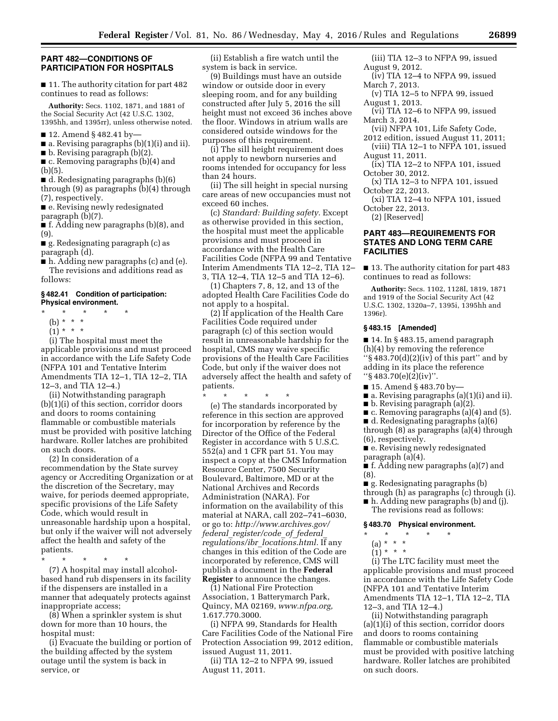#### **PART 482—CONDITIONS OF PARTICIPATION FOR HOSPITALS**

■ 11. The authority citation for part 482 continues to read as follows:

**Authority:** Secs. 1102, 1871, and 1881 of the Social Security Act (42 U.S.C. 1302, 1395hh, and 1395rr), unless otherwise noted.

- 12. Amend § 482.41 by-
- $\blacksquare$  a. Revising paragraphs (b)(1)(i) and ii).

■ b. Revising paragraph (b)(2).

■ c. Removing paragraphs (b)(4) and (b)(5).

■ d. Redesignating paragraphs (b)(6) through (9) as paragraphs (b)(4) through (7), respectively.

■ e. Revising newly redesignated paragraph (b)(7).

■ f. Adding new paragraphs (b)(8), and (9).

■ g. Redesignating paragraph (c) as paragraph (d).

■ h. Adding new paragraphs (c) and (e). The revisions and additions read as follows:

#### **§ 482.41 Condition of participation: Physical environment.**

- $\star$   $\star$   $\star$
- (b) \* \* \*
- $(1) * * * *$

(i) The hospital must meet the applicable provisions and must proceed in accordance with the Life Safety Code (NFPA 101 and Tentative Interim Amendments TIA 12–1, TIA 12–2, TIA 12–3, and TIA 12–4.)

(ii) Notwithstanding paragraph (b)(1)(i) of this section, corridor doors and doors to rooms containing flammable or combustible materials must be provided with positive latching hardware. Roller latches are prohibited on such doors.

(2) In consideration of a recommendation by the State survey agency or Accrediting Organization or at the discretion of the Secretary, may waive, for periods deemed appropriate, specific provisions of the Life Safety Code, which would result in unreasonable hardship upon a hospital, but only if the waiver will not adversely affect the health and safety of the patients.

\* \* \* \* \*

(7) A hospital may install alcoholbased hand rub dispensers in its facility if the dispensers are installed in a manner that adequately protects against inappropriate access;

(8) When a sprinkler system is shut down for more than 10 hours, the hospital must:

(i) Evacuate the building or portion of the building affected by the system outage until the system is back in service, or

(ii) Establish a fire watch until the system is back in service.

(9) Buildings must have an outside window or outside door in every sleeping room, and for any building constructed after July 5, 2016 the sill height must not exceed 36 inches above the floor. Windows in atrium walls are considered outside windows for the purposes of this requirement.

(i) The sill height requirement does not apply to newborn nurseries and rooms intended for occupancy for less than 24 hours.

(ii) The sill height in special nursing care areas of new occupancies must not exceed 60 inches.

(c) *Standard: Building safety.* Except as otherwise provided in this section, the hospital must meet the applicable provisions and must proceed in accordance with the Health Care Facilities Code (NFPA 99 and Tentative Interim Amendments TIA 12–2, TIA 12– 3, TIA 12–4, TIA 12–5 and TIA 12–6).

(1) Chapters 7, 8, 12, and 13 of the adopted Health Care Facilities Code do not apply to a hospital.

(2) If application of the Health Care Facilities Code required under paragraph (c) of this section would result in unreasonable hardship for the hospital, CMS may waive specific provisions of the Health Care Facilities Code, but only if the waiver does not adversely affect the health and safety of patients.

\* \* \* \* \*

(e) The standards incorporated by reference in this section are approved for incorporation by reference by the Director of the Office of the Federal Register in accordance with 5 U.S.C. 552(a) and 1 CFR part 51. You may inspect a copy at the CMS Information Resource Center, 7500 Security Boulevard, Baltimore, MD or at the National Archives and Records Administration (NARA). For information on the availability of this material at NARA, call 202–741–6030, or go to: *[http://www.archives.gov/](http://www.archives.gov/federal_register/code_of_federal_regulations/ibr_locations.html) federal*\_*[register/code](http://www.archives.gov/federal_register/code_of_federal_regulations/ibr_locations.html)*\_*of*\_*federal*\_ *regulations/ibr*\_*[locations.html.](http://www.archives.gov/federal_register/code_of_federal_regulations/ibr_locations.html)* If any changes in this edition of the Code are incorporated by reference, CMS will publish a document in the **Federal Register** to announce the changes.

(1) National Fire Protection Association, 1 Batterymarch Park, Quincy, MA 02169, *[www.nfpa.org,](http://www.nfpa.org)*  1.617.770.3000.

(i) NFPA 99, Standards for Health Care Facilities Code of the National Fire Protection Association 99, 2012 edition, issued August 11, 2011.

(ii) TIA 12–2 to NFPA 99, issued August 11, 2011.

- (iii) TIA 12–3 to NFPA 99, issued August 9, 2012.
- (iv) TIA 12–4 to NFPA 99, issued March 7, 2013.
- (v) TIA 12–5 to NFPA 99, issued August 1, 2013.
- (vi) TIA 12–6 to NFPA 99, issued March 3, 2014.
- (vii) NFPA 101, Life Safety Code,
- 2012 edition, issued August 11, 2011; (viii) TIA 12–1 to NFPA 101, issued
- August 11, 2011.
- (ix) TIA 12–2 to NFPA 101, issued October 30, 2012.
- (x) TIA 12–3 to NFPA 101, issued October 22, 2013.
- (xi) TIA 12–4 to NFPA 101, issued October 22, 2013.

(2) [Reserved]

#### **PART 483—REQUIREMENTS FOR STATES AND LONG TERM CARE FACILITIES**

■ 13. The authority citation for part 483 continues to read as follows:

**Authority:** Secs. 1102, 1128I, 1819, 1871 and 1919 of the Social Security Act (42 U.S.C. 1302, 1320a–7, 1395i, 1395hh and 1396r).

#### **§ 483.15 [Amended]**

■ 14. In § 483.15, amend paragraph (h)(4) by removing the reference " $\S$  483.70(d)(2)(iv) of this part" and by adding in its place the reference ''§ 483.70(e)(2)(iv)''.

- 15. Amend § 483.70 by-
- a. Revising paragraphs (a)(1)(i) and ii).
- b. Revising paragraph (a)(2).
- c. Removing paragraphs (a)(4) and (5).
- d. Redesignating paragraphs (a)(6)
- through (8) as paragraphs (a)(4) through (6), respectively.
- e. Revising newly redesignated paragraph (a)(4).
- f. Adding new paragraphs (a)(7) and (8).
- g. Redesignating paragraphs (b)
- through (h) as paragraphs (c) through (i).
- h. Adding new paragraphs (b) and (j). The revisions read as follows:

#### **§ 483.70 Physical environment.**

- \* \* \* \* \*
	- (a) \* \* \*
	- $\binom{-1}{1}$  \* \* \*

(i) The LTC facility must meet the applicable provisions and must proceed in accordance with the Life Safety Code (NFPA 101 and Tentative Interim Amendments TIA 12–1, TIA 12–2, TIA 12–3, and TIA 12–4.)

(ii) Notwithstanding paragraph (a)(1)(i) of this section, corridor doors and doors to rooms containing flammable or combustible materials must be provided with positive latching hardware. Roller latches are prohibited on such doors.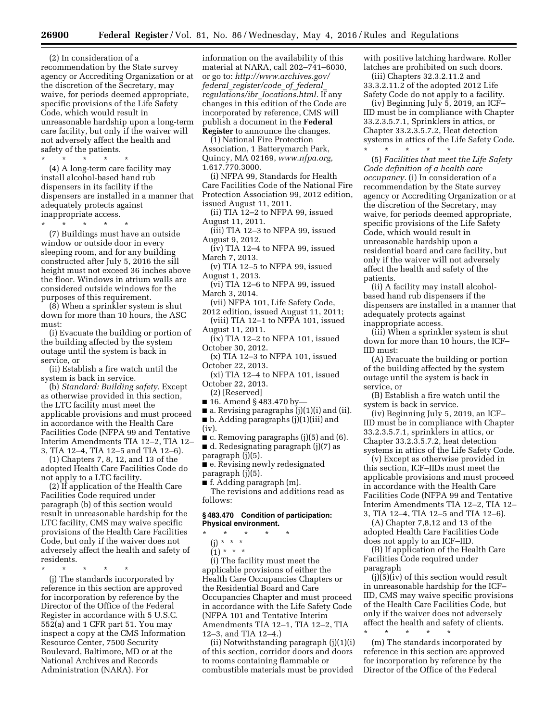(2) In consideration of a recommendation by the State survey agency or Accrediting Organization or at the discretion of the Secretary, may waive, for periods deemed appropriate, specific provisions of the Life Safety Code, which would result in unreasonable hardship upon a long-term care facility, but only if the waiver will not adversely affect the health and safety of the patients.

\* \* \* \* \*

(4) A long-term care facility may install alcohol-based hand rub dispensers in its facility if the dispensers are installed in a manner that adequately protects against inappropriate access.

\* \* \* \* \*

(7) Buildings must have an outside window or outside door in every sleeping room, and for any building constructed after July 5, 2016 the sill height must not exceed 36 inches above the floor. Windows in atrium walls are considered outside windows for the purposes of this requirement.

(8) When a sprinkler system is shut down for more than 10 hours, the ASC must:

(i) Evacuate the building or portion of the building affected by the system outage until the system is back in service, or

(ii) Establish a fire watch until the system is back in service.

(b) *Standard: Building safety.* Except as otherwise provided in this section, the LTC facility must meet the applicable provisions and must proceed in accordance with the Health Care Facilities Code (NFPA 99 and Tentative Interim Amendments TIA 12–2, TIA 12– 3, TIA 12–4, TIA 12–5 and TIA 12–6).

(1) Chapters 7, 8, 12, and 13 of the adopted Health Care Facilities Code do not apply to a LTC facility.

(2) If application of the Health Care Facilities Code required under paragraph (b) of this section would result in unreasonable hardship for the LTC facility, CMS may waive specific provisions of the Health Care Facilities Code, but only if the waiver does not adversely affect the health and safety of residents.

\* \* \* \* \*

(j) The standards incorporated by reference in this section are approved for incorporation by reference by the Director of the Office of the Federal Register in accordance with 5 U.S.C. 552(a) and 1 CFR part 51. You may inspect a copy at the CMS Information Resource Center, 7500 Security Boulevard, Baltimore, MD or at the National Archives and Records Administration (NARA). For

information on the availability of this material at NARA, call 202–741–6030, or go to: *[http://www.archives.gov/](http://www.archives.gov/federal_register/code_of_federal_regulations/ibr_locations.html) federal*\_*[register/code](http://www.archives.gov/federal_register/code_of_federal_regulations/ibr_locations.html)*\_*of*\_*federal*\_ *regulations/ibr*\_*[locations.html.](http://www.archives.gov/federal_register/code_of_federal_regulations/ibr_locations.html)* If any changes in this edition of the Code are incorporated by reference, CMS will publish a document in the **Federal Register** to announce the changes.

(1) National Fire Protection Association, 1 Batterymarch Park, Quincy, MA 02169, *[www.nfpa.org,](http://www.nfpa.org)*  1.617.770.3000.

(i) NFPA 99, Standards for Health Care Facilities Code of the National Fire Protection Association 99, 2012 edition, issued August 11, 2011.

(ii) TIA 12–2 to NFPA 99, issued August 11, 2011.

(iii) TIA 12–3 to NFPA 99, issued August 9, 2012.

(iv) TIA 12–4 to NFPA 99, issued March 7, 2013.

- (v) TIA 12–5 to NFPA 99, issued August 1, 2013.
- (vi) TIA 12–6 to NFPA 99, issued March 3, 2014.
- (vii) NFPA 101, Life Safety Code, 2012 edition, issued August 11, 2011;

(viii) TIA 12–1 to NFPA 101, issued August 11, 2011.

- (ix) TIA 12–2 to NFPA 101, issued October 30, 2012.
- (x) TIA 12–3 to NFPA 101, issued October 22, 2013.

(xi) TIA 12–4 to NFPA 101, issued October 22, 2013.

(2) [Reserved]

■ 16. Amend § 483.470 by-

 $\blacksquare$  a. Revising paragraphs (j)(1)(i) and (ii).

- b. Adding paragraphs (j)(1)(iii) and (iv).
- $\blacksquare$  c. Removing paragraphs (j)(5) and (6). ■ d. Redesignating paragraph (j)(7) as

paragraph (j)(5).

■ e. Revising newly redesignated paragraph (j)(5).

■ f. Adding paragraph (m).

The revisions and additions read as follows:

#### **§ 483.470 Condition of participation: Physical environment.**

- \* \* \* \* \*
	- (j) \* \* \*

 $(1) * * * *$ 

(i) The facility must meet the applicable provisions of either the Health Care Occupancies Chapters or the Residential Board and Care Occupancies Chapter and must proceed in accordance with the Life Safety Code (NFPA 101 and Tentative Interim Amendments TIA 12–1, TIA 12–2, TIA 12–3, and TIA 12–4.)

(ii) Notwithstanding paragraph (j)(1)(i) of this section, corridor doors and doors to rooms containing flammable or combustible materials must be provided

with positive latching hardware. Roller latches are prohibited on such doors.

(iii) Chapters 32.3.2.11.2 and 33.3.2.11.2 of the adopted 2012 Life Safety Code do not apply to a facility.

(iv) Beginning July 5, 2019, an ICF– IID must be in compliance with Chapter 33.2.3.5.7.1, Sprinklers in attics, or Chapter 33.2.3.5.7.2, Heat detection systems in attics of the Life Safety Code. \* \* \* \* \*

(5) *Facilities that meet the Life Safety Code definition of a health care occupancy.* (i) In consideration of a recommendation by the State survey agency or Accrediting Organization or at the discretion of the Secretary, may waive, for periods deemed appropriate, specific provisions of the Life Safety Code, which would result in unreasonable hardship upon a residential board and care facility, but only if the waiver will not adversely affect the health and safety of the patients.

(ii) A facility may install alcoholbased hand rub dispensers if the dispensers are installed in a manner that adequately protects against inappropriate access.

(iii) When a sprinkler system is shut down for more than 10 hours, the ICF– IID must:

(A) Evacuate the building or portion of the building affected by the system outage until the system is back in service, or

(B) Establish a fire watch until the system is back in service.

(iv) Beginning July 5, 2019, an ICF– IID must be in compliance with Chapter 33.2.3.5.7.1, sprinklers in attics, or Chapter 33.2.3.5.7.2, heat detection systems in attics of the Life Safety Code.

(v) Except as otherwise provided in this section, ICF–IIDs must meet the applicable provisions and must proceed in accordance with the Health Care Facilities Code (NFPA 99 and Tentative Interim Amendments TIA 12–2, TIA 12– 3, TIA 12–4, TIA 12–5 and TIA 12–6).

(A) Chapter 7,8,12 and 13 of the adopted Health Care Facilities Code does not apply to an ICF–IID.

(B) If application of the Health Care Facilities Code required under paragraph

(j)(5)(iv) of this section would result in unreasonable hardship for the ICF– IID, CMS may waive specific provisions of the Health Care Facilities Code, but only if the waiver does not adversely affect the health and safety of clients. \* \* \* \* \*

(m) The standards incorporated by reference in this section are approved for incorporation by reference by the Director of the Office of the Federal